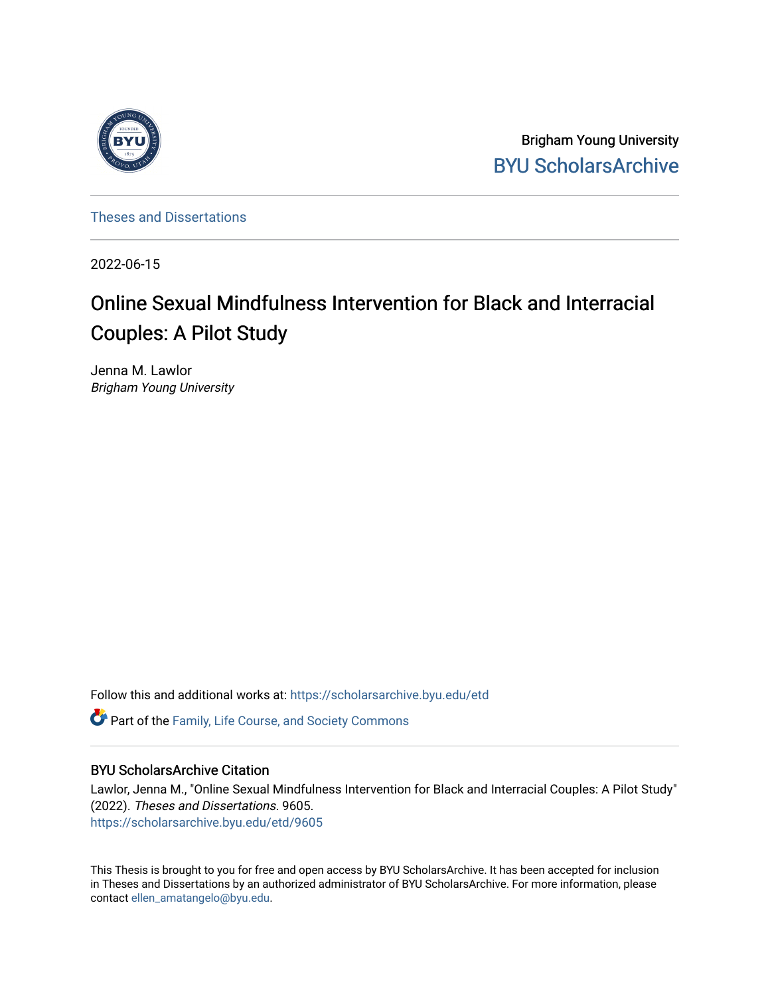

Brigham Young University [BYU ScholarsArchive](https://scholarsarchive.byu.edu/) 

[Theses and Dissertations](https://scholarsarchive.byu.edu/etd)

2022-06-15

# Online Sexual Mindfulness Intervention for Black and Interracial Couples: A Pilot Study

Jenna M. Lawlor Brigham Young University

Follow this and additional works at: [https://scholarsarchive.byu.edu/etd](https://scholarsarchive.byu.edu/etd?utm_source=scholarsarchive.byu.edu%2Fetd%2F9605&utm_medium=PDF&utm_campaign=PDFCoverPages)

**C** Part of the Family, Life Course, and Society Commons

## BYU ScholarsArchive Citation

Lawlor, Jenna M., "Online Sexual Mindfulness Intervention for Black and Interracial Couples: A Pilot Study" (2022). Theses and Dissertations. 9605. [https://scholarsarchive.byu.edu/etd/9605](https://scholarsarchive.byu.edu/etd/9605?utm_source=scholarsarchive.byu.edu%2Fetd%2F9605&utm_medium=PDF&utm_campaign=PDFCoverPages) 

This Thesis is brought to you for free and open access by BYU ScholarsArchive. It has been accepted for inclusion in Theses and Dissertations by an authorized administrator of BYU ScholarsArchive. For more information, please contact [ellen\\_amatangelo@byu.edu.](mailto:ellen_amatangelo@byu.edu)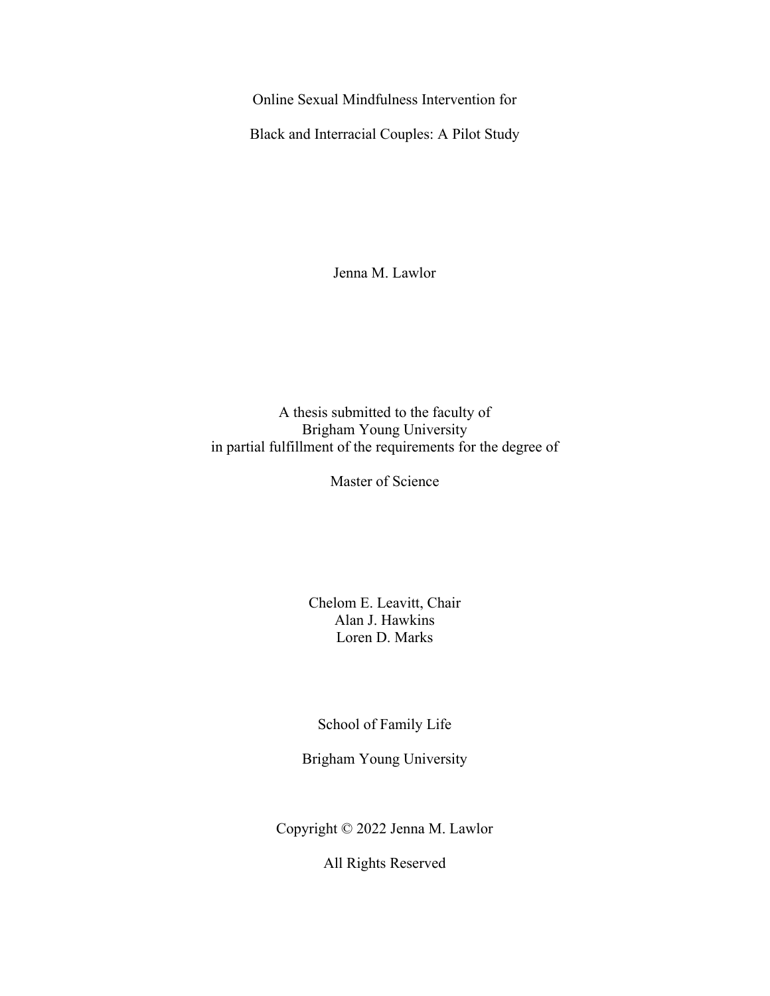<span id="page-1-0"></span>Online Sexual Mindfulness Intervention for

Black and Interracial Couples: A Pilot Study

Jenna M. Lawlor

A thesis submitted to the faculty of Brigham Young University in partial fulfillment of the requirements for the degree of

Master of Science

Chelom E. Leavitt, Chair Alan J. Hawkins Loren D. Marks

School of Family Life

Brigham Young University

Copyright © 2022 Jenna M. Lawlor

All Rights Reserved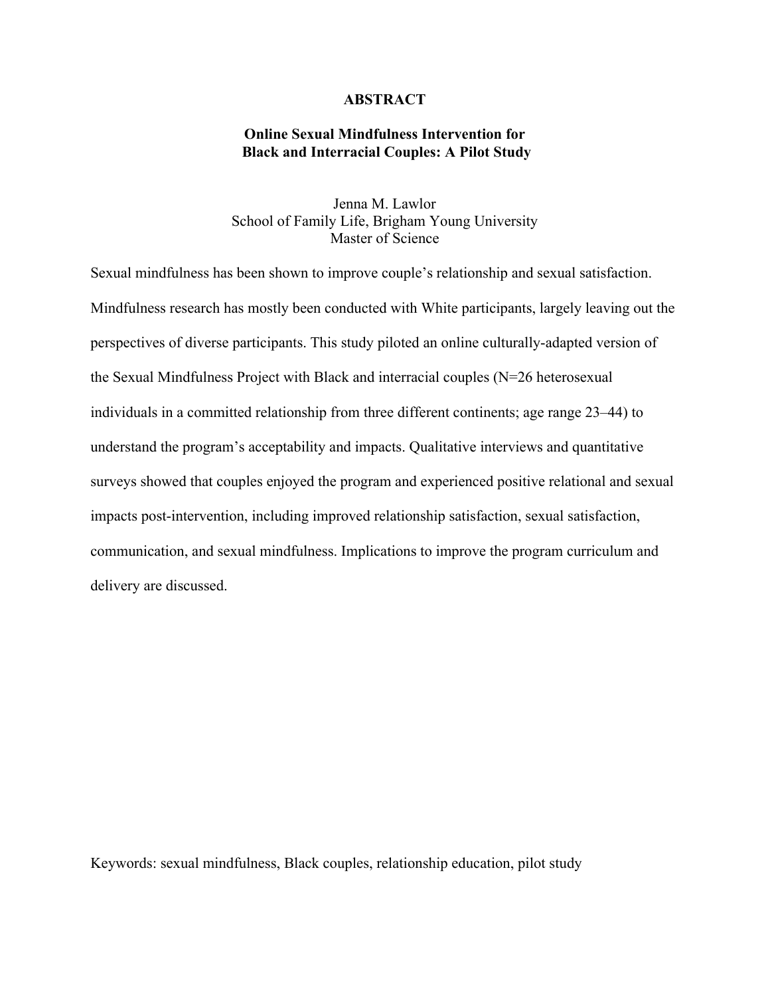## **ABSTRACT**

## <span id="page-2-0"></span>**Online Sexual Mindfulness Intervention for Black and Interracial Couples: A Pilot Study**

Jenna M. Lawlor School of Family Life, Brigham Young University Master of Science

Sexual mindfulness has been shown to improve couple's relationship and sexual satisfaction. Mindfulness research has mostly been conducted with White participants, largely leaving out the perspectives of diverse participants. This study piloted an online culturally-adapted version of the Sexual Mindfulness Project with Black and interracial couples (N=26 heterosexual individuals in a committed relationship from three different continents; age range 23–44) to understand the program's acceptability and impacts. Qualitative interviews and quantitative surveys showed that couples enjoyed the program and experienced positive relational and sexual impacts post-intervention, including improved relationship satisfaction, sexual satisfaction, communication, and sexual mindfulness. Implications to improve the program curriculum and delivery are discussed.

Keywords: sexual mindfulness, Black couples, relationship education, pilot study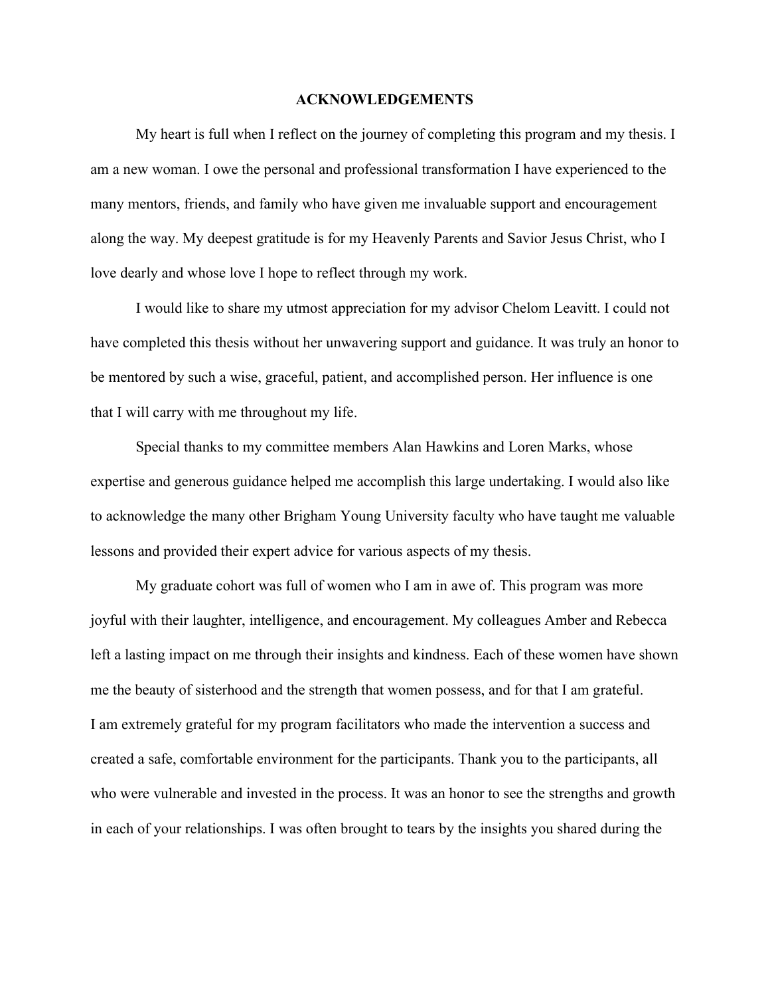## **ACKNOWLEDGEMENTS**

<span id="page-3-0"></span>My heart is full when I reflect on the journey of completing this program and my thesis. I am a new woman. I owe the personal and professional transformation I have experienced to the many mentors, friends, and family who have given me invaluable support and encouragement along the way. My deepest gratitude is for my Heavenly Parents and Savior Jesus Christ, who I love dearly and whose love I hope to reflect through my work.

I would like to share my utmost appreciation for my advisor Chelom Leavitt. I could not have completed this thesis without her unwavering support and guidance. It was truly an honor to be mentored by such a wise, graceful, patient, and accomplished person. Her influence is one that I will carry with me throughout my life.

Special thanks to my committee members Alan Hawkins and Loren Marks, whose expertise and generous guidance helped me accomplish this large undertaking. I would also like to acknowledge the many other Brigham Young University faculty who have taught me valuable lessons and provided their expert advice for various aspects of my thesis.

My graduate cohort was full of women who I am in awe of. This program was more joyful with their laughter, intelligence, and encouragement. My colleagues Amber and Rebecca left a lasting impact on me through their insights and kindness. Each of these women have shown me the beauty of sisterhood and the strength that women possess, and for that I am grateful. I am extremely grateful for my program facilitators who made the intervention a success and created a safe, comfortable environment for the participants. Thank you to the participants, all who were vulnerable and invested in the process. It was an honor to see the strengths and growth in each of your relationships. I was often brought to tears by the insights you shared during the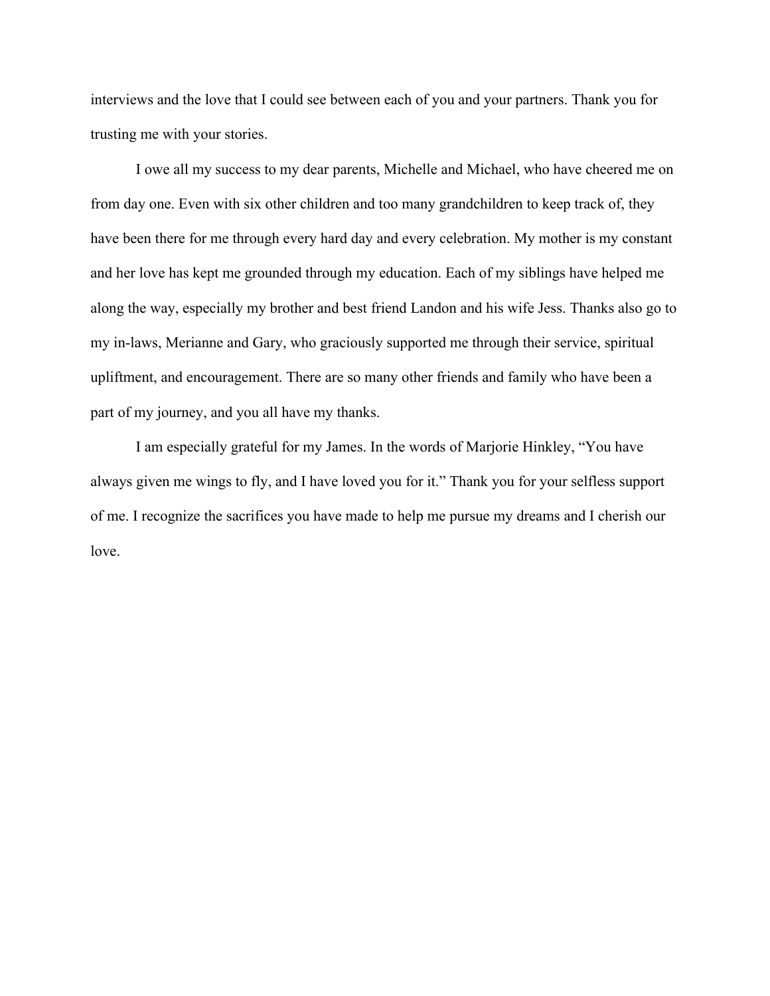interviews and the love that I could see between each of you and your partners. Thank you for trusting me with your stories.

I owe all my success to my dear parents, Michelle and Michael, who have cheered me on from day one. Even with six other children and too many grandchildren to keep track of, they have been there for me through every hard day and every celebration. My mother is my constant and her love has kept me grounded through my education. Each of my siblings have helped me along the way, especially my brother and best friend Landon and his wife Jess. Thanks also go to my in-laws, Merianne and Gary, who graciously supported me through their service, spiritual upliftment, and encouragement. There are so many other friends and family who have been a part of my journey, and you all have my thanks.

I am especially grateful for my James. In the words of Marjorie Hinkley, "You have always given me wings to fly, and I have loved you for it." Thank you for your selfless support of me. I recognize the sacrifices you have made to help me pursue my dreams and I cherish our love.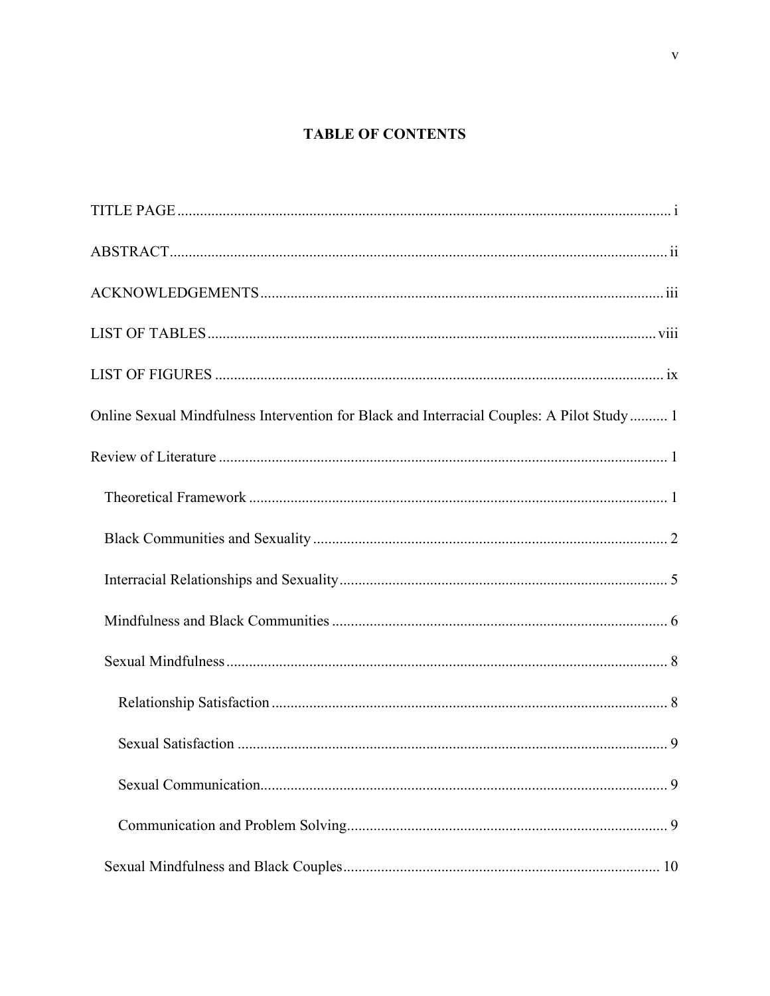## **TABLE OF CONTENTS**

| Online Sexual Mindfulness Intervention for Black and Interracial Couples: A Pilot Study  1 |
|--------------------------------------------------------------------------------------------|
|                                                                                            |
|                                                                                            |
|                                                                                            |
|                                                                                            |
|                                                                                            |
|                                                                                            |
|                                                                                            |
|                                                                                            |
|                                                                                            |
|                                                                                            |
|                                                                                            |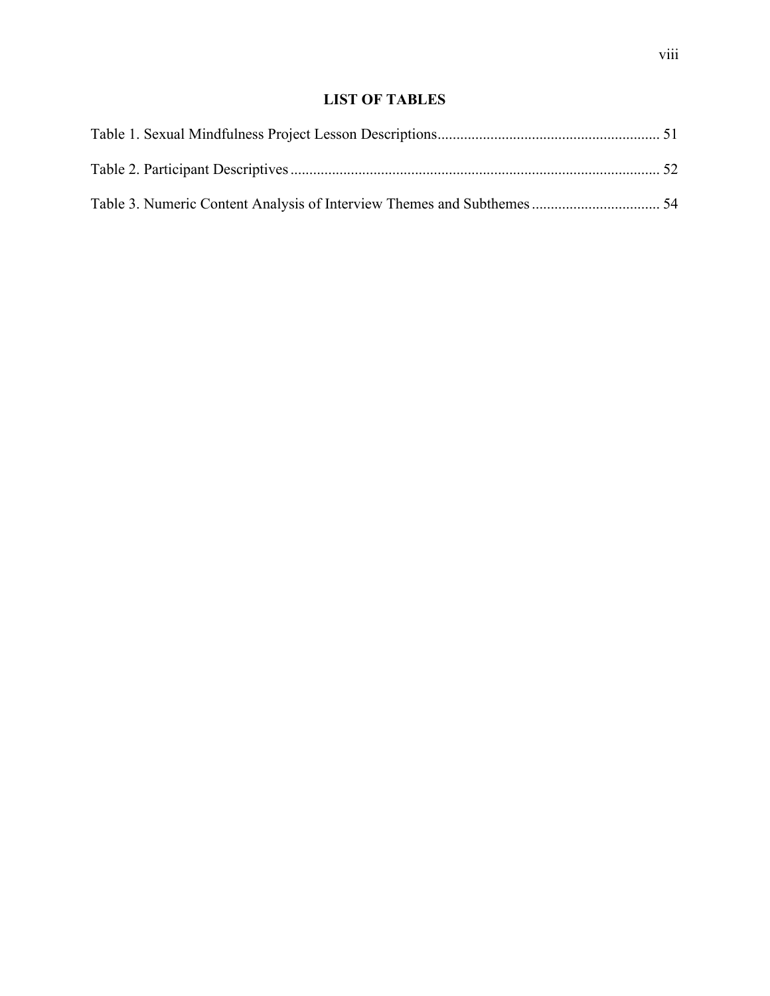## **LIST OF TABLES**

<span id="page-8-0"></span>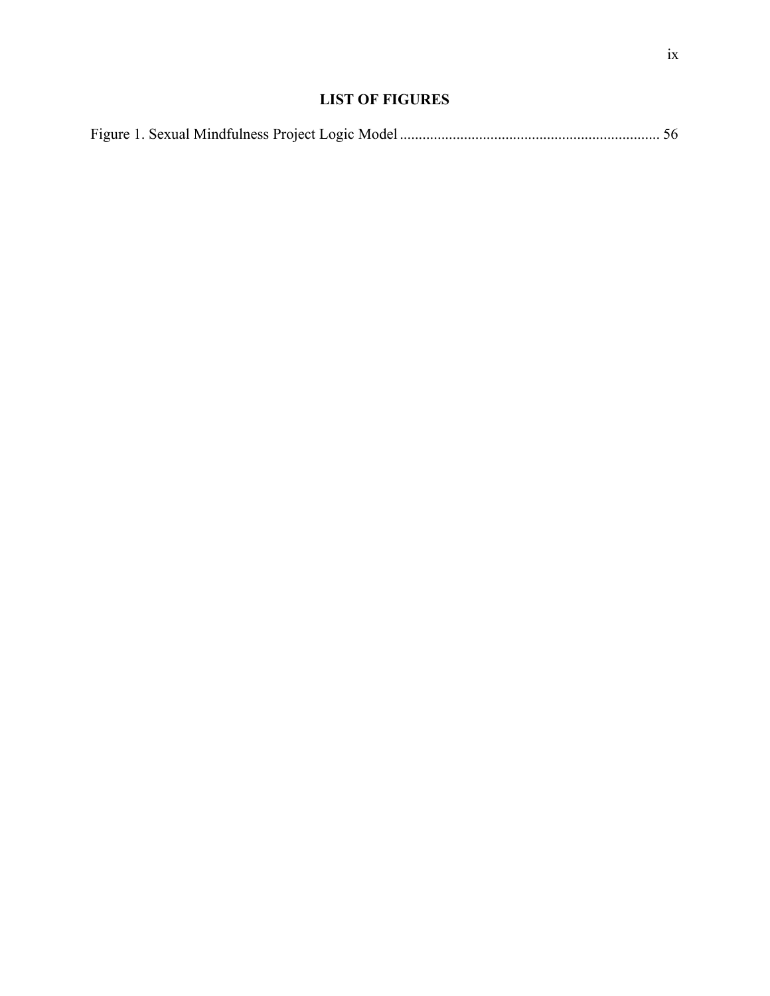## **LIST OF FIGURES**

<span id="page-9-0"></span>

|--|--|--|--|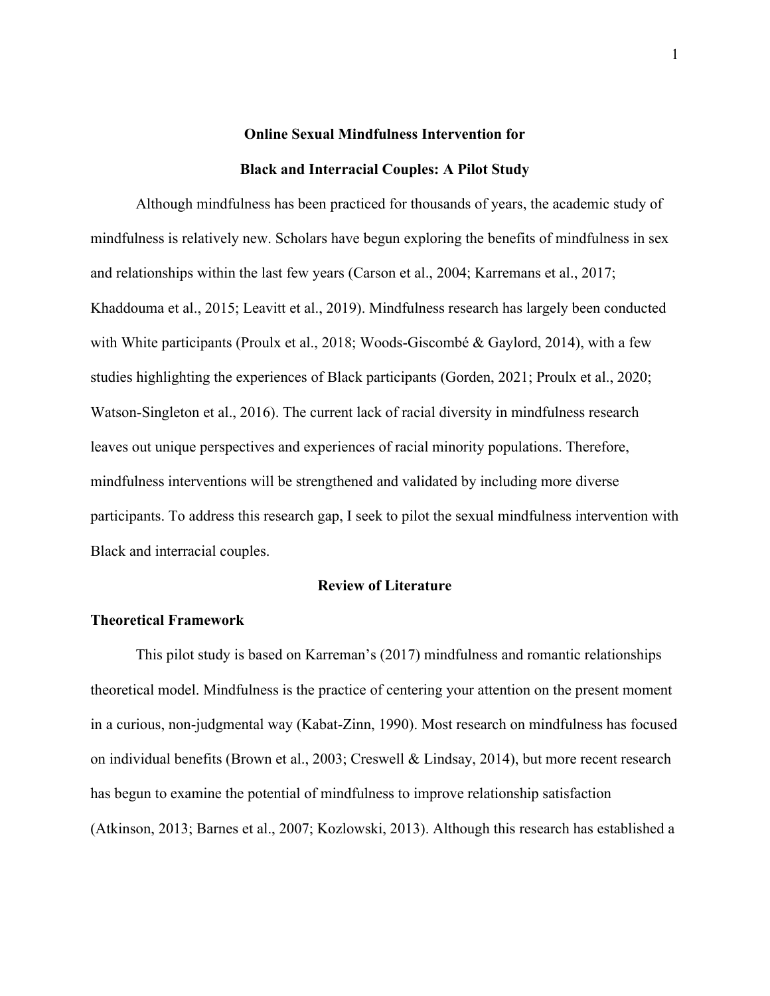# **Online Sexual Mindfulness Intervention for Black and Interracial Couples: A Pilot Study**

<span id="page-10-0"></span>Although mindfulness has been practiced for thousands of years, the academic study of mindfulness is relatively new. Scholars have begun exploring the benefits of mindfulness in sex and relationships within the last few years (Carson et al., 2004; Karremans et al., 2017; Khaddouma et al., 2015; Leavitt et al., 2019). Mindfulness research has largely been conducted with White participants (Proulx et al., 2018; Woods-Giscombé & Gaylord, 2014), with a few studies highlighting the experiences of Black participants (Gorden, 2021; Proulx et al., 2020; Watson-Singleton et al., 2016). The current lack of racial diversity in mindfulness research leaves out unique perspectives and experiences of racial minority populations. Therefore, mindfulness interventions will be strengthened and validated by including more diverse participants. To address this research gap, I seek to pilot the sexual mindfulness intervention with Black and interracial couples.

## **Review of Literature**

## <span id="page-10-2"></span><span id="page-10-1"></span>**Theoretical Framework**

This pilot study is based on Karreman's (2017) mindfulness and romantic relationships theoretical model. Mindfulness is the practice of centering your attention on the present moment in a curious, non-judgmental way (Kabat-Zinn, 1990). Most research on mindfulness has focused on individual benefits (Brown et al., 2003; Creswell & Lindsay, 2014), but more recent research has begun to examine the potential of mindfulness to improve relationship satisfaction (Atkinson, 2013; Barnes et al., 2007; Kozlowski, 2013). Although this research has established a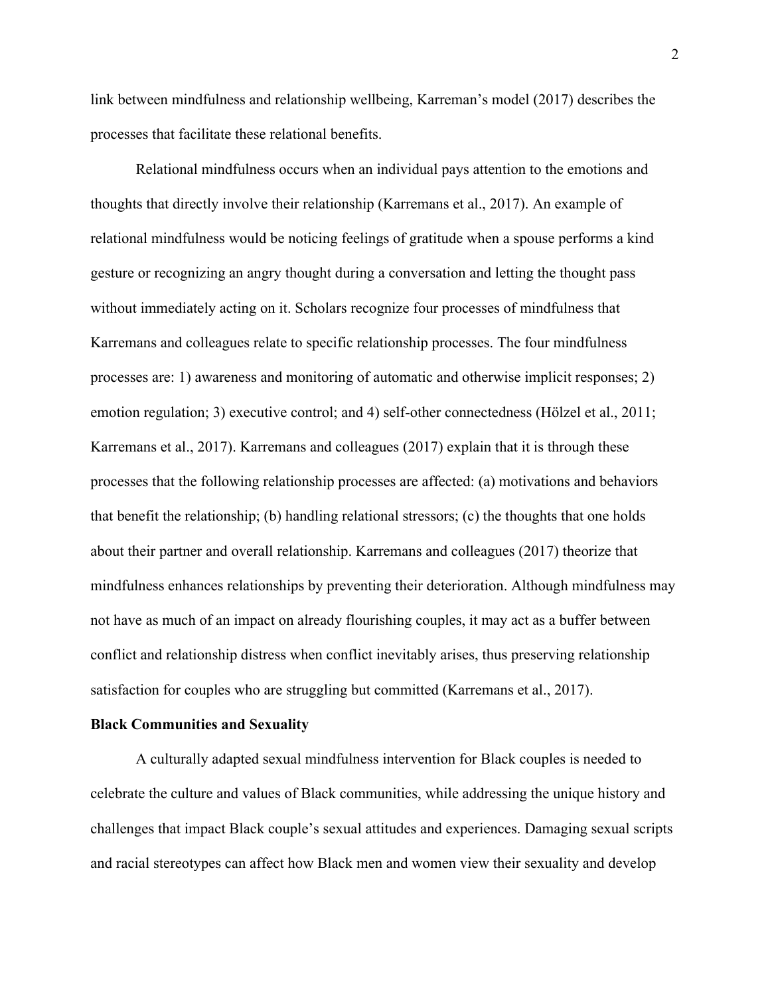link between mindfulness and relationship wellbeing, Karreman's model (2017) describes the processes that facilitate these relational benefits.

Relational mindfulness occurs when an individual pays attention to the emotions and thoughts that directly involve their relationship (Karremans et al., 2017). An example of relational mindfulness would be noticing feelings of gratitude when a spouse performs a kind gesture or recognizing an angry thought during a conversation and letting the thought pass without immediately acting on it. Scholars recognize four processes of mindfulness that Karremans and colleagues relate to specific relationship processes. The four mindfulness processes are: 1) awareness and monitoring of automatic and otherwise implicit responses; 2) emotion regulation; 3) executive control; and 4) self-other connectedness (Hölzel et al., 2011; Karremans et al., 2017). Karremans and colleagues (2017) explain that it is through these processes that the following relationship processes are affected: (a) motivations and behaviors that benefit the relationship; (b) handling relational stressors; (c) the thoughts that one holds about their partner and overall relationship. Karremans and colleagues (2017) theorize that mindfulness enhances relationships by preventing their deterioration. Although mindfulness may not have as much of an impact on already flourishing couples, it may act as a buffer between conflict and relationship distress when conflict inevitably arises, thus preserving relationship satisfaction for couples who are struggling but committed (Karremans et al., 2017).

#### <span id="page-11-0"></span>**Black Communities and Sexuality**

A culturally adapted sexual mindfulness intervention for Black couples is needed to celebrate the culture and values of Black communities, while addressing the unique history and challenges that impact Black couple's sexual attitudes and experiences. Damaging sexual scripts and racial stereotypes can affect how Black men and women view their sexuality and develop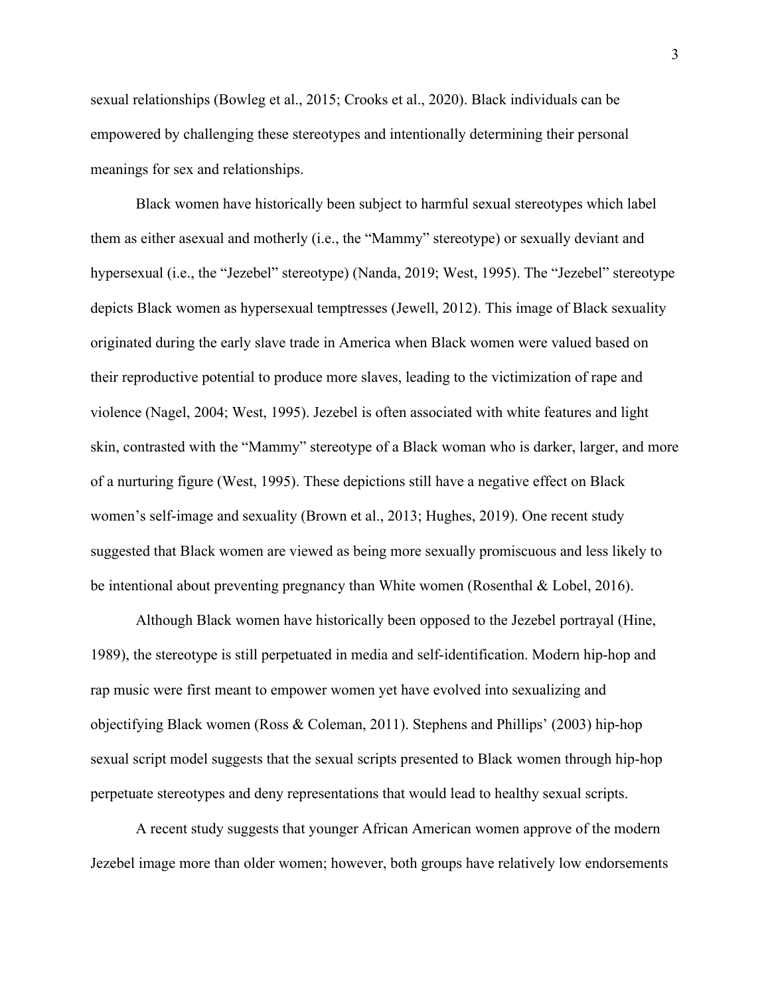sexual relationships (Bowleg et al., 2015; Crooks et al., 2020). Black individuals can be empowered by challenging these stereotypes and intentionally determining their personal meanings for sex and relationships.

Black women have historically been subject to harmful sexual stereotypes which label them as either asexual and motherly (i.e., the "Mammy" stereotype) or sexually deviant and hypersexual (i.e., the "Jezebel" stereotype) (Nanda, 2019; West, 1995). The "Jezebel" stereotype depicts Black women as hypersexual temptresses (Jewell, 2012). This image of Black sexuality originated during the early slave trade in America when Black women were valued based on their reproductive potential to produce more slaves, leading to the victimization of rape and violence (Nagel, 2004; West, 1995). Jezebel is often associated with white features and light skin, contrasted with the "Mammy" stereotype of a Black woman who is darker, larger, and more of a nurturing figure (West, 1995). These depictions still have a negative effect on Black women's self-image and sexuality (Brown et al., 2013; Hughes, 2019). One recent study suggested that Black women are viewed as being more sexually promiscuous and less likely to be intentional about preventing pregnancy than White women (Rosenthal & Lobel, 2016).

Although Black women have historically been opposed to the Jezebel portrayal (Hine, 1989), the stereotype is still perpetuated in media and self-identification. Modern hip-hop and rap music were first meant to empower women yet have evolved into sexualizing and objectifying Black women (Ross & Coleman, 2011). Stephens and Phillips' (2003) hip-hop sexual script model suggests that the sexual scripts presented to Black women through hip-hop perpetuate stereotypes and deny representations that would lead to healthy sexual scripts.

A recent study suggests that younger African American women approve of the modern Jezebel image more than older women; however, both groups have relatively low endorsements

3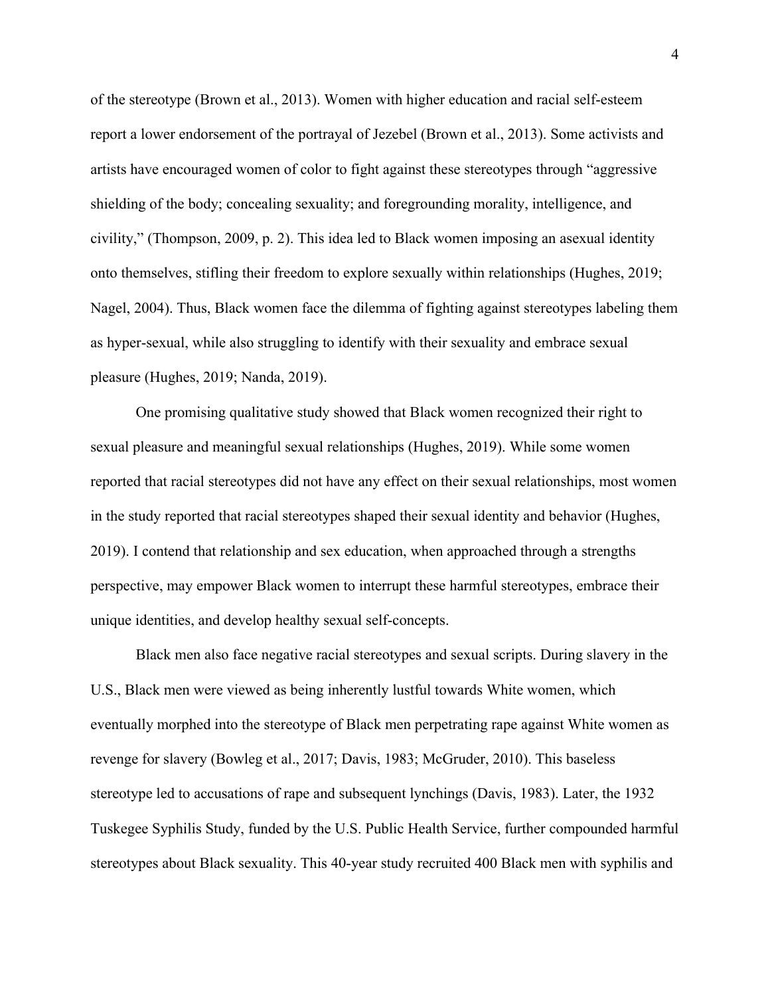of the stereotype (Brown et al., 2013). Women with higher education and racial self-esteem report a lower endorsement of the portrayal of Jezebel (Brown et al., 2013). Some activists and artists have encouraged women of color to fight against these stereotypes through "aggressive shielding of the body; concealing sexuality; and foregrounding morality, intelligence, and civility," (Thompson, 2009, p. 2). This idea led to Black women imposing an asexual identity onto themselves, stifling their freedom to explore sexually within relationships (Hughes, 2019; Nagel, 2004). Thus, Black women face the dilemma of fighting against stereotypes labeling them as hyper-sexual, while also struggling to identify with their sexuality and embrace sexual pleasure (Hughes, 2019; Nanda, 2019).

One promising qualitative study showed that Black women recognized their right to sexual pleasure and meaningful sexual relationships (Hughes, 2019). While some women reported that racial stereotypes did not have any effect on their sexual relationships, most women in the study reported that racial stereotypes shaped their sexual identity and behavior (Hughes, 2019). I contend that relationship and sex education, when approached through a strengths perspective, may empower Black women to interrupt these harmful stereotypes, embrace their unique identities, and develop healthy sexual self-concepts.

Black men also face negative racial stereotypes and sexual scripts. During slavery in the U.S., Black men were viewed as being inherently lustful towards White women, which eventually morphed into the stereotype of Black men perpetrating rape against White women as revenge for slavery (Bowleg et al., 2017; Davis, 1983; McGruder, 2010). This baseless stereotype led to accusations of rape and subsequent lynchings (Davis, 1983). Later, the 1932 Tuskegee Syphilis Study, funded by the U.S. Public Health Service, further compounded harmful stereotypes about Black sexuality. This 40-year study recruited 400 Black men with syphilis and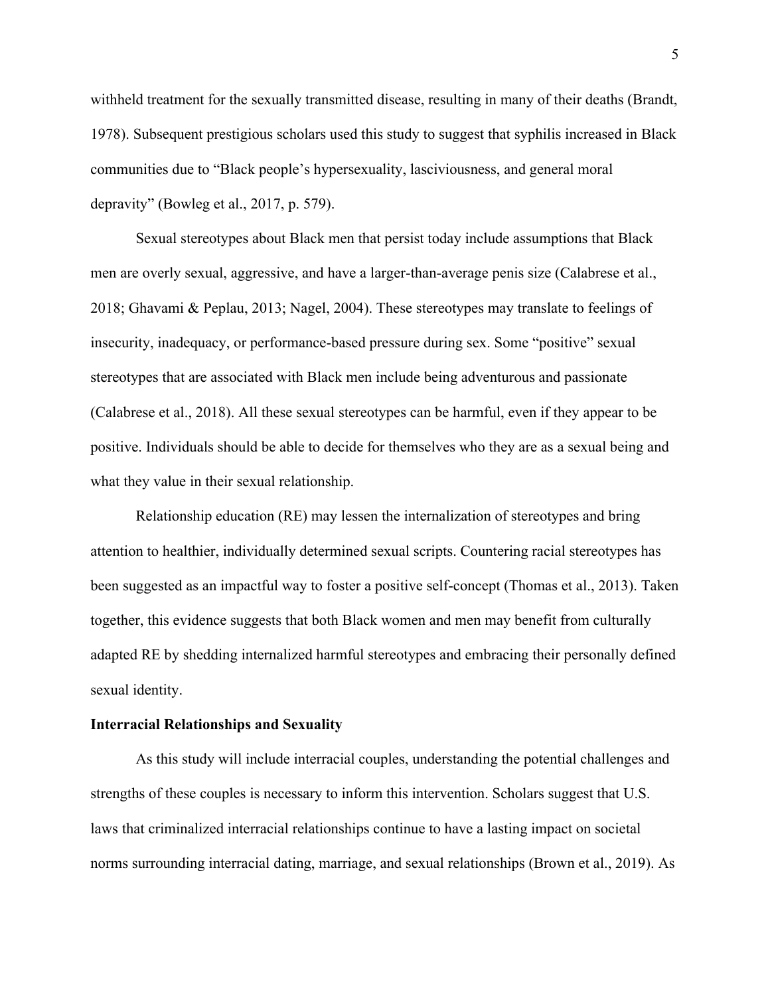withheld treatment for the sexually transmitted disease, resulting in many of their deaths (Brandt, 1978). Subsequent prestigious scholars used this study to suggest that syphilis increased in Black communities due to "Black people's hypersexuality, lasciviousness, and general moral depravity" (Bowleg et al., 2017, p. 579).

Sexual stereotypes about Black men that persist today include assumptions that Black men are overly sexual, aggressive, and have a larger-than-average penis size (Calabrese et al., 2018; Ghavami & Peplau, 2013; Nagel, 2004). These stereotypes may translate to feelings of insecurity, inadequacy, or performance-based pressure during sex. Some "positive" sexual stereotypes that are associated with Black men include being adventurous and passionate (Calabrese et al., 2018). All these sexual stereotypes can be harmful, even if they appear to be positive. Individuals should be able to decide for themselves who they are as a sexual being and what they value in their sexual relationship.

Relationship education (RE) may lessen the internalization of stereotypes and bring attention to healthier, individually determined sexual scripts. Countering racial stereotypes has been suggested as an impactful way to foster a positive self-concept (Thomas et al., 2013). Taken together, this evidence suggests that both Black women and men may benefit from culturally adapted RE by shedding internalized harmful stereotypes and embracing their personally defined sexual identity.

#### <span id="page-14-0"></span>**Interracial Relationships and Sexuality**

As this study will include interracial couples, understanding the potential challenges and strengths of these couples is necessary to inform this intervention. Scholars suggest that U.S. laws that criminalized interracial relationships continue to have a lasting impact on societal norms surrounding interracial dating, marriage, and sexual relationships (Brown et al., 2019). As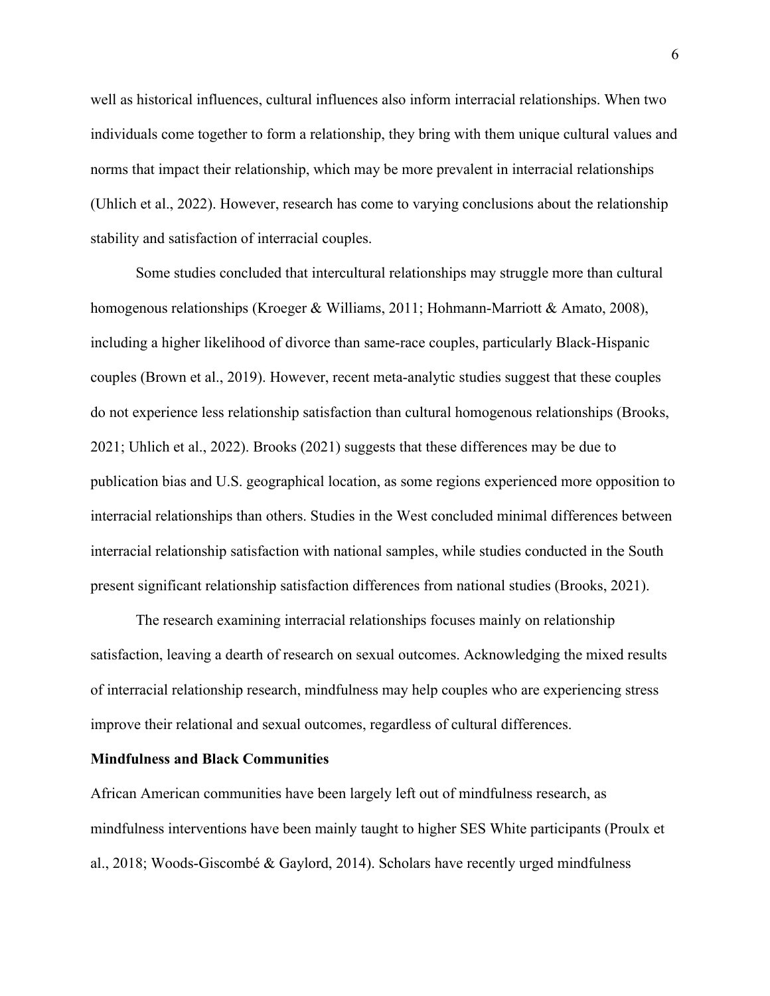well as historical influences, cultural influences also inform interracial relationships. When two individuals come together to form a relationship, they bring with them unique cultural values and norms that impact their relationship, which may be more prevalent in interracial relationships (Uhlich et al., 2022). However, research has come to varying conclusions about the relationship stability and satisfaction of interracial couples.

Some studies concluded that intercultural relationships may struggle more than cultural homogenous relationships (Kroeger & Williams, 2011; Hohmann-Marriott & Amato, 2008), including a higher likelihood of divorce than same-race couples, particularly Black-Hispanic couples (Brown et al., 2019). However, recent meta-analytic studies suggest that these couples do not experience less relationship satisfaction than cultural homogenous relationships (Brooks, 2021; Uhlich et al., 2022). Brooks (2021) suggests that these differences may be due to publication bias and U.S. geographical location, as some regions experienced more opposition to interracial relationships than others. Studies in the West concluded minimal differences between interracial relationship satisfaction with national samples, while studies conducted in the South present significant relationship satisfaction differences from national studies (Brooks, 2021).

The research examining interracial relationships focuses mainly on relationship satisfaction, leaving a dearth of research on sexual outcomes. Acknowledging the mixed results of interracial relationship research, mindfulness may help couples who are experiencing stress improve their relational and sexual outcomes, regardless of cultural differences.

### <span id="page-15-0"></span>**Mindfulness and Black Communities**

African American communities have been largely left out of mindfulness research, as mindfulness interventions have been mainly taught to higher SES White participants (Proulx et al., 2018; Woods-Giscombé & Gaylord, 2014). Scholars have recently urged mindfulness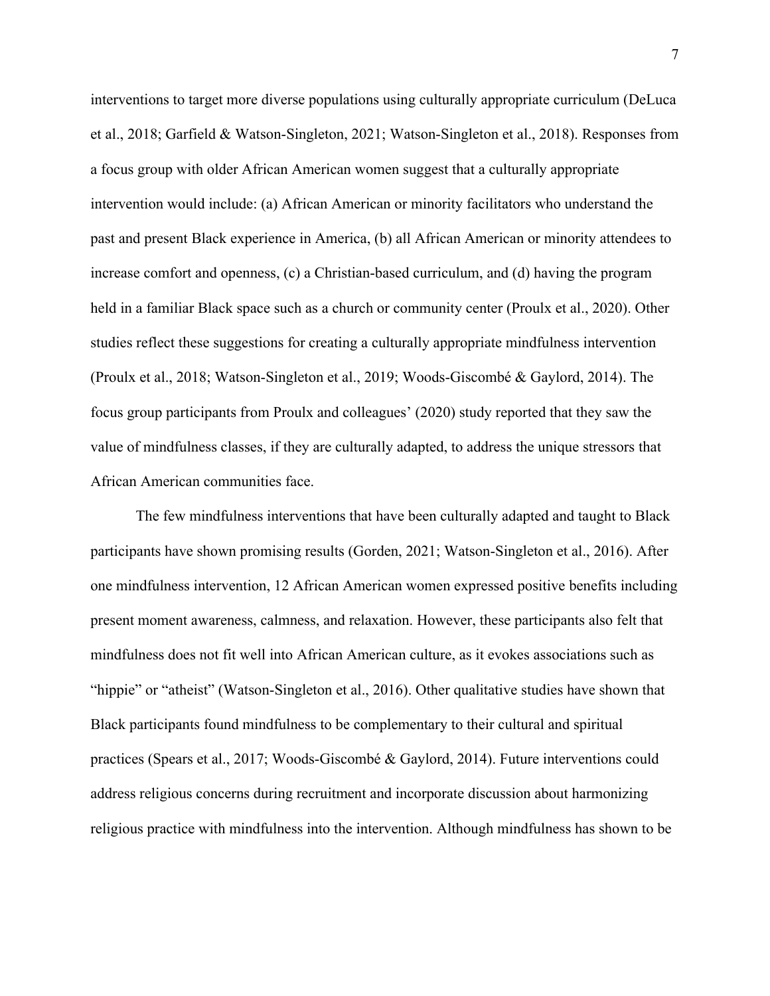interventions to target more diverse populations using culturally appropriate curriculum (DeLuca et al., 2018; Garfield & Watson-Singleton, 2021; Watson-Singleton et al., 2018). Responses from a focus group with older African American women suggest that a culturally appropriate intervention would include: (a) African American or minority facilitators who understand the past and present Black experience in America, (b) all African American or minority attendees to increase comfort and openness, (c) a Christian-based curriculum, and (d) having the program held in a familiar Black space such as a church or community center (Proulx et al., 2020). Other studies reflect these suggestions for creating a culturally appropriate mindfulness intervention (Proulx et al., 2018; Watson-Singleton et al., 2019; Woods-Giscombé & Gaylord, 2014). The focus group participants from Proulx and colleagues' (2020) study reported that they saw the value of mindfulness classes, if they are culturally adapted, to address the unique stressors that African American communities face.

The few mindfulness interventions that have been culturally adapted and taught to Black participants have shown promising results (Gorden, 2021; Watson-Singleton et al., 2016). After one mindfulness intervention, 12 African American women expressed positive benefits including present moment awareness, calmness, and relaxation. However, these participants also felt that mindfulness does not fit well into African American culture, as it evokes associations such as "hippie" or "atheist" (Watson-Singleton et al., 2016). Other qualitative studies have shown that Black participants found mindfulness to be complementary to their cultural and spiritual practices (Spears et al., 2017; Woods-Giscombé & Gaylord, 2014). Future interventions could address religious concerns during recruitment and incorporate discussion about harmonizing religious practice with mindfulness into the intervention. Although mindfulness has shown to be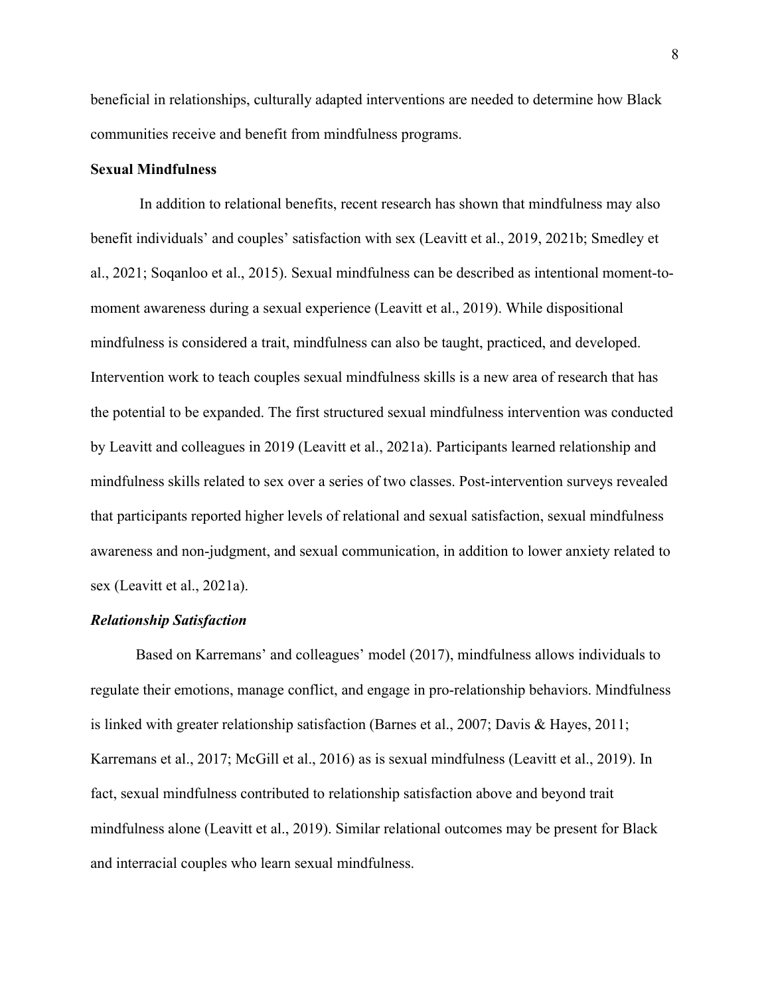beneficial in relationships, culturally adapted interventions are needed to determine how Black communities receive and benefit from mindfulness programs.

## <span id="page-17-0"></span>**Sexual Mindfulness**

In addition to relational benefits, recent research has shown that mindfulness may also benefit individuals' and couples' satisfaction with sex (Leavitt et al., 2019, 2021b; Smedley et al., 2021; Soqanloo et al., 2015). Sexual mindfulness can be described as intentional moment-tomoment awareness during a sexual experience (Leavitt et al., 2019). While dispositional mindfulness is considered a trait, mindfulness can also be taught, practiced, and developed. Intervention work to teach couples sexual mindfulness skills is a new area of research that has the potential to be expanded. The first structured sexual mindfulness intervention was conducted by Leavitt and colleagues in 2019 (Leavitt et al., 2021a). Participants learned relationship and mindfulness skills related to sex over a series of two classes. Post-intervention surveys revealed that participants reported higher levels of relational and sexual satisfaction, sexual mindfulness awareness and non-judgment, and sexual communication, in addition to lower anxiety related to sex (Leavitt et al., 2021a).

## <span id="page-17-1"></span>*Relationship Satisfaction*

Based on Karremans' and colleagues' model (2017), mindfulness allows individuals to regulate their emotions, manage conflict, and engage in pro-relationship behaviors. Mindfulness is linked with greater relationship satisfaction (Barnes et al., 2007; Davis & Hayes, 2011; Karremans et al., 2017; McGill et al., 2016) as is sexual mindfulness (Leavitt et al., 2019). In fact, sexual mindfulness contributed to relationship satisfaction above and beyond trait mindfulness alone (Leavitt et al., 2019). Similar relational outcomes may be present for Black and interracial couples who learn sexual mindfulness.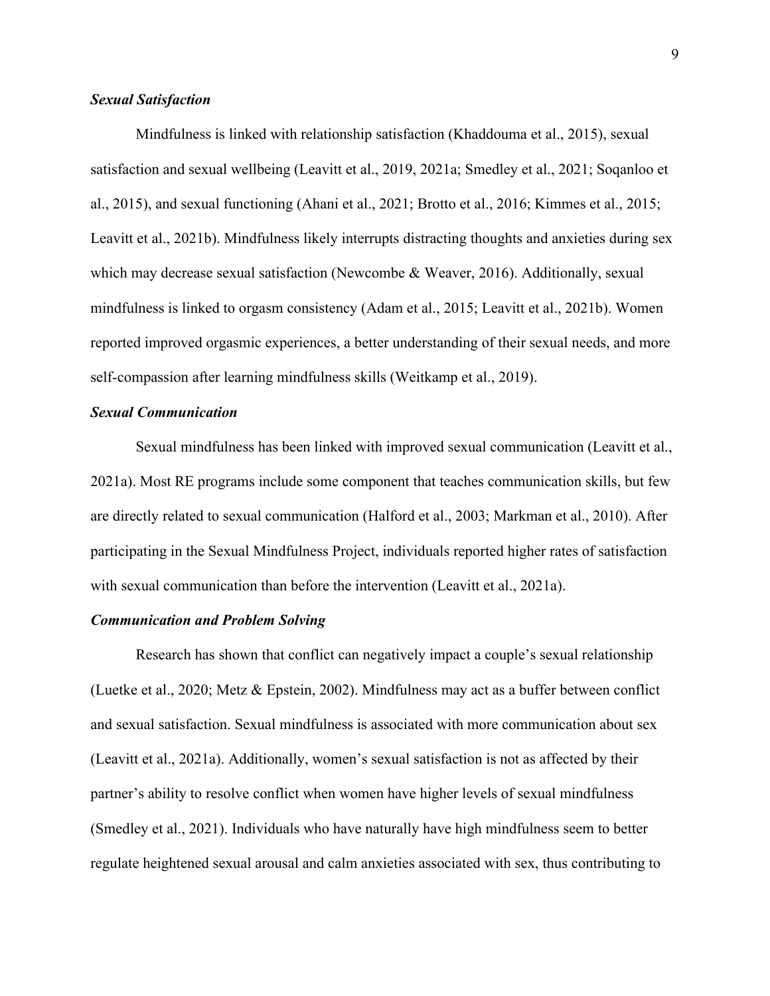## <span id="page-18-0"></span>*Sexual Satisfaction*

Mindfulness is linked with relationship satisfaction (Khaddouma et al., 2015), sexual satisfaction and sexual wellbeing (Leavitt et al., 2019, 2021a; Smedley et al., 2021; Soqanloo et al., 2015), and sexual functioning (Ahani et al., 2021; Brotto et al., 2016; Kimmes et al., 2015; Leavitt et al., 2021b). Mindfulness likely interrupts distracting thoughts and anxieties during sex which may decrease sexual satisfaction (Newcombe & Weaver, 2016). Additionally, sexual mindfulness is linked to orgasm consistency (Adam et al., 2015; Leavitt et al., 2021b). Women reported improved orgasmic experiences, a better understanding of their sexual needs, and more self-compassion after learning mindfulness skills (Weitkamp et al., 2019).

## <span id="page-18-1"></span>*Sexual Communication*

Sexual mindfulness has been linked with improved sexual communication (Leavitt et al., 2021a). Most RE programs include some component that teaches communication skills, but few are directly related to sexual communication (Halford et al., 2003; Markman et al., 2010). After participating in the Sexual Mindfulness Project, individuals reported higher rates of satisfaction with sexual communication than before the intervention (Leavitt et al., 2021a).

## <span id="page-18-2"></span>*Communication and Problem Solving*

Research has shown that conflict can negatively impact a couple's sexual relationship (Luetke et al., 2020; Metz & Epstein, 2002). Mindfulness may act as a buffer between conflict and sexual satisfaction. Sexual mindfulness is associated with more communication about sex (Leavitt et al., 2021a). Additionally, women's sexual satisfaction is not as affected by their partner's ability to resolve conflict when women have higher levels of sexual mindfulness (Smedley et al., 2021). Individuals who have naturally have high mindfulness seem to better regulate heightened sexual arousal and calm anxieties associated with sex, thus contributing to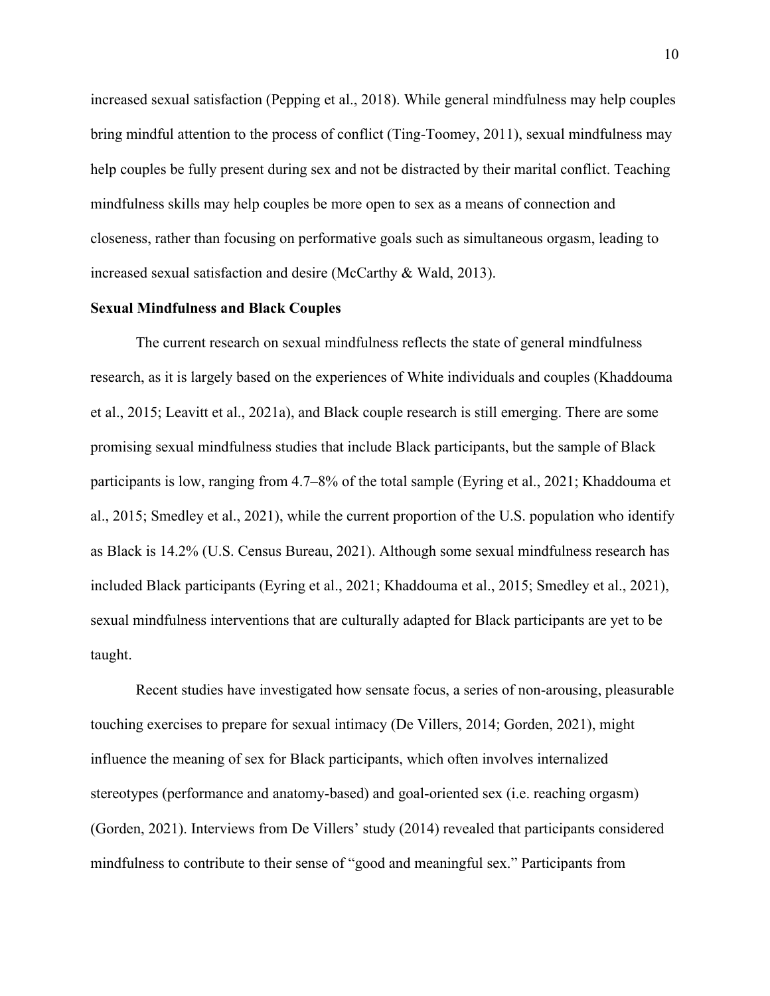increased sexual satisfaction (Pepping et al., 2018). While general mindfulness may help couples bring mindful attention to the process of conflict (Ting-Toomey, 2011), sexual mindfulness may help couples be fully present during sex and not be distracted by their marital conflict. Teaching mindfulness skills may help couples be more open to sex as a means of connection and closeness, rather than focusing on performative goals such as simultaneous orgasm, leading to increased sexual satisfaction and desire (McCarthy & Wald, 2013).

## <span id="page-19-0"></span>**Sexual Mindfulness and Black Couples**

The current research on sexual mindfulness reflects the state of general mindfulness research, as it is largely based on the experiences of White individuals and couples (Khaddouma et al., 2015; Leavitt et al., 2021a), and Black couple research is still emerging. There are some promising sexual mindfulness studies that include Black participants, but the sample of Black participants is low, ranging from 4.7–8% of the total sample (Eyring et al., 2021; Khaddouma et al., 2015; Smedley et al., 2021), while the current proportion of the U.S. population who identify as Black is 14.2% (U.S. Census Bureau, 2021). Although some sexual mindfulness research has included Black participants (Eyring et al., 2021; Khaddouma et al., 2015; Smedley et al., 2021), sexual mindfulness interventions that are culturally adapted for Black participants are yet to be taught.

Recent studies have investigated how sensate focus, a series of non-arousing, pleasurable touching exercises to prepare for sexual intimacy (De Villers, 2014; Gorden, 2021), might influence the meaning of sex for Black participants, which often involves internalized stereotypes (performance and anatomy-based) and goal-oriented sex (i.e. reaching orgasm) (Gorden, 2021). Interviews from De Villers' study (2014) revealed that participants considered mindfulness to contribute to their sense of "good and meaningful sex." Participants from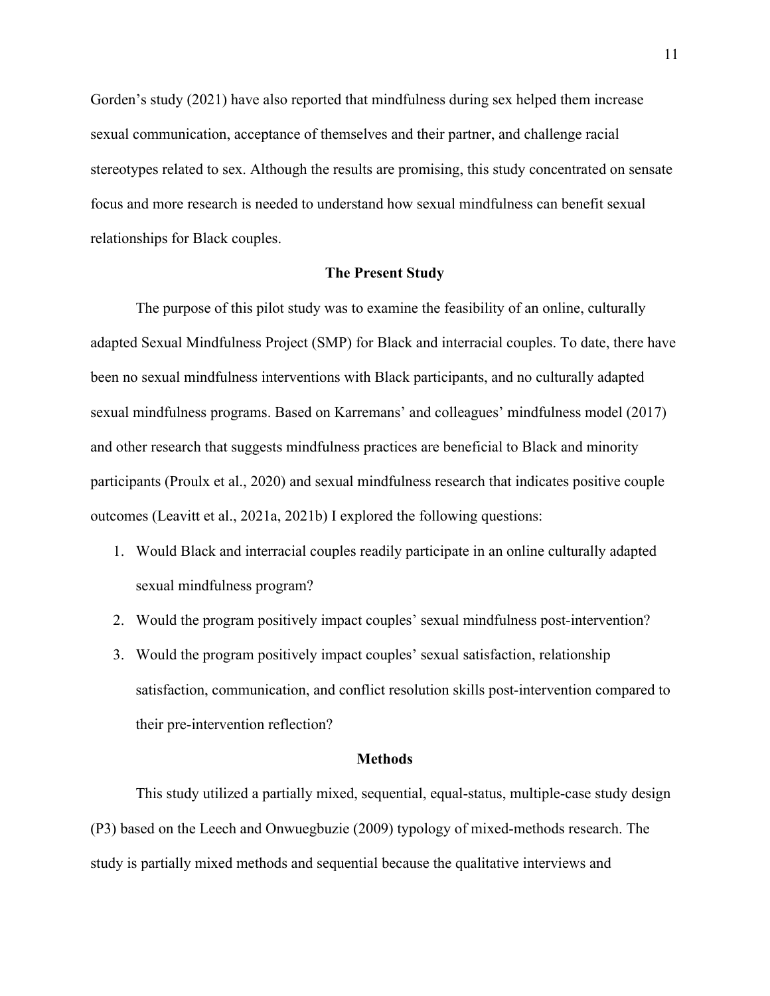Gorden's study (2021) have also reported that mindfulness during sex helped them increase sexual communication, acceptance of themselves and their partner, and challenge racial stereotypes related to sex. Although the results are promising, this study concentrated on sensate focus and more research is needed to understand how sexual mindfulness can benefit sexual relationships for Black couples.

## **The Present Study**

<span id="page-20-0"></span>The purpose of this pilot study was to examine the feasibility of an online, culturally adapted Sexual Mindfulness Project (SMP) for Black and interracial couples. To date, there have been no sexual mindfulness interventions with Black participants, and no culturally adapted sexual mindfulness programs. Based on Karremans' and colleagues' mindfulness model (2017) and other research that suggests mindfulness practices are beneficial to Black and minority participants (Proulx et al., 2020) and sexual mindfulness research that indicates positive couple outcomes (Leavitt et al., 2021a, 2021b) I explored the following questions:

- 1. Would Black and interracial couples readily participate in an online culturally adapted sexual mindfulness program?
- 2. Would the program positively impact couples' sexual mindfulness post-intervention?
- 3. Would the program positively impact couples' sexual satisfaction, relationship satisfaction, communication, and conflict resolution skills post-intervention compared to their pre-intervention reflection?

## **Methods**

<span id="page-20-1"></span>This study utilized a partially mixed, sequential, equal-status, multiple-case study design (P3) based on the Leech and Onwuegbuzie (2009) typology of mixed-methods research. The study is partially mixed methods and sequential because the qualitative interviews and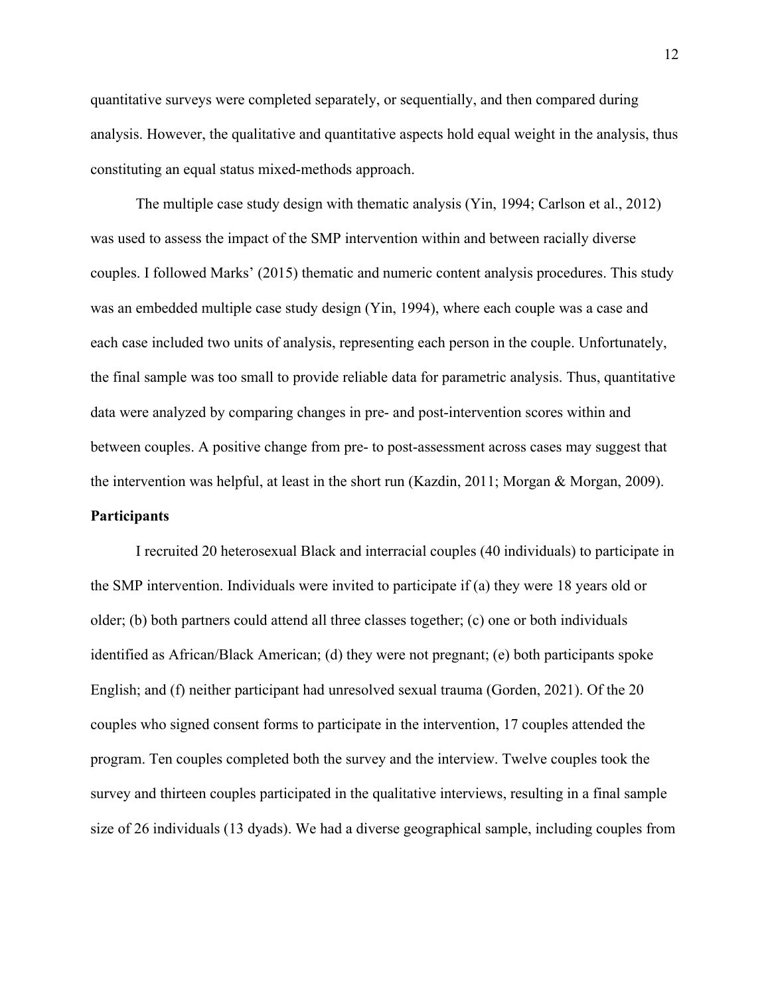quantitative surveys were completed separately, or sequentially, and then compared during analysis. However, the qualitative and quantitative aspects hold equal weight in the analysis, thus constituting an equal status mixed-methods approach.

The multiple case study design with thematic analysis (Yin, 1994; Carlson et al., 2012) was used to assess the impact of the SMP intervention within and between racially diverse couples. I followed Marks' (2015) thematic and numeric content analysis procedures. This study was an embedded multiple case study design (Yin, 1994), where each couple was a case and each case included two units of analysis, representing each person in the couple. Unfortunately, the final sample was too small to provide reliable data for parametric analysis. Thus, quantitative data were analyzed by comparing changes in pre- and post-intervention scores within and between couples. A positive change from pre- to post-assessment across cases may suggest that the intervention was helpful, at least in the short run (Kazdin, 2011; Morgan & Morgan, 2009). **Participants**

<span id="page-21-0"></span>I recruited 20 heterosexual Black and interracial couples (40 individuals) to participate in the SMP intervention. Individuals were invited to participate if (a) they were 18 years old or older; (b) both partners could attend all three classes together; (c) one or both individuals identified as African/Black American; (d) they were not pregnant; (e) both participants spoke English; and (f) neither participant had unresolved sexual trauma (Gorden, 2021). Of the 20 couples who signed consent forms to participate in the intervention, 17 couples attended the program. Ten couples completed both the survey and the interview. Twelve couples took the survey and thirteen couples participated in the qualitative interviews, resulting in a final sample size of 26 individuals (13 dyads). We had a diverse geographical sample, including couples from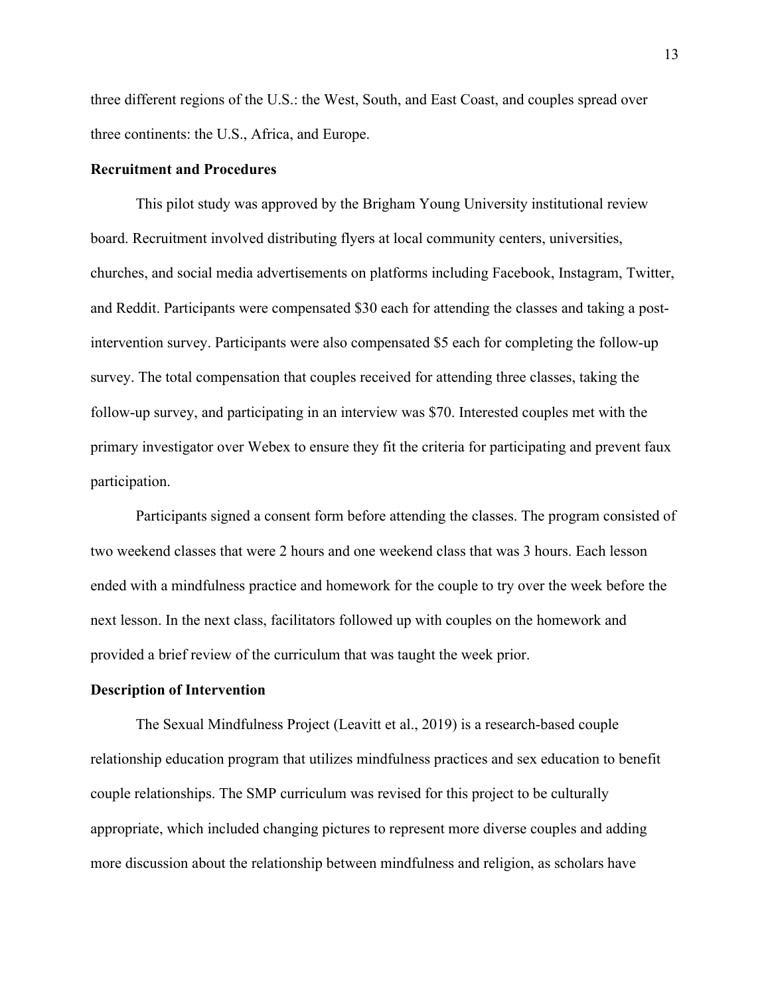three different regions of the U.S.: the West, South, and East Coast, and couples spread over three continents: the U.S., Africa, and Europe.

## <span id="page-22-0"></span>**Recruitment and Procedures**

This pilot study was approved by the Brigham Young University institutional review board. Recruitment involved distributing flyers at local community centers, universities, churches, and social media advertisements on platforms including Facebook, Instagram, Twitter, and Reddit. Participants were compensated \$30 each for attending the classes and taking a postintervention survey. Participants were also compensated \$5 each for completing the follow-up survey. The total compensation that couples received for attending three classes, taking the follow-up survey, and participating in an interview was \$70. Interested couples met with the primary investigator over Webex to ensure they fit the criteria for participating and prevent faux participation.

Participants signed a consent form before attending the classes. The program consisted of two weekend classes that were 2 hours and one weekend class that was 3 hours. Each lesson ended with a mindfulness practice and homework for the couple to try over the week before the next lesson. In the next class, facilitators followed up with couples on the homework and provided a brief review of the curriculum that was taught the week prior.

#### <span id="page-22-1"></span>**Description of Intervention**

The Sexual Mindfulness Project (Leavitt et al., 2019) is a research-based couple relationship education program that utilizes mindfulness practices and sex education to benefit couple relationships. The SMP curriculum was revised for this project to be culturally appropriate, which included changing pictures to represent more diverse couples and adding more discussion about the relationship between mindfulness and religion, as scholars have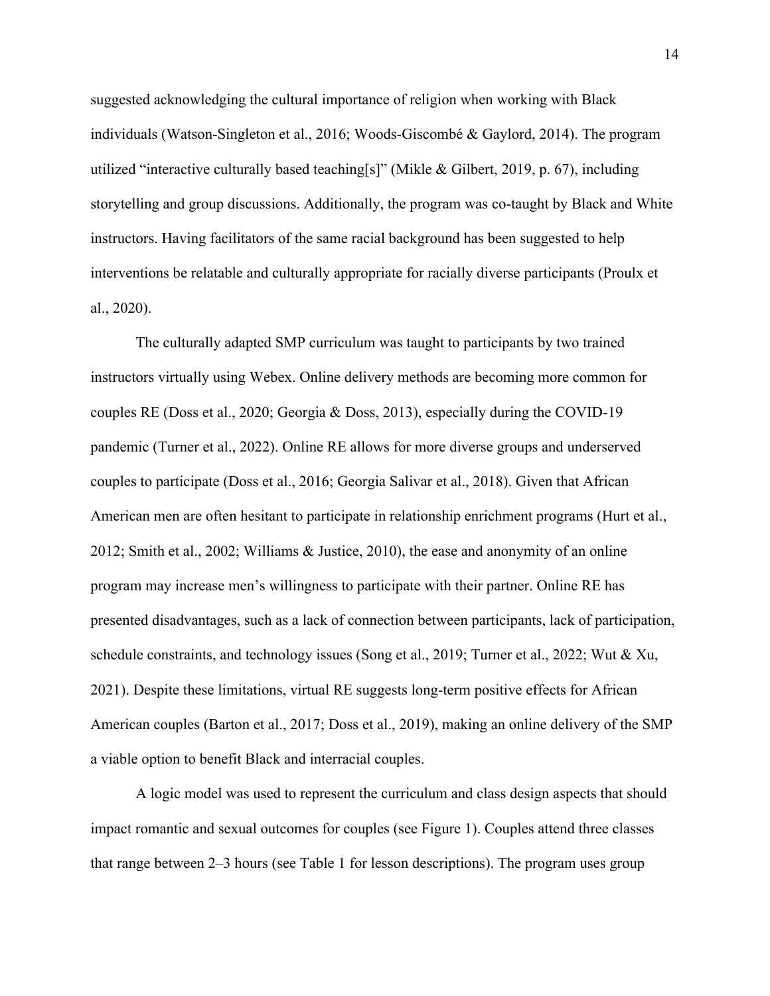suggested acknowledging the cultural importance of religion when working with Black individuals (Watson-Singleton et al., 2016; Woods-Giscombé & Gaylord, 2014). The program utilized "interactive culturally based teaching[s]" (Mikle & Gilbert, 2019, p. 67), including storytelling and group discussions. Additionally, the program was co-taught by Black and White instructors. Having facilitators of the same racial background has been suggested to help interventions be relatable and culturally appropriate for racially diverse participants (Proulx et al., 2020).

The culturally adapted SMP curriculum was taught to participants by two trained instructors virtually using Webex. Online delivery methods are becoming more common for couples RE (Doss et al., 2020; Georgia & Doss, 2013), especially during the COVID-19 pandemic (Turner et al., 2022). Online RE allows for more diverse groups and underserved couples to participate (Doss et al., 2016; Georgia Salivar et al., 2018). Given that African American men are often hesitant to participate in relationship enrichment programs (Hurt et al., 2012; Smith et al., 2002; Williams & Justice, 2010), the ease and anonymity of an online program may increase men's willingness to participate with their partner. Online RE has presented disadvantages, such as a lack of connection between participants, lack of participation, schedule constraints, and technology issues (Song et al., 2019; Turner et al., 2022; Wut & Xu, 2021). Despite these limitations, virtual RE suggests long-term positive effects for African American couples (Barton et al., 2017; Doss et al., 2019), making an online delivery of the SMP a viable option to benefit Black and interracial couples.

A logic model was used to represent the curriculum and class design aspects that should impact romantic and sexual outcomes for couples (see Figure 1). Couples attend three classes that range between 2–3 hours (see Table 1 for lesson descriptions). The program uses group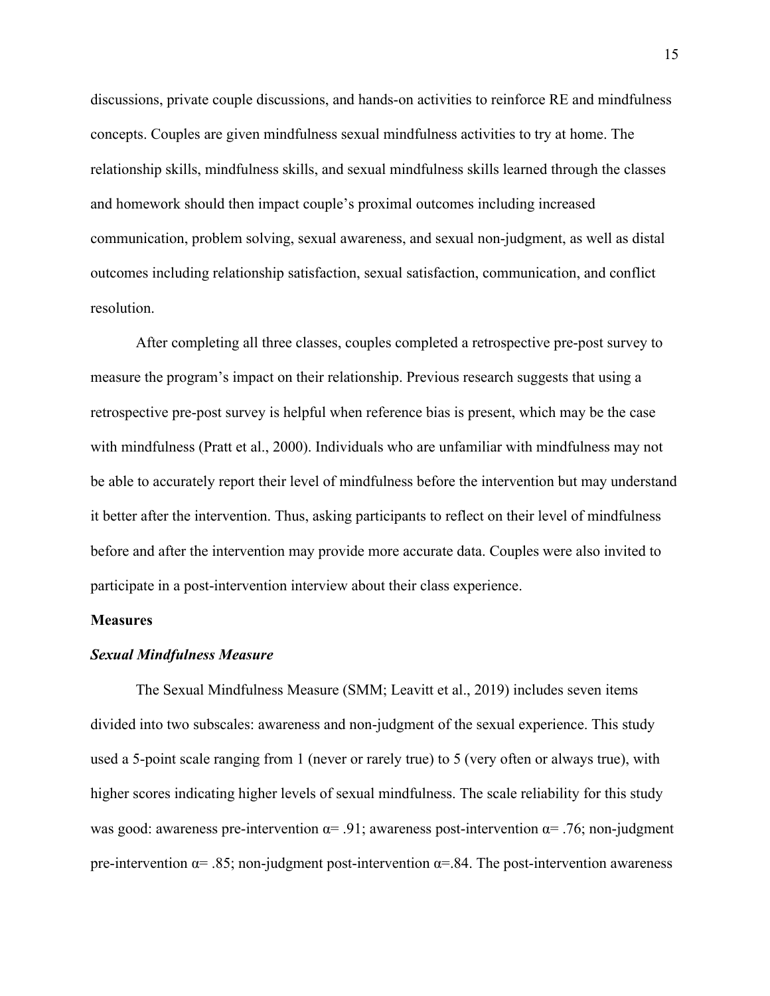discussions, private couple discussions, and hands-on activities to reinforce RE and mindfulness concepts. Couples are given mindfulness sexual mindfulness activities to try at home. The relationship skills, mindfulness skills, and sexual mindfulness skills learned through the classes and homework should then impact couple's proximal outcomes including increased communication, problem solving, sexual awareness, and sexual non-judgment, as well as distal outcomes including relationship satisfaction, sexual satisfaction, communication, and conflict resolution.

After completing all three classes, couples completed a retrospective pre-post survey to measure the program's impact on their relationship. Previous research suggests that using a retrospective pre-post survey is helpful when reference bias is present, which may be the case with mindfulness (Pratt et al., 2000). Individuals who are unfamiliar with mindfulness may not be able to accurately report their level of mindfulness before the intervention but may understand it better after the intervention. Thus, asking participants to reflect on their level of mindfulness before and after the intervention may provide more accurate data. Couples were also invited to participate in a post-intervention interview about their class experience.

## <span id="page-24-0"></span>**Measures**

## <span id="page-24-1"></span>*Sexual Mindfulness Measure*

The Sexual Mindfulness Measure (SMM; Leavitt et al., 2019) includes seven items divided into two subscales: awareness and non-judgment of the sexual experience. This study used a 5-point scale ranging from 1 (never or rarely true) to 5 (very often or always true), with higher scores indicating higher levels of sexual mindfulness. The scale reliability for this study was good: awareness pre-intervention  $\alpha = .91$ ; awareness post-intervention  $\alpha = .76$ ; non-judgment pre-intervention  $\alpha$  = .85; non-judgment post-intervention  $\alpha$  = .84. The post-intervention awareness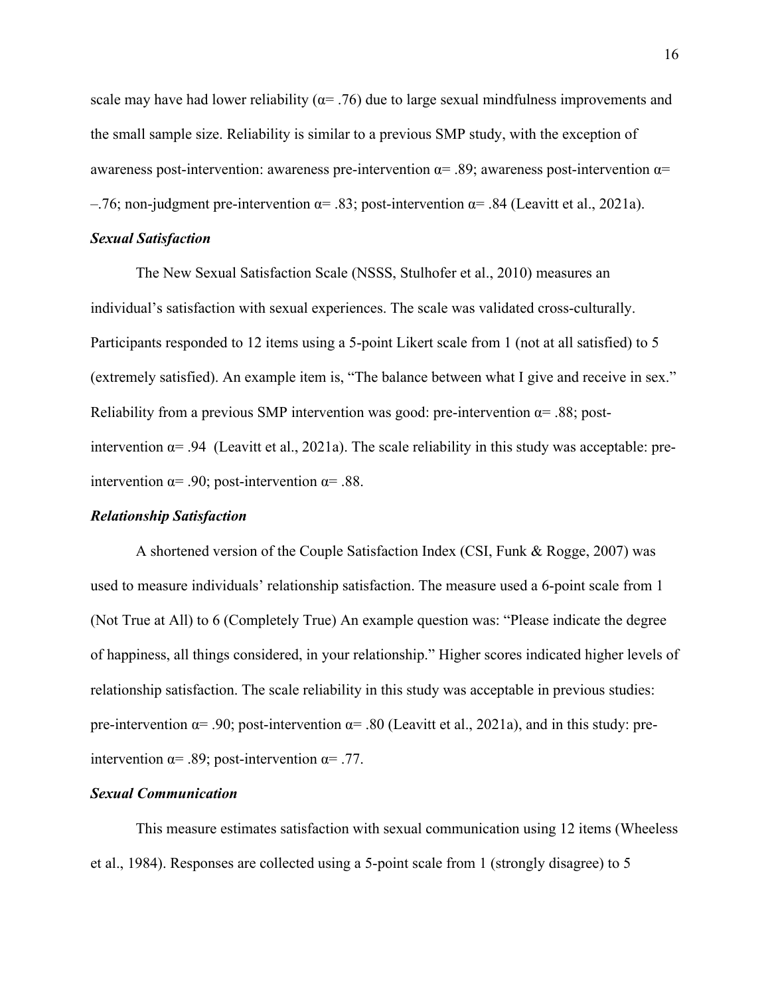scale may have had lower reliability ( $\alpha$ = .76) due to large sexual mindfulness improvements and the small sample size. Reliability is similar to a previous SMP study, with the exception of awareness post-intervention: awareness pre-intervention  $\alpha$ = .89; awareness post-intervention  $\alpha$ = –.76; non-judgment pre-intervention  $\alpha$ = .83; post-intervention  $\alpha$ = .84 (Leavitt et al., 2021a).

## <span id="page-25-0"></span>*Sexual Satisfaction*

The New Sexual Satisfaction Scale (NSSS, Stulhofer et al., 2010) measures an individual's satisfaction with sexual experiences. The scale was validated cross-culturally. Participants responded to 12 items using a 5-point Likert scale from 1 (not at all satisfied) to 5 (extremely satisfied). An example item is, "The balance between what I give and receive in sex." Reliability from a previous SMP intervention was good: pre-intervention  $\alpha$ = .88; postintervention  $\alpha$ = .94 (Leavitt et al., 2021a). The scale reliability in this study was acceptable: preintervention  $\alpha$ = .90; post-intervention  $\alpha$ = .88.

## <span id="page-25-1"></span>*Relationship Satisfaction*

A shortened version of the Couple Satisfaction Index (CSI, Funk & Rogge, 2007) was used to measure individuals' relationship satisfaction. The measure used a 6-point scale from 1 (Not True at All) to 6 (Completely True) An example question was: "Please indicate the degree of happiness, all things considered, in your relationship." Higher scores indicated higher levels of relationship satisfaction. The scale reliability in this study was acceptable in previous studies: pre-intervention  $\alpha$ = .90; post-intervention  $\alpha$ = .80 (Leavitt et al., 2021a), and in this study: preintervention  $\alpha$ = .89; post-intervention  $\alpha$ = .77.

## <span id="page-25-2"></span>*Sexual Communication*

This measure estimates satisfaction with sexual communication using 12 items (Wheeless et al., 1984). Responses are collected using a 5-point scale from 1 (strongly disagree) to 5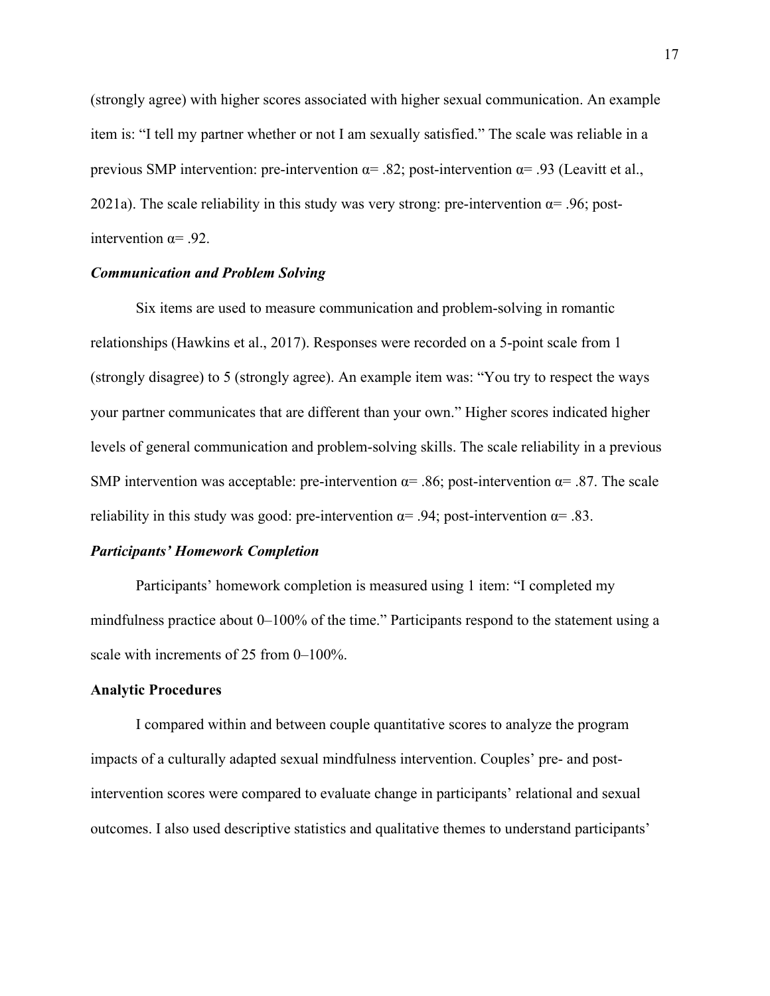(strongly agree) with higher scores associated with higher sexual communication. An example item is: "I tell my partner whether or not I am sexually satisfied." The scale was reliable in a previous SMP intervention: pre-intervention  $\alpha$ = .82; post-intervention  $\alpha$ = .93 (Leavitt et al., 2021a). The scale reliability in this study was very strong: pre-intervention  $\alpha$ = .96; postintervention  $\alpha = .92$ .

## <span id="page-26-0"></span>*Communication and Problem Solving*

Six items are used to measure communication and problem-solving in romantic relationships (Hawkins et al., 2017). Responses were recorded on a 5-point scale from 1 (strongly disagree) to 5 (strongly agree). An example item was: "You try to respect the ways your partner communicates that are different than your own." Higher scores indicated higher levels of general communication and problem-solving skills. The scale reliability in a previous SMP intervention was acceptable: pre-intervention  $\alpha$ = .86; post-intervention  $\alpha$ = .87. The scale reliability in this study was good: pre-intervention  $\alpha = .94$ ; post-intervention  $\alpha = .83$ .

#### <span id="page-26-1"></span>*Participants' Homework Completion*

Participants' homework completion is measured using 1 item: "I completed my mindfulness practice about 0–100% of the time." Participants respond to the statement using a scale with increments of 25 from 0–100%.

#### <span id="page-26-2"></span>**Analytic Procedures**

I compared within and between couple quantitative scores to analyze the program impacts of a culturally adapted sexual mindfulness intervention. Couples' pre- and postintervention scores were compared to evaluate change in participants' relational and sexual outcomes. I also used descriptive statistics and qualitative themes to understand participants'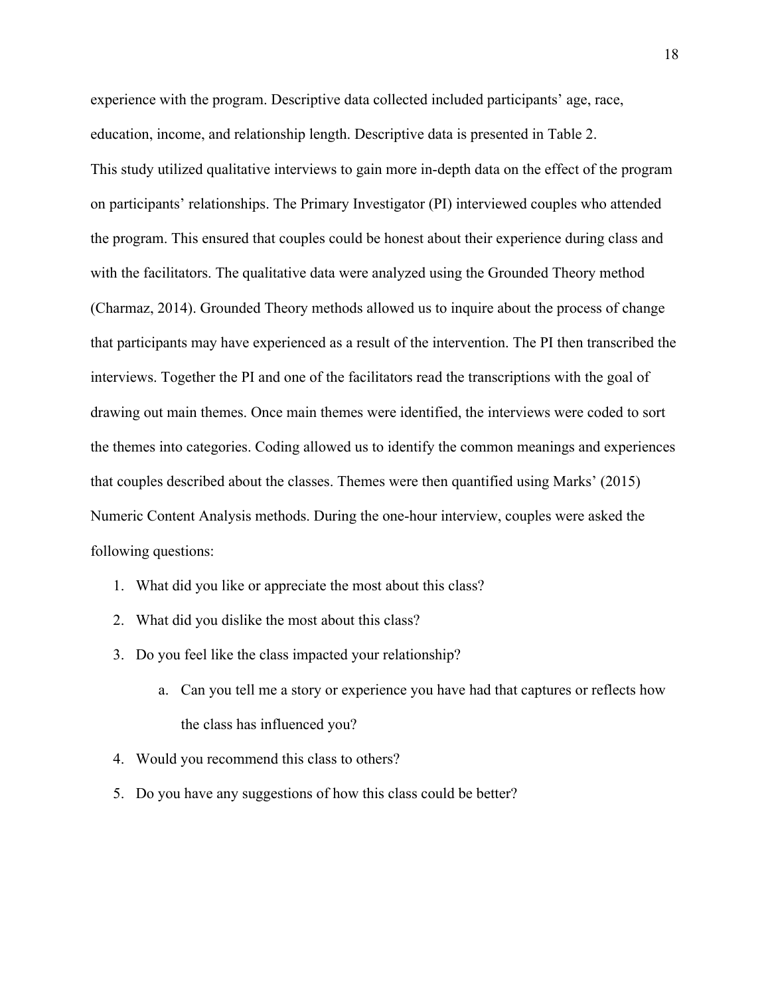experience with the program. Descriptive data collected included participants' age, race, education, income, and relationship length. Descriptive data is presented in Table 2. This study utilized qualitative interviews to gain more in-depth data on the effect of the program on participants' relationships. The Primary Investigator (PI) interviewed couples who attended the program. This ensured that couples could be honest about their experience during class and with the facilitators. The qualitative data were analyzed using the Grounded Theory method (Charmaz, 2014). Grounded Theory methods allowed us to inquire about the process of change that participants may have experienced as a result of the intervention. The PI then transcribed the interviews. Together the PI and one of the facilitators read the transcriptions with the goal of drawing out main themes. Once main themes were identified, the interviews were coded to sort the themes into categories. Coding allowed us to identify the common meanings and experiences that couples described about the classes. Themes were then quantified using Marks' (2015) Numeric Content Analysis methods. During the one-hour interview, couples were asked the following questions:

- 1. What did you like or appreciate the most about this class?
- 2. What did you dislike the most about this class?
- 3. Do you feel like the class impacted your relationship?
	- a. Can you tell me a story or experience you have had that captures or reflects how the class has influenced you?
- 4. Would you recommend this class to others?
- <span id="page-27-0"></span>5. Do you have any suggestions of how this class could be better?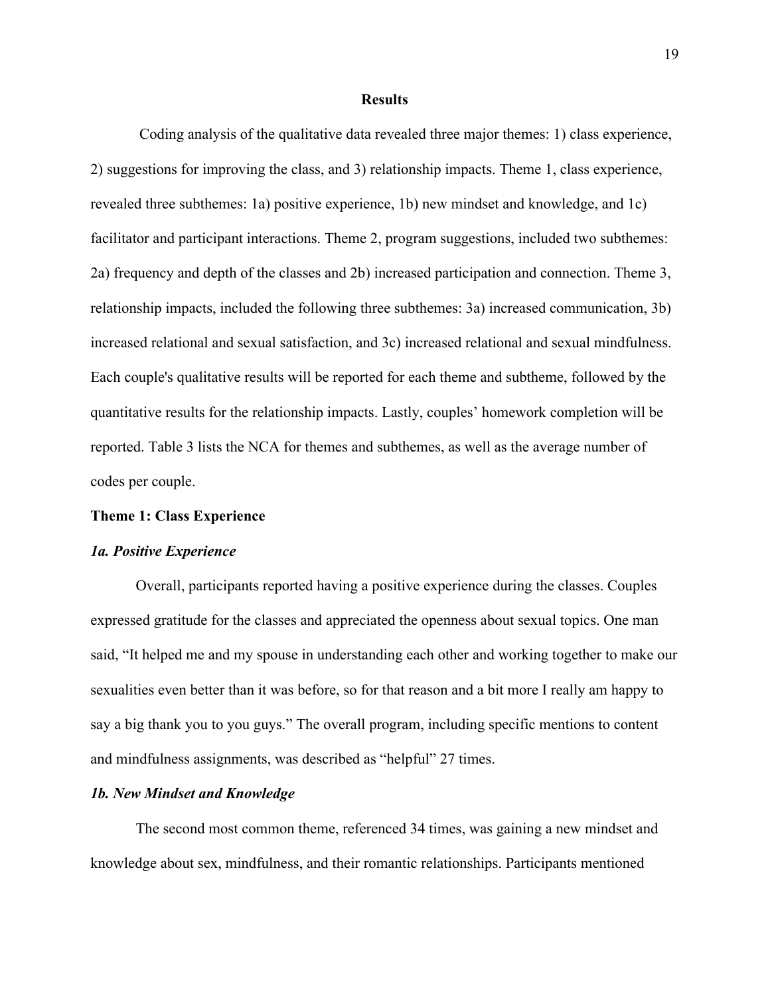#### **Results**

Coding analysis of the qualitative data revealed three major themes: 1) class experience, 2) suggestions for improving the class, and 3) relationship impacts. Theme 1, class experience, revealed three subthemes: 1a) positive experience, 1b) new mindset and knowledge, and 1c) facilitator and participant interactions. Theme 2, program suggestions, included two subthemes: 2a) frequency and depth of the classes and 2b) increased participation and connection. Theme 3, relationship impacts, included the following three subthemes: 3a) increased communication, 3b) increased relational and sexual satisfaction, and 3c) increased relational and sexual mindfulness. Each couple's qualitative results will be reported for each theme and subtheme, followed by the quantitative results for the relationship impacts. Lastly, couples' homework completion will be reported. Table 3 lists the NCA for themes and subthemes, as well as the average number of codes per couple.

## <span id="page-28-0"></span>**Theme 1: Class Experience**

#### <span id="page-28-1"></span>*1a. Positive Experience*

Overall, participants reported having a positive experience during the classes. Couples expressed gratitude for the classes and appreciated the openness about sexual topics. One man said, "It helped me and my spouse in understanding each other and working together to make our sexualities even better than it was before, so for that reason and a bit more I really am happy to say a big thank you to you guys." The overall program, including specific mentions to content and mindfulness assignments, was described as "helpful" 27 times.

#### <span id="page-28-2"></span>*1b. New Mindset and Knowledge*

The second most common theme, referenced 34 times, was gaining a new mindset and knowledge about sex, mindfulness, and their romantic relationships. Participants mentioned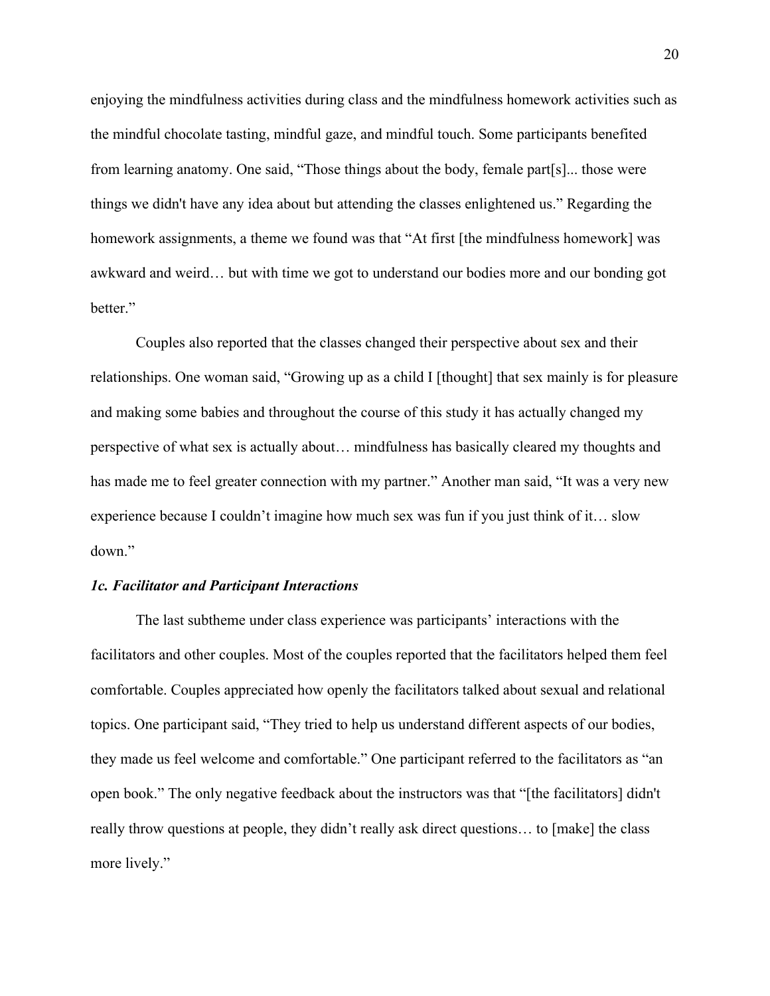enjoying the mindfulness activities during class and the mindfulness homework activities such as the mindful chocolate tasting, mindful gaze, and mindful touch. Some participants benefited from learning anatomy. One said, "Those things about the body, female part[s]... those were things we didn't have any idea about but attending the classes enlightened us." Regarding the homework assignments, a theme we found was that "At first [the mindfulness homework] was awkward and weird… but with time we got to understand our bodies more and our bonding got better."

Couples also reported that the classes changed their perspective about sex and their relationships. One woman said, "Growing up as a child I [thought] that sex mainly is for pleasure and making some babies and throughout the course of this study it has actually changed my perspective of what sex is actually about… mindfulness has basically cleared my thoughts and has made me to feel greater connection with my partner." Another man said, "It was a very new experience because I couldn't imagine how much sex was fun if you just think of it… slow down."

## <span id="page-29-0"></span>*1c. Facilitator and Participant Interactions*

The last subtheme under class experience was participants' interactions with the facilitators and other couples. Most of the couples reported that the facilitators helped them feel comfortable. Couples appreciated how openly the facilitators talked about sexual and relational topics. One participant said, "They tried to help us understand different aspects of our bodies, they made us feel welcome and comfortable." One participant referred to the facilitators as "an open book." The only negative feedback about the instructors was that "[the facilitators] didn't really throw questions at people, they didn't really ask direct questions… to [make] the class more lively."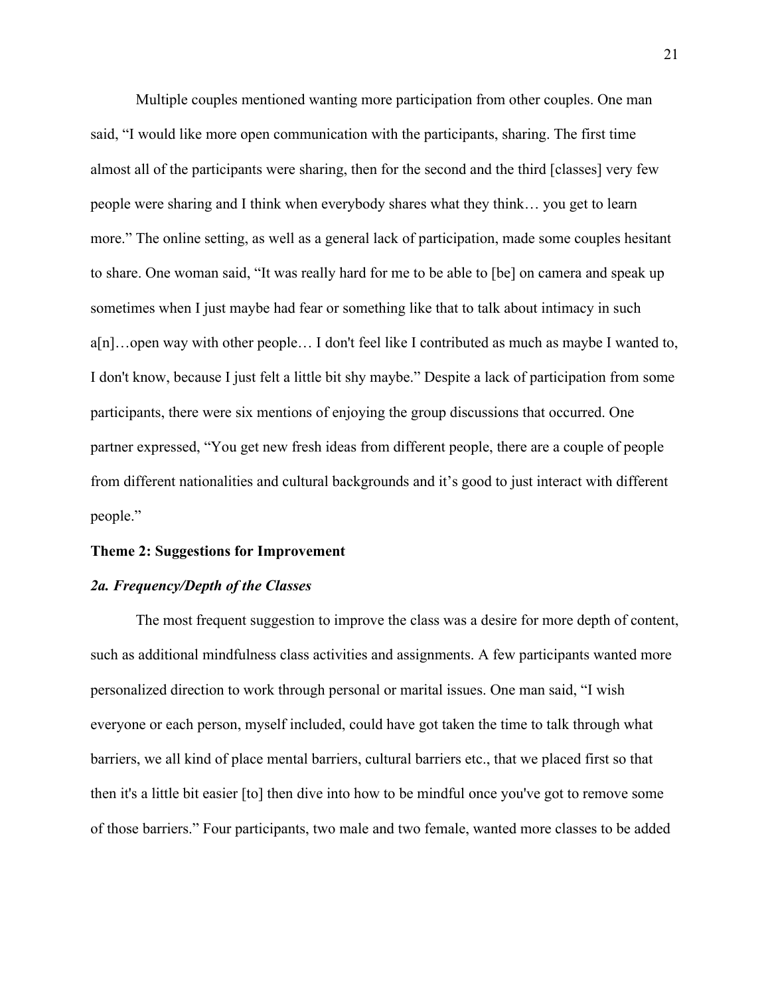Multiple couples mentioned wanting more participation from other couples. One man said, "I would like more open communication with the participants, sharing. The first time almost all of the participants were sharing, then for the second and the third [classes] very few people were sharing and I think when everybody shares what they think… you get to learn more." The online setting, as well as a general lack of participation, made some couples hesitant to share. One woman said, "It was really hard for me to be able to [be] on camera and speak up sometimes when I just maybe had fear or something like that to talk about intimacy in such a[n]…open way with other people… I don't feel like I contributed as much as maybe I wanted to, I don't know, because I just felt a little bit shy maybe." Despite a lack of participation from some participants, there were six mentions of enjoying the group discussions that occurred. One partner expressed, "You get new fresh ideas from different people, there are a couple of people from different nationalities and cultural backgrounds and it's good to just interact with different people."

#### <span id="page-30-0"></span>**Theme 2: Suggestions for Improvement**

## <span id="page-30-1"></span>*2a. Frequency/Depth of the Classes*

The most frequent suggestion to improve the class was a desire for more depth of content, such as additional mindfulness class activities and assignments. A few participants wanted more personalized direction to work through personal or marital issues. One man said, "I wish everyone or each person, myself included, could have got taken the time to talk through what barriers, we all kind of place mental barriers, cultural barriers etc., that we placed first so that then it's a little bit easier [to] then dive into how to be mindful once you've got to remove some of those barriers." Four participants, two male and two female, wanted more classes to be added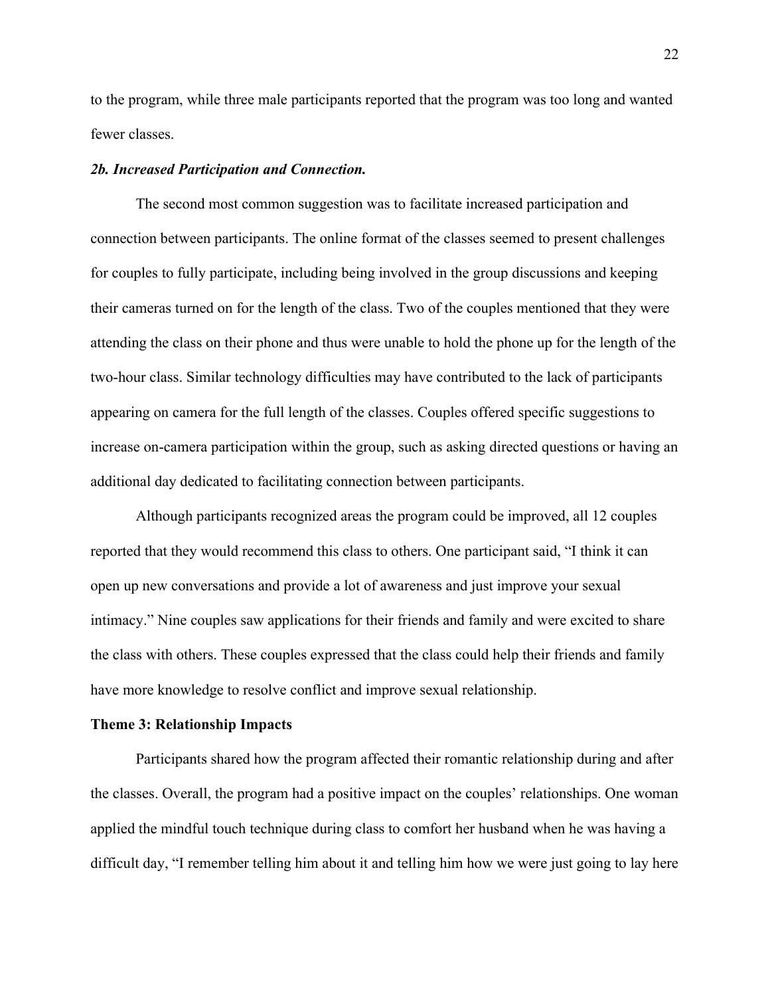to the program, while three male participants reported that the program was too long and wanted fewer classes.

## <span id="page-31-0"></span>*2b. Increased Participation and Connection.*

The second most common suggestion was to facilitate increased participation and connection between participants. The online format of the classes seemed to present challenges for couples to fully participate, including being involved in the group discussions and keeping their cameras turned on for the length of the class. Two of the couples mentioned that they were attending the class on their phone and thus were unable to hold the phone up for the length of the two-hour class. Similar technology difficulties may have contributed to the lack of participants appearing on camera for the full length of the classes. Couples offered specific suggestions to increase on-camera participation within the group, such as asking directed questions or having an additional day dedicated to facilitating connection between participants.

Although participants recognized areas the program could be improved, all 12 couples reported that they would recommend this class to others. One participant said, "I think it can open up new conversations and provide a lot of awareness and just improve your sexual intimacy." Nine couples saw applications for their friends and family and were excited to share the class with others. These couples expressed that the class could help their friends and family have more knowledge to resolve conflict and improve sexual relationship.

#### <span id="page-31-1"></span>**Theme 3: Relationship Impacts**

Participants shared how the program affected their romantic relationship during and after the classes. Overall, the program had a positive impact on the couples' relationships. One woman applied the mindful touch technique during class to comfort her husband when he was having a difficult day, "I remember telling him about it and telling him how we were just going to lay here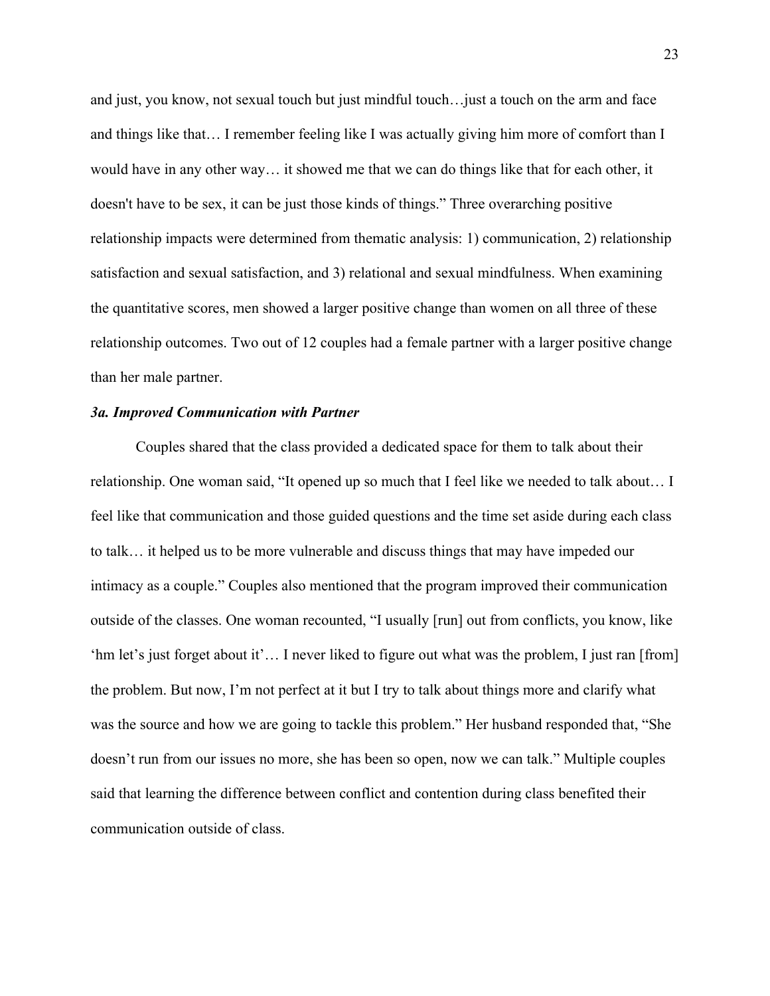and just, you know, not sexual touch but just mindful touch…just a touch on the arm and face and things like that… I remember feeling like I was actually giving him more of comfort than I would have in any other way… it showed me that we can do things like that for each other, it doesn't have to be sex, it can be just those kinds of things." Three overarching positive relationship impacts were determined from thematic analysis: 1) communication, 2) relationship satisfaction and sexual satisfaction, and 3) relational and sexual mindfulness. When examining the quantitative scores, men showed a larger positive change than women on all three of these relationship outcomes. Two out of 12 couples had a female partner with a larger positive change than her male partner.

#### <span id="page-32-0"></span>*3a. Improved Communication with Partner*

Couples shared that the class provided a dedicated space for them to talk about their relationship. One woman said, "It opened up so much that I feel like we needed to talk about… I feel like that communication and those guided questions and the time set aside during each class to talk… it helped us to be more vulnerable and discuss things that may have impeded our intimacy as a couple." Couples also mentioned that the program improved their communication outside of the classes. One woman recounted, "I usually [run] out from conflicts, you know, like 'hm let's just forget about it'… I never liked to figure out what was the problem, I just ran [from] the problem. But now, I'm not perfect at it but I try to talk about things more and clarify what was the source and how we are going to tackle this problem." Her husband responded that, "She doesn't run from our issues no more, she has been so open, now we can talk." Multiple couples said that learning the difference between conflict and contention during class benefited their communication outside of class.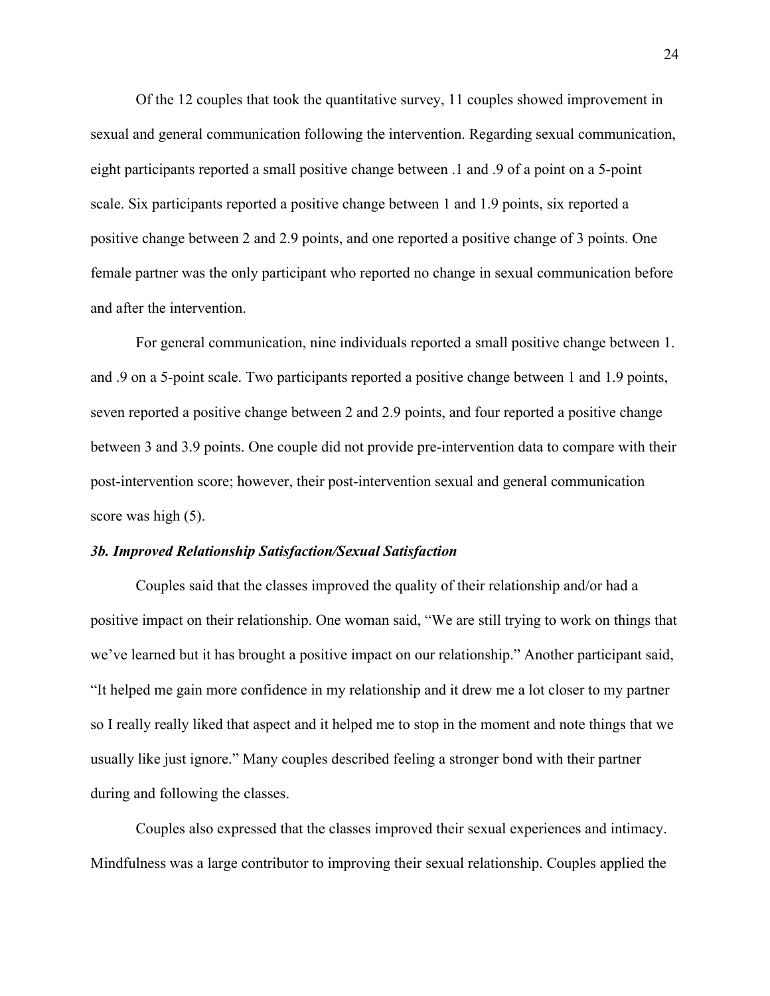Of the 12 couples that took the quantitative survey, 11 couples showed improvement in sexual and general communication following the intervention. Regarding sexual communication, eight participants reported a small positive change between .1 and .9 of a point on a 5-point scale. Six participants reported a positive change between 1 and 1.9 points, six reported a positive change between 2 and 2.9 points, and one reported a positive change of 3 points. One female partner was the only participant who reported no change in sexual communication before and after the intervention.

For general communication, nine individuals reported a small positive change between 1. and .9 on a 5-point scale. Two participants reported a positive change between 1 and 1.9 points, seven reported a positive change between 2 and 2.9 points, and four reported a positive change between 3 and 3.9 points. One couple did not provide pre-intervention data to compare with their post-intervention score; however, their post-intervention sexual and general communication score was high (5).

#### <span id="page-33-0"></span>*3b. Improved Relationship Satisfaction/Sexual Satisfaction*

Couples said that the classes improved the quality of their relationship and/or had a positive impact on their relationship. One woman said, "We are still trying to work on things that we've learned but it has brought a positive impact on our relationship." Another participant said, "It helped me gain more confidence in my relationship and it drew me a lot closer to my partner so I really really liked that aspect and it helped me to stop in the moment and note things that we usually like just ignore." Many couples described feeling a stronger bond with their partner during and following the classes.

Couples also expressed that the classes improved their sexual experiences and intimacy. Mindfulness was a large contributor to improving their sexual relationship. Couples applied the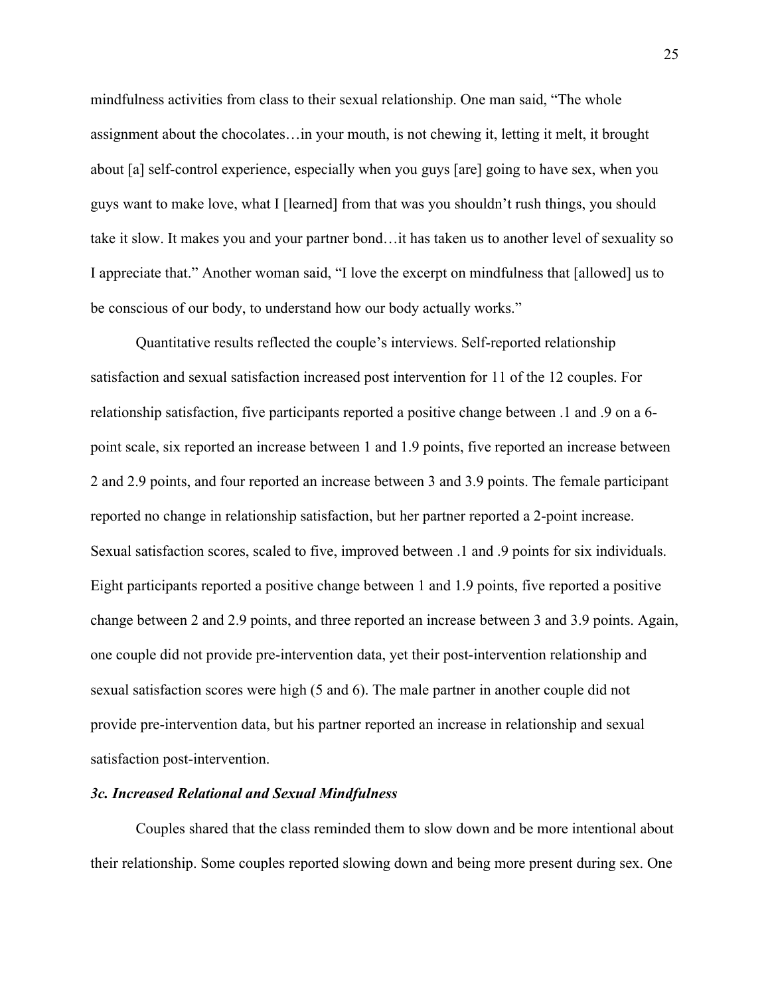mindfulness activities from class to their sexual relationship. One man said, "The whole assignment about the chocolates…in your mouth, is not chewing it, letting it melt, it brought about [a] self-control experience, especially when you guys [are] going to have sex, when you guys want to make love, what I [learned] from that was you shouldn't rush things, you should take it slow. It makes you and your partner bond…it has taken us to another level of sexuality so I appreciate that." Another woman said, "I love the excerpt on mindfulness that [allowed] us to be conscious of our body, to understand how our body actually works."

Quantitative results reflected the couple's interviews. Self-reported relationship satisfaction and sexual satisfaction increased post intervention for 11 of the 12 couples. For relationship satisfaction, five participants reported a positive change between .1 and .9 on a 6 point scale, six reported an increase between 1 and 1.9 points, five reported an increase between 2 and 2.9 points, and four reported an increase between 3 and 3.9 points. The female participant reported no change in relationship satisfaction, but her partner reported a 2-point increase. Sexual satisfaction scores, scaled to five, improved between .1 and .9 points for six individuals. Eight participants reported a positive change between 1 and 1.9 points, five reported a positive change between 2 and 2.9 points, and three reported an increase between 3 and 3.9 points. Again, one couple did not provide pre-intervention data, yet their post-intervention relationship and sexual satisfaction scores were high (5 and 6). The male partner in another couple did not provide pre-intervention data, but his partner reported an increase in relationship and sexual satisfaction post-intervention.

#### <span id="page-34-0"></span>*3c. Increased Relational and Sexual Mindfulness*

Couples shared that the class reminded them to slow down and be more intentional about their relationship. Some couples reported slowing down and being more present during sex. One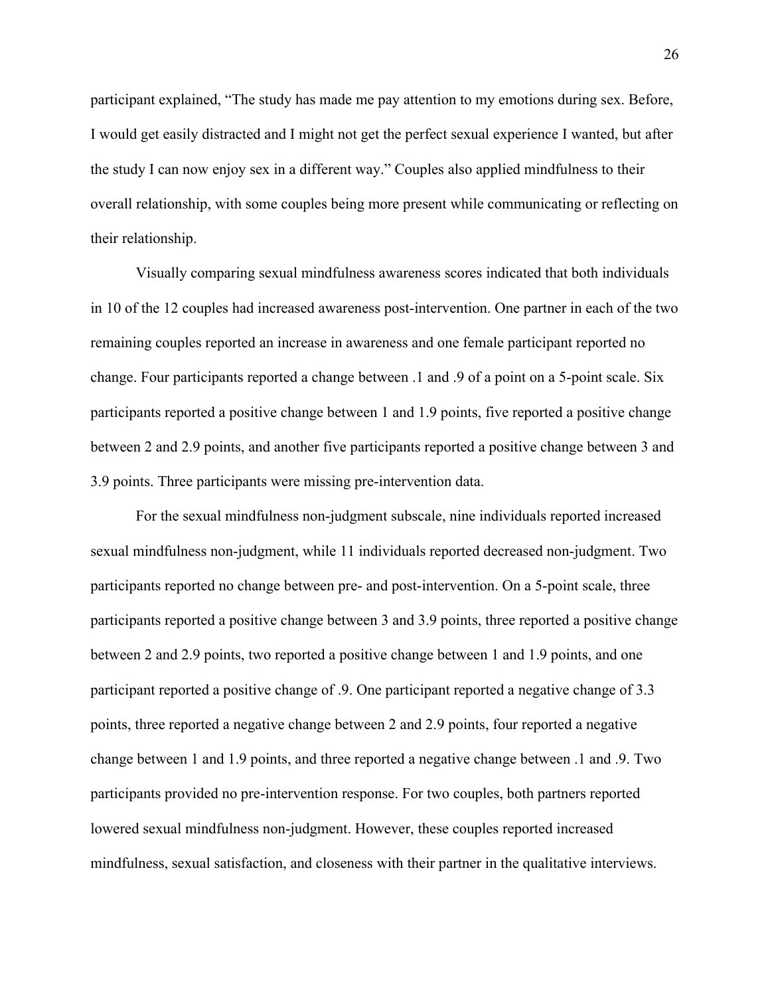participant explained, "The study has made me pay attention to my emotions during sex. Before, I would get easily distracted and I might not get the perfect sexual experience I wanted, but after the study I can now enjoy sex in a different way." Couples also applied mindfulness to their overall relationship, with some couples being more present while communicating or reflecting on their relationship.

Visually comparing sexual mindfulness awareness scores indicated that both individuals in 10 of the 12 couples had increased awareness post-intervention. One partner in each of the two remaining couples reported an increase in awareness and one female participant reported no change. Four participants reported a change between .1 and .9 of a point on a 5-point scale. Six participants reported a positive change between 1 and 1.9 points, five reported a positive change between 2 and 2.9 points, and another five participants reported a positive change between 3 and 3.9 points. Three participants were missing pre-intervention data.

For the sexual mindfulness non-judgment subscale, nine individuals reported increased sexual mindfulness non-judgment, while 11 individuals reported decreased non-judgment. Two participants reported no change between pre- and post-intervention. On a 5-point scale, three participants reported a positive change between 3 and 3.9 points, three reported a positive change between 2 and 2.9 points, two reported a positive change between 1 and 1.9 points, and one participant reported a positive change of .9. One participant reported a negative change of 3.3 points, three reported a negative change between 2 and 2.9 points, four reported a negative change between 1 and 1.9 points, and three reported a negative change between .1 and .9. Two participants provided no pre-intervention response. For two couples, both partners reported lowered sexual mindfulness non-judgment. However, these couples reported increased mindfulness, sexual satisfaction, and closeness with their partner in the qualitative interviews.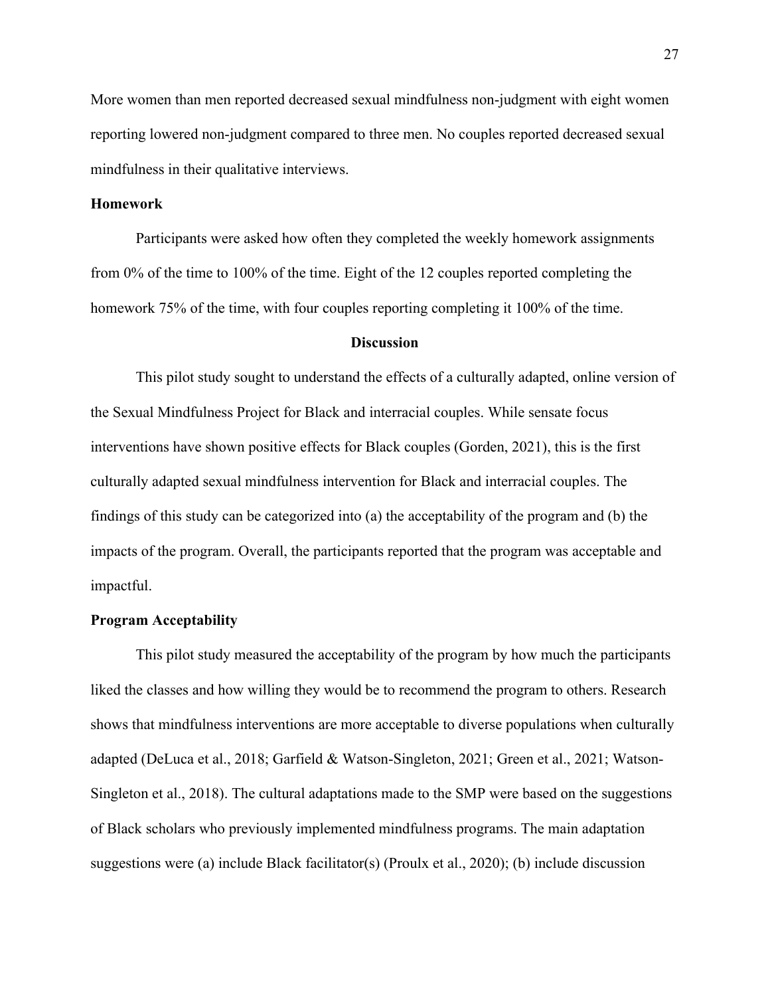More women than men reported decreased sexual mindfulness non-judgment with eight women reporting lowered non-judgment compared to three men. No couples reported decreased sexual mindfulness in their qualitative interviews.

## <span id="page-36-0"></span>**Homework**

Participants were asked how often they completed the weekly homework assignments from 0% of the time to 100% of the time. Eight of the 12 couples reported completing the homework 75% of the time, with four couples reporting completing it 100% of the time.

## **Discussion**

<span id="page-36-1"></span>This pilot study sought to understand the effects of a culturally adapted, online version of the Sexual Mindfulness Project for Black and interracial couples. While sensate focus interventions have shown positive effects for Black couples (Gorden, 2021), this is the first culturally adapted sexual mindfulness intervention for Black and interracial couples. The findings of this study can be categorized into (a) the acceptability of the program and (b) the impacts of the program. Overall, the participants reported that the program was acceptable and impactful.

## <span id="page-36-2"></span>**Program Acceptability**

This pilot study measured the acceptability of the program by how much the participants liked the classes and how willing they would be to recommend the program to others. Research shows that mindfulness interventions are more acceptable to diverse populations when culturally adapted (DeLuca et al., 2018; Garfield & Watson-Singleton, 2021; Green et al., 2021; Watson-Singleton et al., 2018). The cultural adaptations made to the SMP were based on the suggestions of Black scholars who previously implemented mindfulness programs. The main adaptation suggestions were (a) include Black facilitator(s) (Proulx et al., 2020); (b) include discussion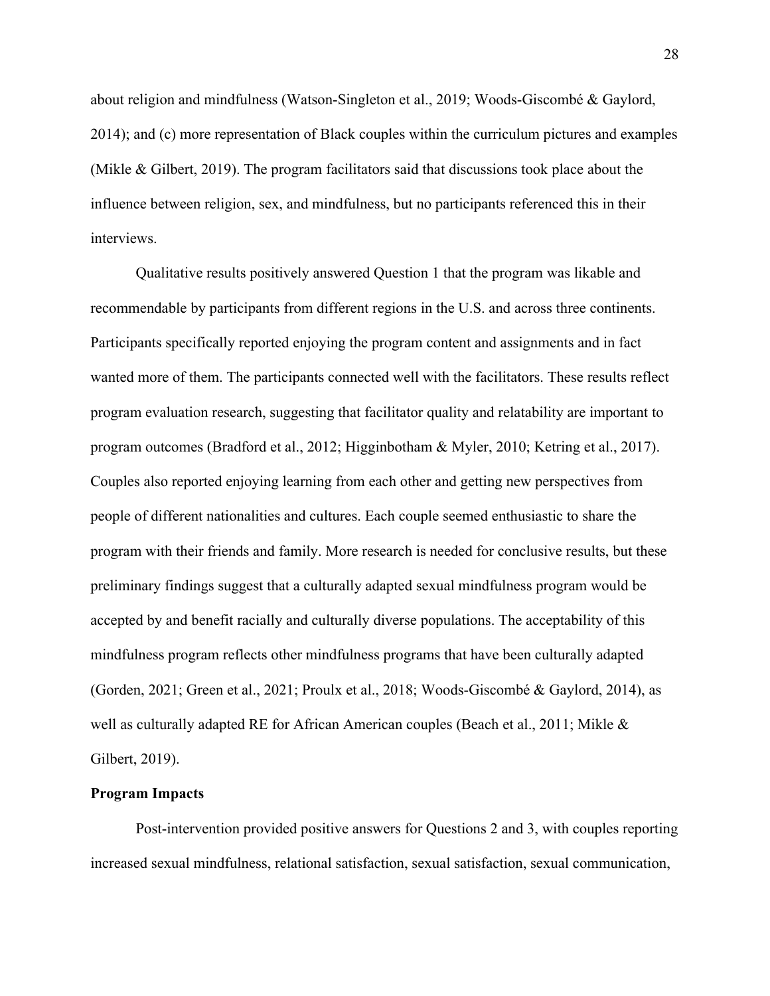about religion and mindfulness (Watson-Singleton et al., 2019; Woods-Giscombé & Gaylord, 2014); and (c) more representation of Black couples within the curriculum pictures and examples (Mikle & Gilbert, 2019). The program facilitators said that discussions took place about the influence between religion, sex, and mindfulness, but no participants referenced this in their interviews.

Qualitative results positively answered Question 1 that the program was likable and recommendable by participants from different regions in the U.S. and across three continents. Participants specifically reported enjoying the program content and assignments and in fact wanted more of them. The participants connected well with the facilitators. These results reflect program evaluation research, suggesting that facilitator quality and relatability are important to program outcomes (Bradford et al., 2012; Higginbotham & Myler, 2010; Ketring et al., 2017). Couples also reported enjoying learning from each other and getting new perspectives from people of different nationalities and cultures. Each couple seemed enthusiastic to share the program with their friends and family. More research is needed for conclusive results, but these preliminary findings suggest that a culturally adapted sexual mindfulness program would be accepted by and benefit racially and culturally diverse populations. The acceptability of this mindfulness program reflects other mindfulness programs that have been culturally adapted (Gorden, 2021; Green et al., 2021; Proulx et al., 2018; Woods-Giscombé & Gaylord, 2014), as well as culturally adapted RE for African American couples (Beach et al., 2011; Mikle & Gilbert, 2019).

#### <span id="page-37-0"></span>**Program Impacts**

Post-intervention provided positive answers for Questions 2 and 3, with couples reporting increased sexual mindfulness, relational satisfaction, sexual satisfaction, sexual communication,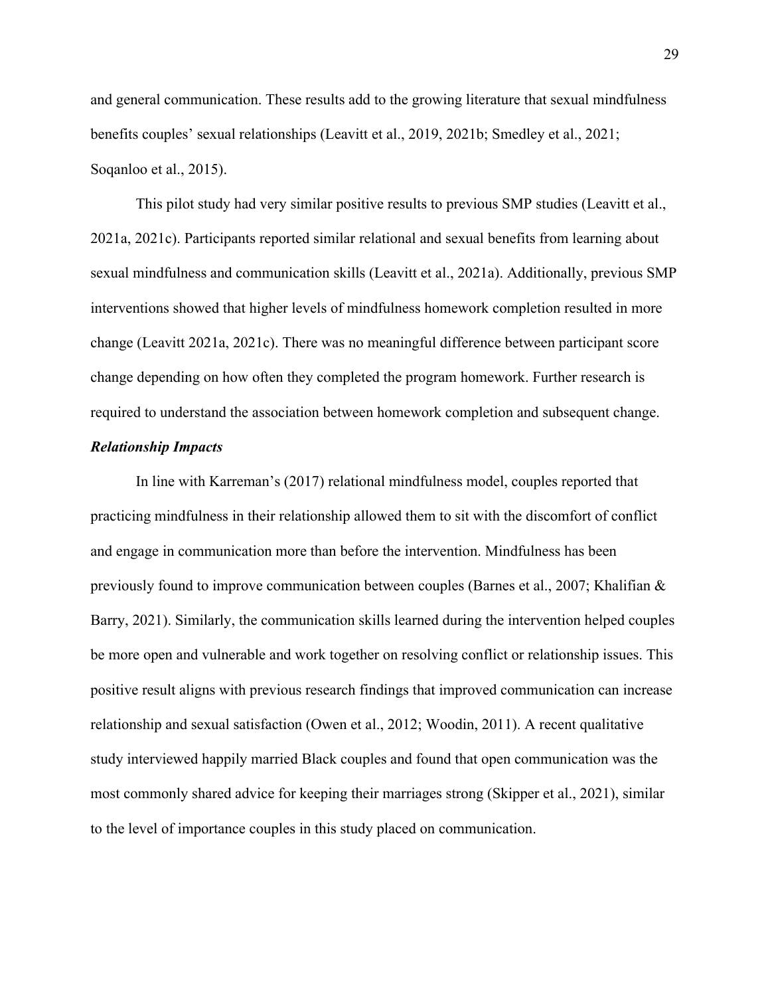and general communication. These results add to the growing literature that sexual mindfulness benefits couples' sexual relationships (Leavitt et al., 2019, 2021b; Smedley et al., 2021; Soqanloo et al., 2015).

This pilot study had very similar positive results to previous SMP studies (Leavitt et al., 2021a, 2021c). Participants reported similar relational and sexual benefits from learning about sexual mindfulness and communication skills (Leavitt et al., 2021a). Additionally, previous SMP interventions showed that higher levels of mindfulness homework completion resulted in more change (Leavitt 2021a, 2021c). There was no meaningful difference between participant score change depending on how often they completed the program homework. Further research is required to understand the association between homework completion and subsequent change.

## <span id="page-38-0"></span>*Relationship Impacts*

<span id="page-38-1"></span>In line with Karreman's (2017) relational mindfulness model, couples reported that practicing mindfulness in their relationship allowed them to sit with the discomfort of conflict and engage in communication more than before the intervention. Mindfulness has been previously found to improve communication between couples (Barnes et al., 2007; Khalifian & Barry, 2021). Similarly, the communication skills learned during the intervention helped couples be more open and vulnerable and work together on resolving conflict or relationship issues. This positive result aligns with previous research findings that improved communication can increase relationship and sexual satisfaction (Owen et al., 2012; Woodin, 2011). A recent qualitative study interviewed happily married Black couples and found that open communication was the most commonly shared advice for keeping their marriages strong (Skipper et al., 2021), similar to the level of importance couples in this study placed on communication.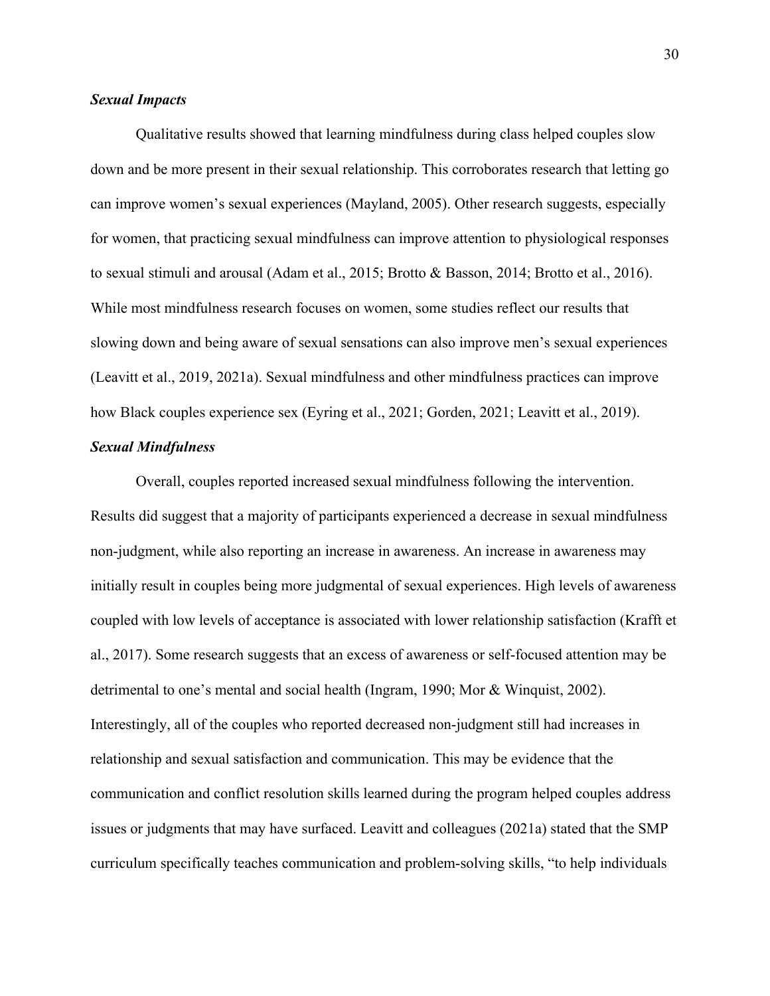## *Sexual Impacts*

Qualitative results showed that learning mindfulness during class helped couples slow down and be more present in their sexual relationship. This corroborates research that letting go can improve women's sexual experiences (Mayland, 2005). Other research suggests, especially for women, that practicing sexual mindfulness can improve attention to physiological responses to sexual stimuli and arousal (Adam et al., 2015; Brotto & Basson, 2014; Brotto et al., 2016). While most mindfulness research focuses on women, some studies reflect our results that slowing down and being aware of sexual sensations can also improve men's sexual experiences (Leavitt et al., 2019, 2021a). Sexual mindfulness and other mindfulness practices can improve how Black couples experience sex (Eyring et al., 2021; Gorden, 2021; Leavitt et al., 2019).

## <span id="page-39-0"></span>*Sexual Mindfulness*

Overall, couples reported increased sexual mindfulness following the intervention. Results did suggest that a majority of participants experienced a decrease in sexual mindfulness non-judgment, while also reporting an increase in awareness. An increase in awareness may initially result in couples being more judgmental of sexual experiences. High levels of awareness coupled with low levels of acceptance is associated with lower relationship satisfaction (Krafft et al., 2017). Some research suggests that an excess of awareness or self-focused attention may be detrimental to one's mental and social health (Ingram, 1990; Mor & Winquist, 2002). Interestingly, all of the couples who reported decreased non-judgment still had increases in relationship and sexual satisfaction and communication. This may be evidence that the communication and conflict resolution skills learned during the program helped couples address issues or judgments that may have surfaced. Leavitt and colleagues (2021a) stated that the SMP curriculum specifically teaches communication and problem-solving skills, "to help individuals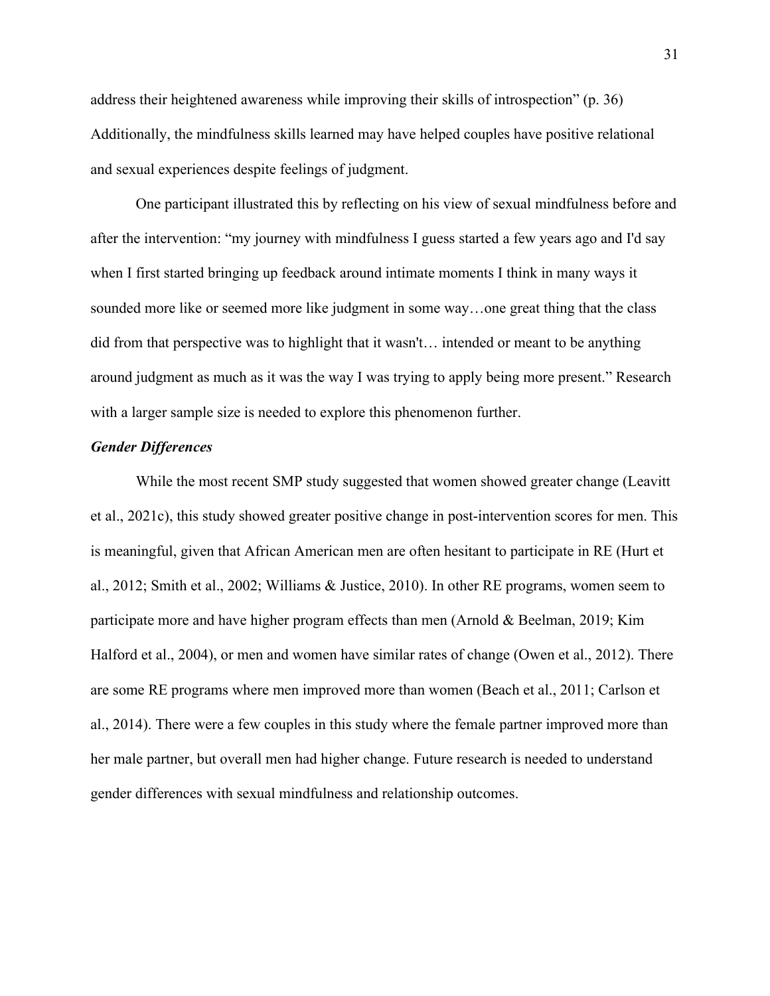address their heightened awareness while improving their skills of introspection" (p. 36) Additionally, the mindfulness skills learned may have helped couples have positive relational and sexual experiences despite feelings of judgment.

One participant illustrated this by reflecting on his view of sexual mindfulness before and after the intervention: "my journey with mindfulness I guess started a few years ago and I'd say when I first started bringing up feedback around intimate moments I think in many ways it sounded more like or seemed more like judgment in some way…one great thing that the class did from that perspective was to highlight that it wasn't… intended or meant to be anything around judgment as much as it was the way I was trying to apply being more present." Research with a larger sample size is needed to explore this phenomenon further.

## <span id="page-40-0"></span>*Gender Differences*

<span id="page-40-1"></span>While the most recent SMP study suggested that women showed greater change (Leavitt et al., 2021c), this study showed greater positive change in post-intervention scores for men. This is meaningful, given that African American men are often hesitant to participate in RE (Hurt et al., 2012; Smith et al., 2002; Williams & Justice, 2010). In other RE programs, women seem to participate more and have higher program effects than men (Arnold & Beelman, 2019; Kim Halford et al., 2004), or men and women have similar rates of change (Owen et al., 2012). There are some RE programs where men improved more than women (Beach et al., 2011; Carlson et al., 2014). There were a few couples in this study where the female partner improved more than her male partner, but overall men had higher change. Future research is needed to understand gender differences with sexual mindfulness and relationship outcomes.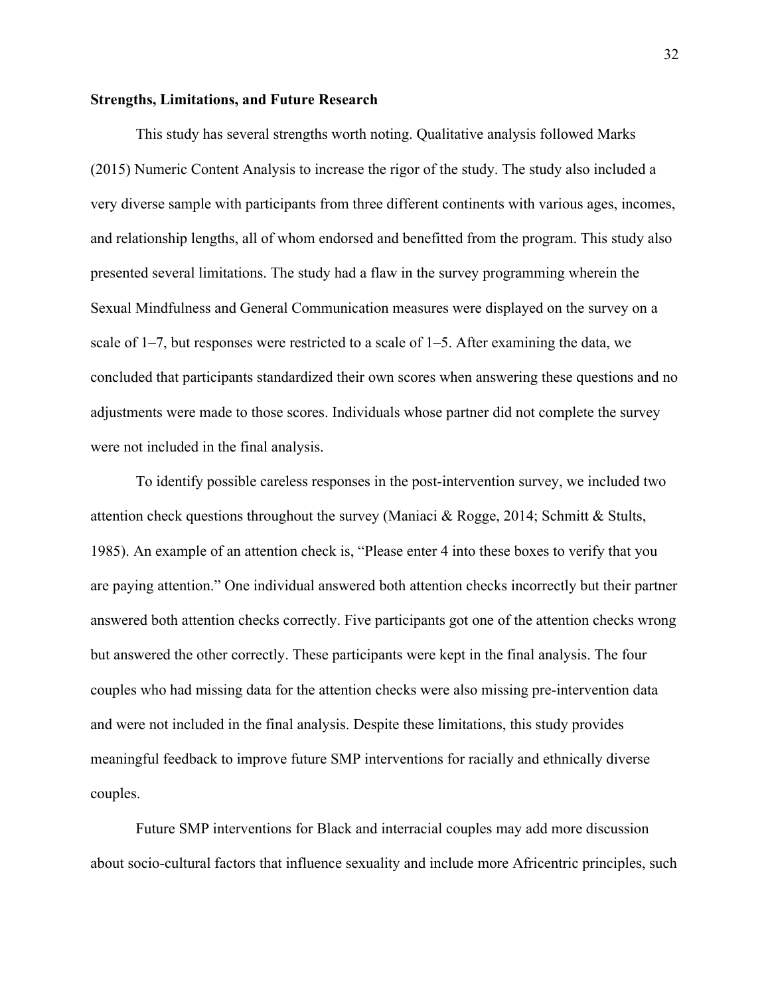## **Strengths, Limitations, and Future Research**

This study has several strengths worth noting. Qualitative analysis followed Marks (2015) Numeric Content Analysis to increase the rigor of the study. The study also included a very diverse sample with participants from three different continents with various ages, incomes, and relationship lengths, all of whom endorsed and benefitted from the program. This study also presented several limitations. The study had a flaw in the survey programming wherein the Sexual Mindfulness and General Communication measures were displayed on the survey on a scale of  $1-7$ , but responses were restricted to a scale of  $1-5$ . After examining the data, we concluded that participants standardized their own scores when answering these questions and no adjustments were made to those scores. Individuals whose partner did not complete the survey were not included in the final analysis.

To identify possible careless responses in the post-intervention survey, we included two attention check questions throughout the survey (Maniaci & Rogge, 2014; Schmitt & Stults, 1985). An example of an attention check is, "Please enter 4 into these boxes to verify that you are paying attention." One individual answered both attention checks incorrectly but their partner answered both attention checks correctly. Five participants got one of the attention checks wrong but answered the other correctly. These participants were kept in the final analysis. The four couples who had missing data for the attention checks were also missing pre-intervention data and were not included in the final analysis. Despite these limitations, this study provides meaningful feedback to improve future SMP interventions for racially and ethnically diverse couples.

Future SMP interventions for Black and interracial couples may add more discussion about socio-cultural factors that influence sexuality and include more Africentric principles, such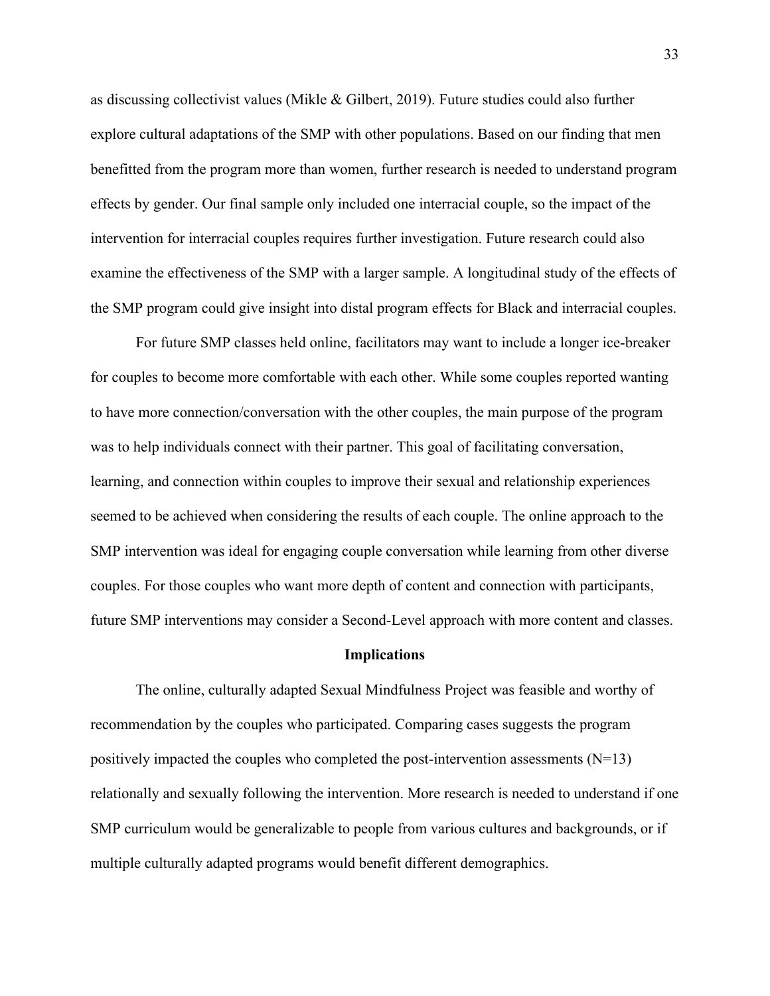as discussing collectivist values (Mikle & Gilbert, 2019). Future studies could also further explore cultural adaptations of the SMP with other populations. Based on our finding that men benefitted from the program more than women, further research is needed to understand program effects by gender. Our final sample only included one interracial couple, so the impact of the intervention for interracial couples requires further investigation. Future research could also examine the effectiveness of the SMP with a larger sample. A longitudinal study of the effects of the SMP program could give insight into distal program effects for Black and interracial couples.

For future SMP classes held online, facilitators may want to include a longer ice-breaker for couples to become more comfortable with each other. While some couples reported wanting to have more connection/conversation with the other couples, the main purpose of the program was to help individuals connect with their partner. This goal of facilitating conversation, learning, and connection within couples to improve their sexual and relationship experiences seemed to be achieved when considering the results of each couple. The online approach to the SMP intervention was ideal for engaging couple conversation while learning from other diverse couples. For those couples who want more depth of content and connection with participants, future SMP interventions may consider a Second-Level approach with more content and classes.

#### **Implications**

<span id="page-42-0"></span>The online, culturally adapted Sexual Mindfulness Project was feasible and worthy of recommendation by the couples who participated. Comparing cases suggests the program positively impacted the couples who completed the post-intervention assessments  $(N=13)$ relationally and sexually following the intervention. More research is needed to understand if one SMP curriculum would be generalizable to people from various cultures and backgrounds, or if multiple culturally adapted programs would benefit different demographics.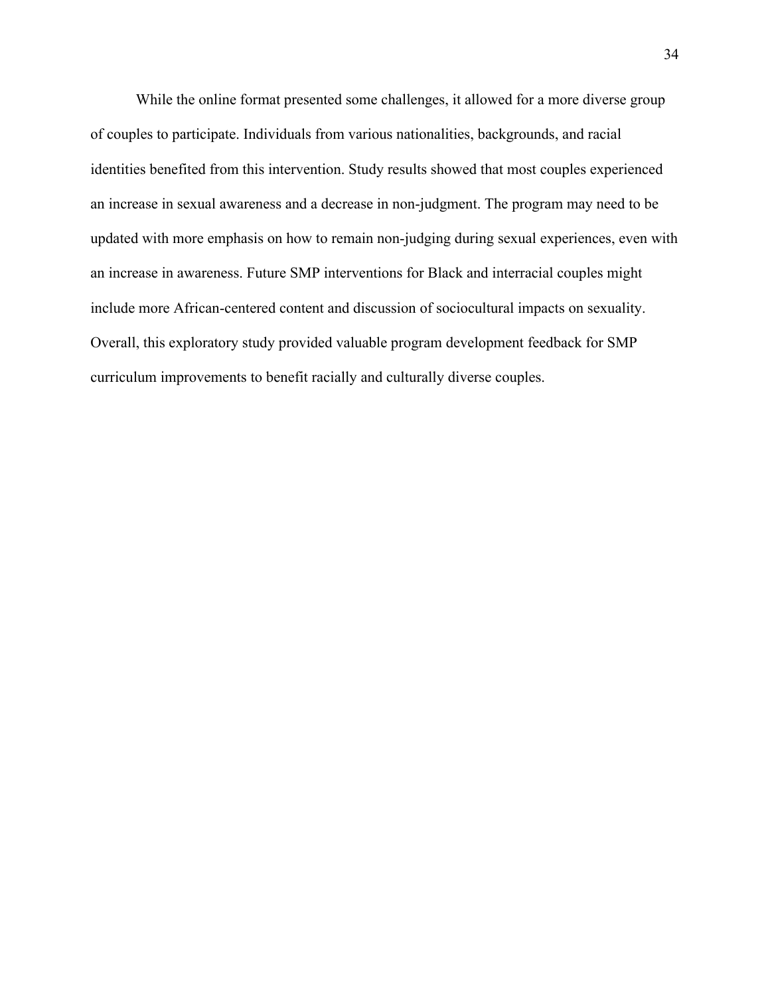While the online format presented some challenges, it allowed for a more diverse group of couples to participate. Individuals from various nationalities, backgrounds, and racial identities benefited from this intervention. Study results showed that most couples experienced an increase in sexual awareness and a decrease in non-judgment. The program may need to be updated with more emphasis on how to remain non-judging during sexual experiences, even with an increase in awareness. Future SMP interventions for Black and interracial couples might include more African-centered content and discussion of sociocultural impacts on sexuality. Overall, this exploratory study provided valuable program development feedback for SMP curriculum improvements to benefit racially and culturally diverse couples.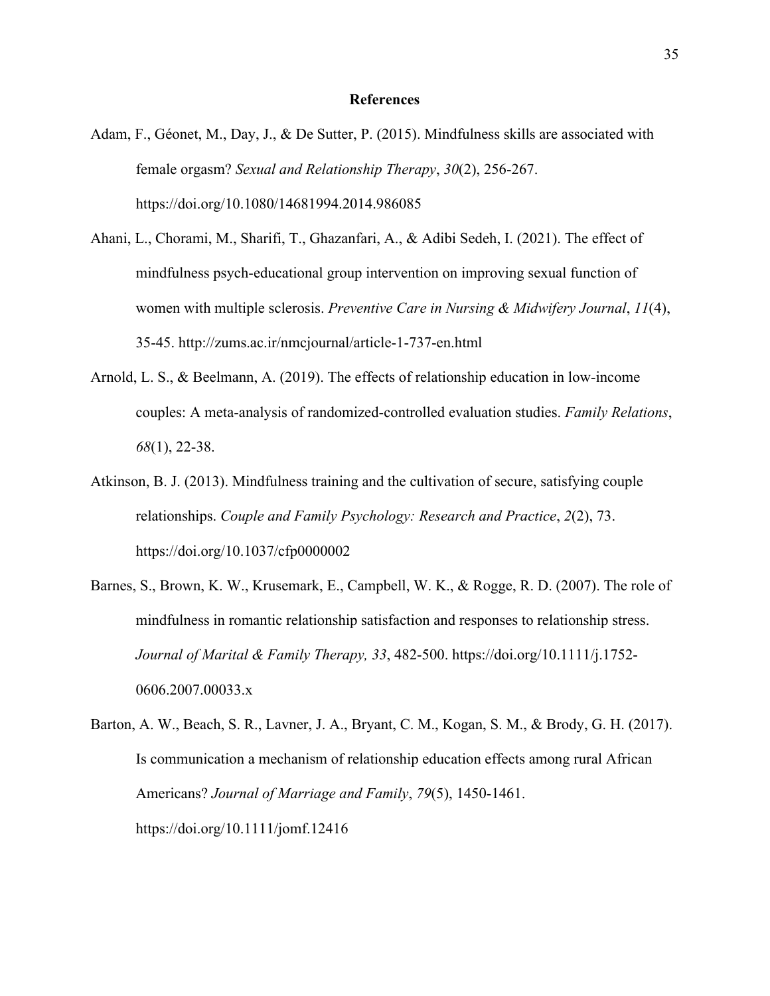#### **References**

- <span id="page-44-0"></span>Adam, F., Géonet, M., Day, J., & De Sutter, P. (2015). Mindfulness skills are associated with female orgasm? *Sexual and Relationship Therapy*, *30*(2), 256-267. https://doi.org/10.1080/14681994.2014.986085
- Ahani, L., Chorami, M., Sharifi, T., Ghazanfari, A., & Adibi Sedeh, I. (2021). The effect of mindfulness psych-educational group intervention on improving sexual function of women with multiple sclerosis. *Preventive Care in Nursing & Midwifery Journal*, *11*(4), 35-45. http://zums.ac.ir/nmcjournal/article-1-737-en.html
- Arnold, L. S., & Beelmann, A. (2019). The effects of relationship education in low‐income couples: A meta‐analysis of randomized‐controlled evaluation studies. *Family Relations*, *68*(1), 22-38.
- Atkinson, B. J. (2013). Mindfulness training and the cultivation of secure, satisfying couple relationships. *Couple and Family Psychology: Research and Practice*, *2*(2), 73. https://doi.org/10.1037/cfp0000002
- Barnes, S., Brown, K. W., Krusemark, E., Campbell, W. K., & Rogge, R. D. (2007). The role of mindfulness in romantic relationship satisfaction and responses to relationship stress. *Journal of Marital & Family Therapy, 33*, 482-500. https://doi.org/10.1111/j.1752- 0606.2007.00033.x
- Barton, A. W., Beach, S. R., Lavner, J. A., Bryant, C. M., Kogan, S. M., & Brody, G. H. (2017). Is communication a mechanism of relationship education effects among rural African Americans? *Journal of Marriage and Family*, *79*(5), 1450-1461. https://doi.org/10.1111/jomf.12416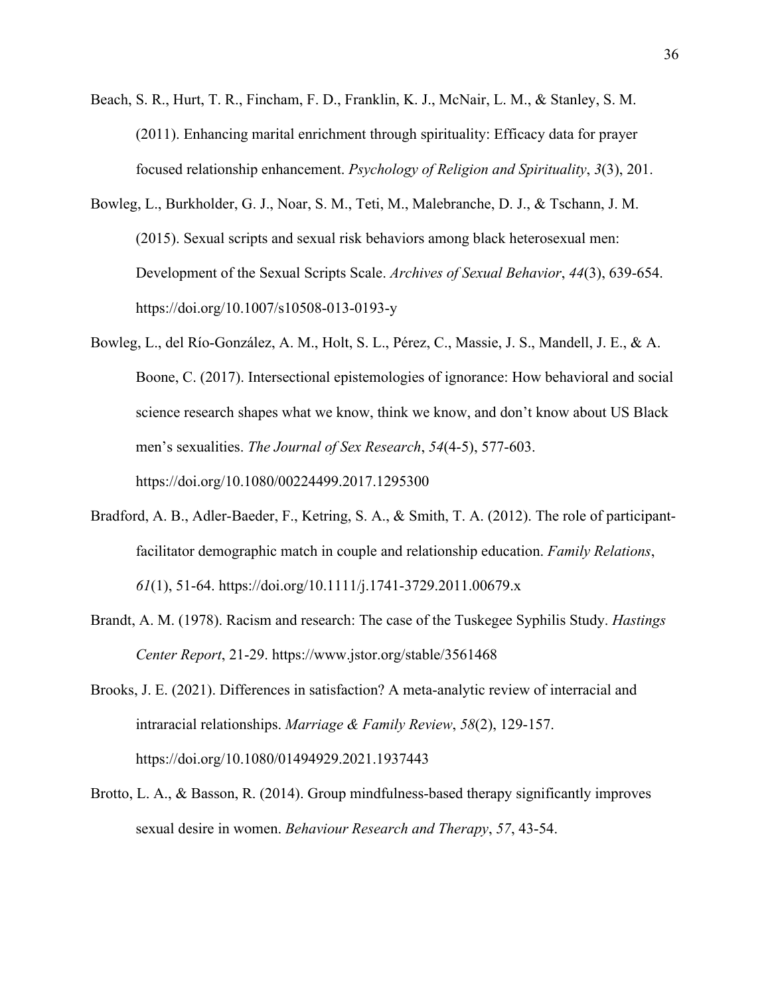- Beach, S. R., Hurt, T. R., Fincham, F. D., Franklin, K. J., McNair, L. M., & Stanley, S. M. (2011). Enhancing marital enrichment through spirituality: Efficacy data for prayer focused relationship enhancement. *Psychology of Religion and Spirituality*, *3*(3), 201.
- Bowleg, L., Burkholder, G. J., Noar, S. M., Teti, M., Malebranche, D. J., & Tschann, J. M. (2015). Sexual scripts and sexual risk behaviors among black heterosexual men: Development of the Sexual Scripts Scale. *Archives of Sexual Behavior*, *44*(3), 639-654. https://doi.org/10.1007/s10508-013-0193-y
- Bowleg, L., del Río-González, A. M., Holt, S. L., Pérez, C., Massie, J. S., Mandell, J. E., & A. Boone, C. (2017). Intersectional epistemologies of ignorance: How behavioral and social science research shapes what we know, think we know, and don't know about US Black men's sexualities. *The Journal of Sex Research*, *54*(4-5), 577-603. <https://doi.org/10.1080/00224499.2017.1295300>
- Bradford, A. B., Adler-Baeder, F., Ketring, S. A., & Smith, T. A. (2012). The role of participantfacilitator demographic match in couple and relationship education. *Family Relations*, *61*(1), 51-64. https://doi.org/10.1111/j.1741-3729.2011.00679.x
- Brandt, A. M. (1978). Racism and research: The case of the Tuskegee Syphilis Study. *Hastings Center Report*, 21-29. https://www.jstor.org/stable/3561468
- Brooks, J. E. (2021). Differences in satisfaction? A meta-analytic review of interracial and intraracial relationships. *Marriage & Family Review*, *58*(2), 129-157. https://doi.org/10.1080/01494929.2021.1937443
- Brotto, L. A., & Basson, R. (2014). Group mindfulness-based therapy significantly improves sexual desire in women. *Behaviour Research and Therapy*, *57*, 43-54.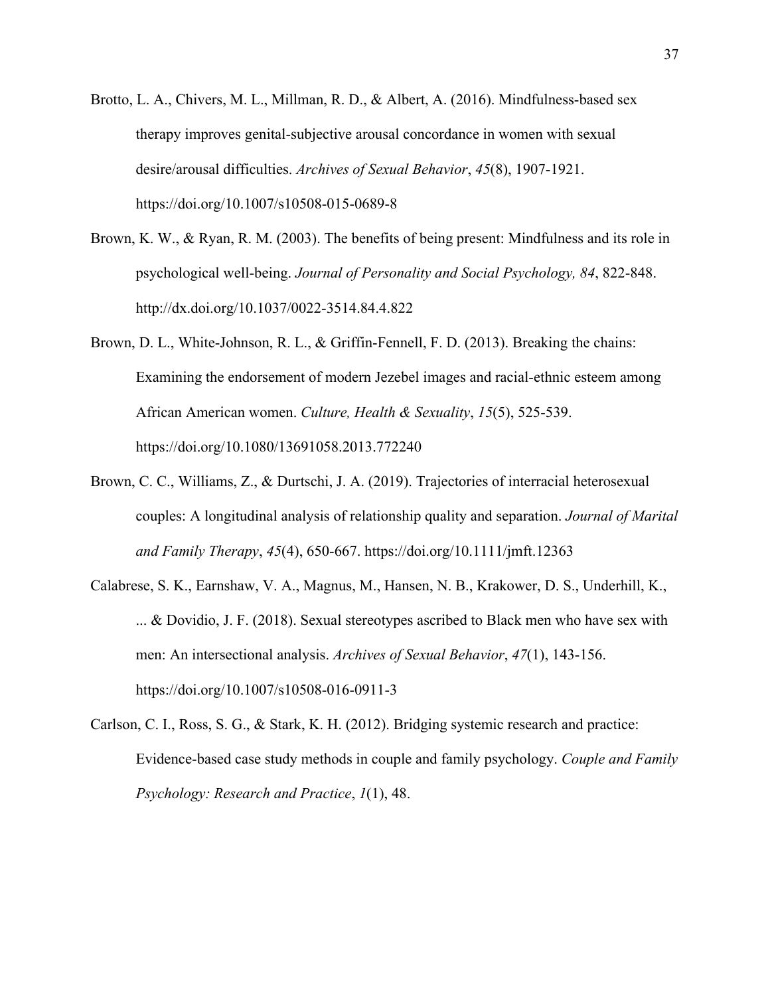- Brotto, L. A., Chivers, M. L., Millman, R. D., & Albert, A. (2016). Mindfulness-based sex therapy improves genital-subjective arousal concordance in women with sexual desire/arousal difficulties. *Archives of Sexual Behavior*, *45*(8), 1907-1921. https://doi.org/10.1007/s10508-015-0689-8
- Brown, K. W., & Ryan, R. M. (2003). The benefits of being present: Mindfulness and its role in psychological well-being. *Journal of Personality and Social Psychology, 84*, 822-848. http://dx.doi.org/10.1037/0022-3514.84.4.822
- Brown, D. L., White-Johnson, R. L., & Griffin-Fennell, F. D. (2013). Breaking the chains: Examining the endorsement of modern Jezebel images and racial-ethnic esteem among African American women. *Culture, Health & Sexuality*, *15*(5), 525-539. https://doi.org/10.1080/13691058.2013.772240
- Brown, C. C., Williams, Z., & Durtschi, J. A. (2019). Trajectories of interracial heterosexual couples: A longitudinal analysis of relationship quality and separation. *Journal of Marital and Family Therapy*, *45*(4), 650-667. https://doi.org/10.1111/jmft.12363
- Calabrese, S. K., Earnshaw, V. A., Magnus, M., Hansen, N. B., Krakower, D. S., Underhill, K., ... & Dovidio, J. F. (2018). Sexual stereotypes ascribed to Black men who have sex with men: An intersectional analysis. *Archives of Sexual Behavior*, *47*(1), 143-156. https://doi.org/10.1007/s10508-016-0911-3
- Carlson, C. I., Ross, S. G., & Stark, K. H. (2012). Bridging systemic research and practice: Evidence-based case study methods in couple and family psychology. *Couple and Family Psychology: Research and Practice*, *1*(1), 48.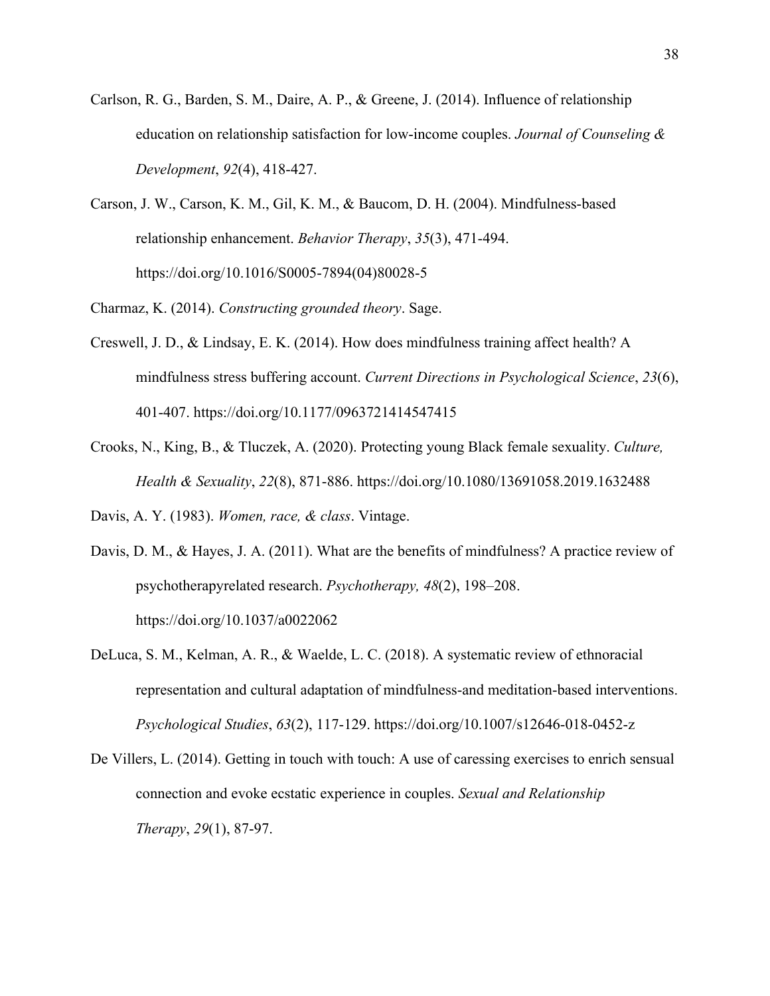- Carlson, R. G., Barden, S. M., Daire, A. P., & Greene, J. (2014). Influence of relationship education on relationship satisfaction for low‐income couples. *Journal of Counseling & Development*, *92*(4), 418-427.
- Carson, J. W., Carson, K. M., Gil, K. M., & Baucom, D. H. (2004). Mindfulness-based relationship enhancement. *Behavior Therapy*, *35*(3), 471-494. https://doi.org/10.1016/S0005-7894(04)80028-5

Charmaz, K. (2014). *Constructing grounded theory*. Sage.

- Creswell, J. D., & Lindsay, E. K. (2014). How does mindfulness training affect health? A mindfulness stress buffering account. *Current Directions in Psychological Science*, *23*(6), 401-407. https://doi.org/10.1177/0963721414547415
- Crooks, N., King, B., & Tluczek, A. (2020). Protecting young Black female sexuality. *Culture, Health & Sexuality*, *22*(8), 871-886.<https://doi.org/10.1080/13691058.2019.1632488>

Davis, A. Y. (1983). *Women, race, & class*. Vintage.

- Davis, D. M., & Hayes, J. A. (2011). What are the benefits of mindfulness? A practice review of psychotherapyrelated research. *Psychotherapy, 48*(2), 198–208. https://doi.org/10.1037/a0022062
- DeLuca, S. M., Kelman, A. R., & Waelde, L. C. (2018). A systematic review of ethnoracial representation and cultural adaptation of mindfulness-and meditation-based interventions. *Psychological Studies*, *63*(2), 117-129. https://doi.org/10.1007/s12646-018-0452-z
- De Villers, L. (2014). Getting in touch with touch: A use of caressing exercises to enrich sensual connection and evoke ecstatic experience in couples. *Sexual and Relationship Therapy*, *29*(1), 87-97.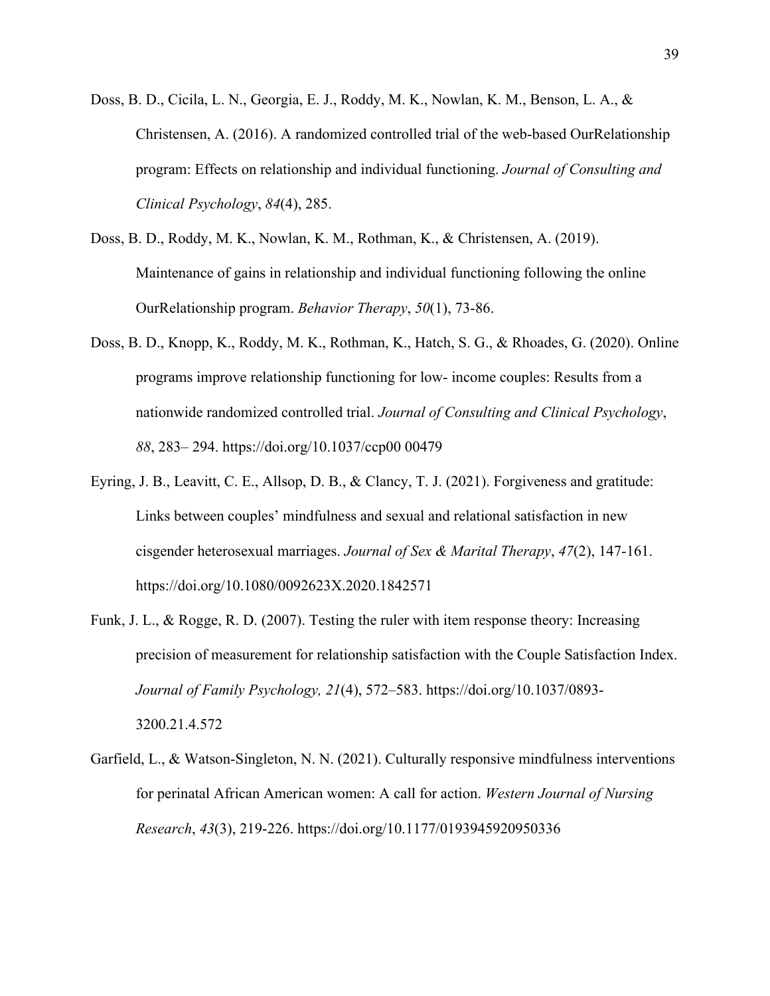- Doss, B. D., Cicila, L. N., Georgia, E. J., Roddy, M. K., Nowlan, K. M., Benson, L. A., & Christensen, A. (2016). A randomized controlled trial of the web-based OurRelationship program: Effects on relationship and individual functioning. *Journal of Consulting and Clinical Psychology*, *84*(4), 285.
- Doss, B. D., Roddy, M. K., Nowlan, K. M., Rothman, K., & Christensen, A. (2019). Maintenance of gains in relationship and individual functioning following the online OurRelationship program. *Behavior Therapy*, *50*(1), 73-86.
- Doss, B. D., Knopp, K., Roddy, M. K., Rothman, K., Hatch, S. G., & Rhoades, G. (2020). Online programs improve relationship functioning for low- income couples: Results from a nationwide randomized controlled trial. *Journal of Consulting and Clinical Psychology*, *88*, 283– 294. https://doi.org/10.1037/ccp00 00479
- Eyring, J. B., Leavitt, C. E., Allsop, D. B., & Clancy, T. J. (2021). Forgiveness and gratitude: Links between couples' mindfulness and sexual and relational satisfaction in new cisgender heterosexual marriages. *Journal of Sex & Marital Therapy*, *47*(2), 147-161. https://doi.org/10.1080/0092623X.2020.1842571
- Funk, J. L., & Rogge, R. D. (2007). Testing the ruler with item response theory: Increasing precision of measurement for relationship satisfaction with the Couple Satisfaction Index. *Journal of Family Psychology, 21*(4), 572–583. https://doi.org/10.1037/0893- 3200.21.4.572
- Garfield, L., & Watson-Singleton, N. N. (2021). Culturally responsive mindfulness interventions for perinatal African American women: A call for action. *Western Journal of Nursing Research*, *43*(3), 219-226. https://doi.org/10.1177/0193945920950336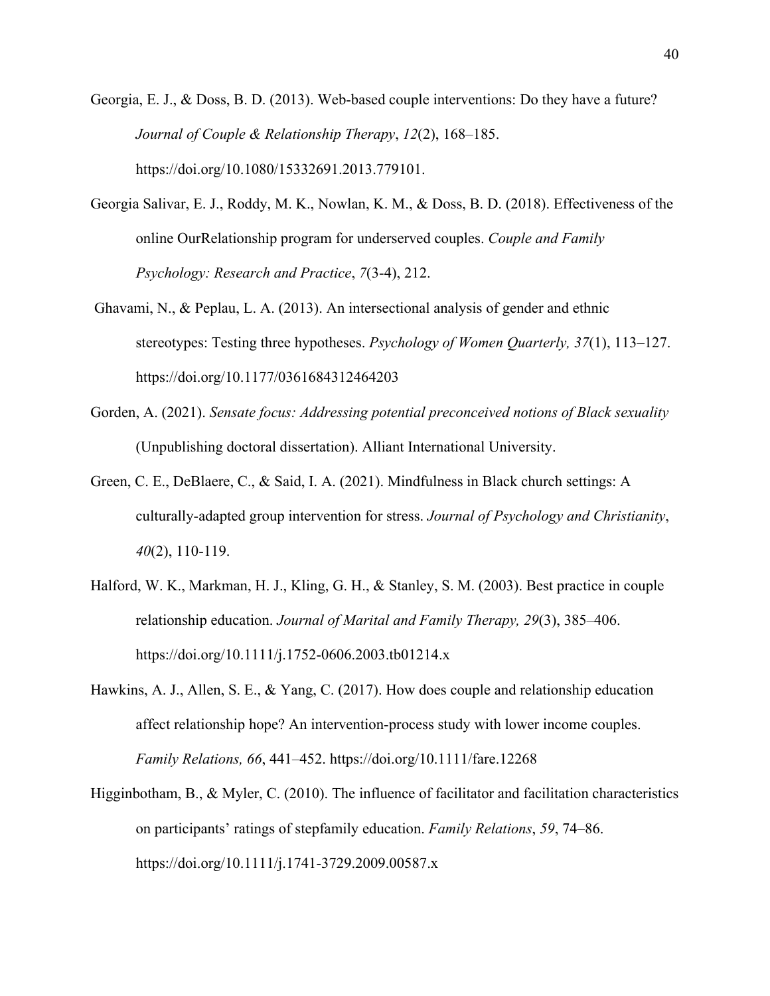- Georgia, E. J., & Doss, B. D. (2013). Web-based couple interventions: Do they have a future? *Journal of Couple & Relationship Therapy*, *12*(2), 168–185. https://doi.org/10.1080/15332691.2013.779101.
- Georgia Salivar, E. J., Roddy, M. K., Nowlan, K. M., & Doss, B. D. (2018). Effectiveness of the online OurRelationship program for underserved couples. *Couple and Family Psychology: Research and Practice*, *7*(3-4), 212.
- Ghavami, N., & Peplau, L. A. (2013). An intersectional analysis of gender and ethnic stereotypes: Testing three hypotheses. *Psychology of Women Quarterly, 37*(1), 113–127. https://doi.org/10.1177/0361684312464203
- Gorden, A. (2021). *Sensate focus: Addressing potential preconceived notions of Black sexuality* (Unpublishing doctoral dissertation). Alliant International University.
- Green, C. E., DeBlaere, C., & Said, I. A. (2021). Mindfulness in Black church settings: A culturally-adapted group intervention for stress. *Journal of Psychology and Christianity*, *40*(2), 110-119.
- Halford, W. K., Markman, H. J., Kling, G. H., & Stanley, S. M. (2003). Best practice in couple relationship education. *Journal of Marital and Family Therapy, 29*(3), 385–406. https://doi.org/10.1111/j.1752-0606.2003.tb01214.x
- Hawkins, A. J., Allen, S. E., & Yang, C. (2017). How does couple and relationship education affect relationship hope? An intervention-process study with lower income couples. *Family Relations, 66*, 441–452.<https://doi.org/10.1111/fare.12268>
- Higginbotham, B., & Myler, C. (2010). The influence of facilitator and facilitation characteristics on participants' ratings of stepfamily education. *Family Relations*, *59*, 74–86. https://doi.org/10.1111/j.1741-3729.2009.00587.x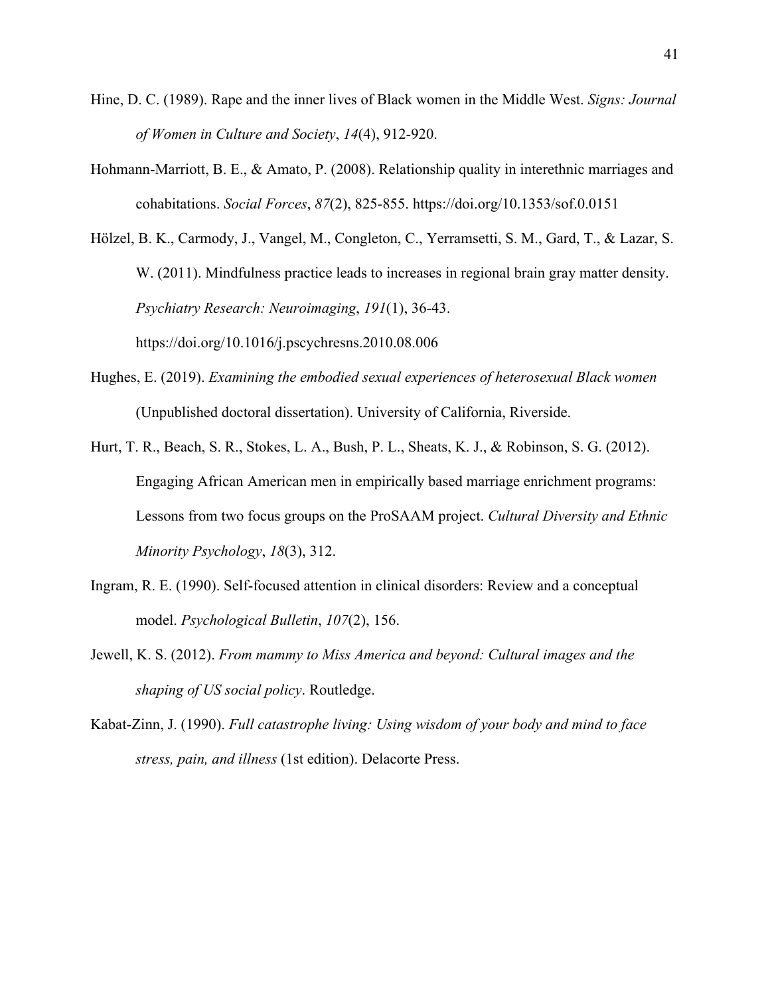- Hine, D. C. (1989). Rape and the inner lives of Black women in the Middle West. *Signs: Journal of Women in Culture and Society*, *14*(4), 912-920.
- Hohmann-Marriott, B. E., & Amato, P. (2008). Relationship quality in interethnic marriages and cohabitations. *Social Forces*, *87*(2), 825-855. https://doi.org/10.1353/sof.0.0151

Hölzel, B. K., Carmody, J., Vangel, M., Congleton, C., Yerramsetti, S. M., Gard, T., & Lazar, S. W. (2011). Mindfulness practice leads to increases in regional brain gray matter density. *Psychiatry Research: Neuroimaging*, *191*(1), 36-43. https://doi.org/10.1016/j.pscychresns.2010.08.006

- Hughes, E. (2019). *Examining the embodied sexual experiences of heterosexual Black women* (Unpublished doctoral dissertation). University of California, Riverside.
- Hurt, T. R., Beach, S. R., Stokes, L. A., Bush, P. L., Sheats, K. J., & Robinson, S. G. (2012). Engaging African American men in empirically based marriage enrichment programs: Lessons from two focus groups on the ProSAAM project. *Cultural Diversity and Ethnic Minority Psychology*, *18*(3), 312.
- Ingram, R. E. (1990). Self-focused attention in clinical disorders: Review and a conceptual model. *Psychological Bulletin*, *107*(2), 156.
- Jewell, K. S. (2012). *From mammy to Miss America and beyond: Cultural images and the shaping of US social policy*. Routledge.
- Kabat-Zinn, J. (1990). *Full catastrophe living: Using wisdom of your body and mind to face stress, pain, and illness* (1st edition). Delacorte Press.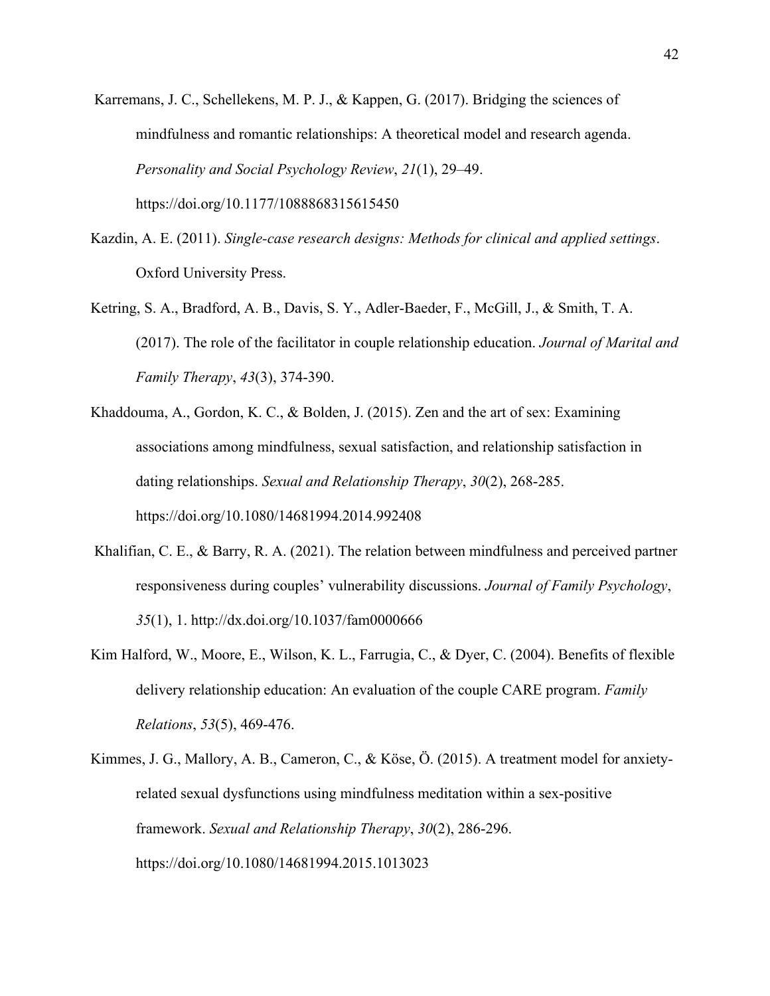Karremans, J. C., Schellekens, M. P. J., & Kappen, G. (2017). Bridging the sciences of mindfulness and romantic relationships: A theoretical model and research agenda. *Personality and Social Psychology Review*, *21*(1), 29–49. https://doi.org/10.1177/1088868315615450

- Kazdin, A. E. (2011). *Single-case research designs: Methods for clinical and applied settings*. Oxford University Press.
- Ketring, S. A., Bradford, A. B., Davis, S. Y., Adler‐Baeder, F., McGill, J., & Smith, T. A. (2017). The role of the facilitator in couple relationship education. *Journal of Marital and Family Therapy*, *43*(3), 374-390.
- Khaddouma, A., Gordon, K. C., & Bolden, J. (2015). Zen and the art of sex: Examining associations among mindfulness, sexual satisfaction, and relationship satisfaction in dating relationships. *Sexual and Relationship Therapy*, *30*(2), 268-285. <https://doi.org/10.1080/14681994.2014.992408>
- Khalifian, C. E., & Barry, R. A. (2021). The relation between mindfulness and perceived partner responsiveness during couples' vulnerability discussions. *Journal of Family Psychology*, *35*(1), 1. http://dx.doi.org/10.1037/fam0000666
- Kim Halford, W., Moore, E., Wilson, K. L., Farrugia, C., & Dyer, C. (2004). Benefits of flexible delivery relationship education: An evaluation of the couple CARE program. *Family Relations*, *53*(5), 469-476.
- Kimmes, J. G., Mallory, A. B., Cameron, C., & Köse, Ö. (2015). A treatment model for anxietyrelated sexual dysfunctions using mindfulness meditation within a sex-positive framework. *Sexual and Relationship Therapy*, *30*(2), 286-296. https://doi.org/10.1080/14681994.2015.1013023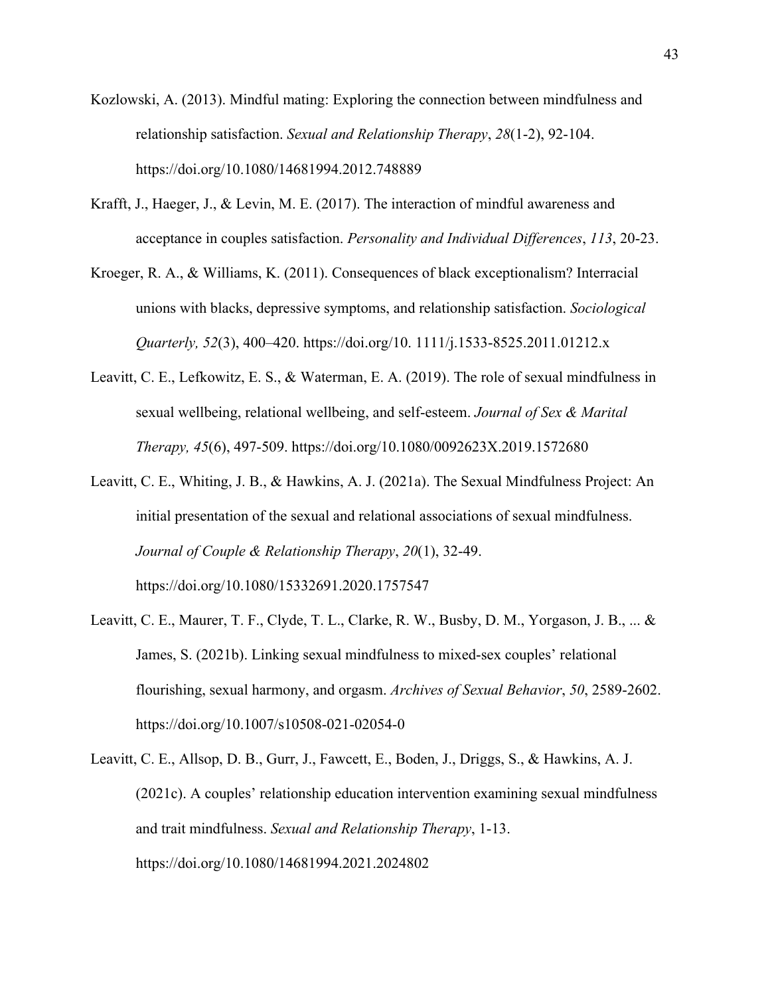- Kozlowski, A. (2013). Mindful mating: Exploring the connection between mindfulness and relationship satisfaction. *Sexual and Relationship Therapy*, *28*(1-2), 92-104. <https://doi.org/10.1080/14681994.2012.748889>
- Krafft, J., Haeger, J., & Levin, M. E. (2017). The interaction of mindful awareness and acceptance in couples satisfaction. *Personality and Individual Differences*, *113*, 20-23.
- Kroeger, R. A., & Williams, K. (2011). Consequences of black exceptionalism? Interracial unions with blacks, depressive symptoms, and relationship satisfaction. *Sociological Quarterly, 52*(3), 400–420. https://doi.org/10. 1111/j.1533-8525.2011.01212.x
- Leavitt, C. E., Lefkowitz, E. S., & Waterman, E. A. (2019). The role of sexual mindfulness in sexual wellbeing, relational wellbeing, and self-esteem. *Journal of Sex & Marital Therapy, 45*(6), 497-509. https://doi.org/10.1080/0092623X.2019.1572680
- Leavitt, C. E., Whiting, J. B., & Hawkins, A. J. (2021a). The Sexual Mindfulness Project: An initial presentation of the sexual and relational associations of sexual mindfulness. *Journal of Couple & Relationship Therapy*, *20*(1), 32-49. https://doi.org/10.1080/15332691.2020.1757547
- Leavitt, C. E., Maurer, T. F., Clyde, T. L., Clarke, R. W., Busby, D. M., Yorgason, J. B., ... & James, S. (2021b). Linking sexual mindfulness to mixed-sex couples' relational flourishing, sexual harmony, and orgasm. *Archives of Sexual Behavior*, *50*, 2589-2602. https://doi.org/10.1007/s10508-021-02054-0

Leavitt, C. E., Allsop, D. B., Gurr, J., Fawcett, E., Boden, J., Driggs, S., & Hawkins, A. J. (2021c). A couples' relationship education intervention examining sexual mindfulness and trait mindfulness. *Sexual and Relationship Therapy*, 1-13. https://doi.org/10.1080/14681994.2021.2024802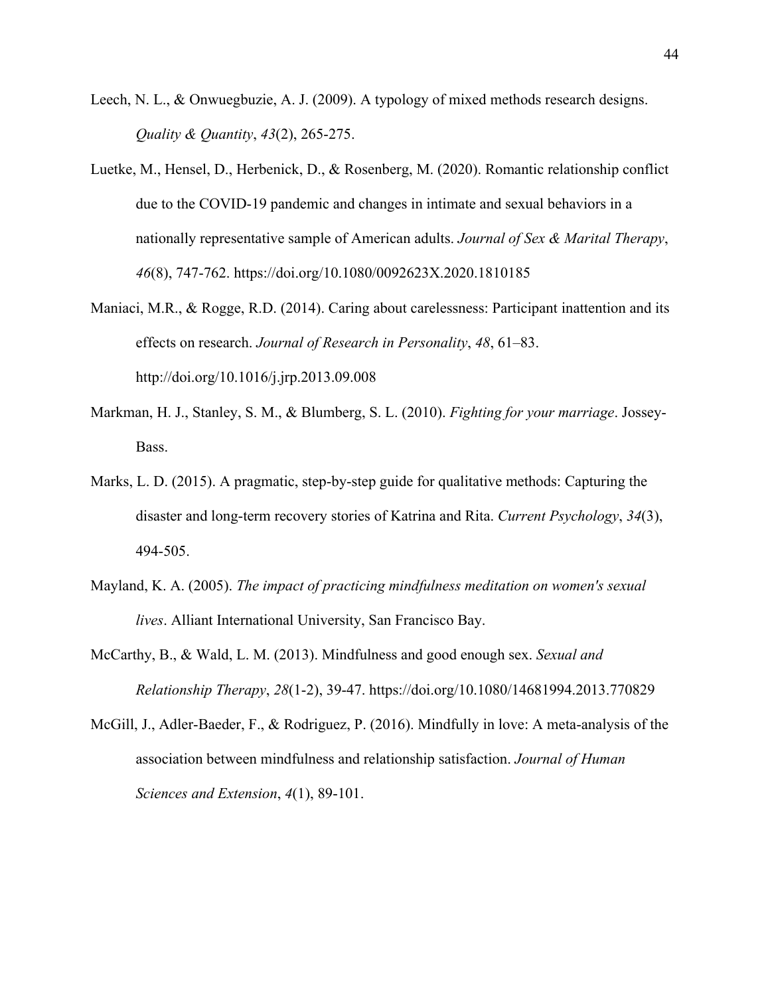- Leech, N. L., & Onwuegbuzie, A. J. (2009). A typology of mixed methods research designs. *Quality & Quantity*, *43*(2), 265-275.
- Luetke, M., Hensel, D., Herbenick, D., & Rosenberg, M. (2020). Romantic relationship conflict due to the COVID-19 pandemic and changes in intimate and sexual behaviors in a nationally representative sample of American adults. *Journal of Sex & Marital Therapy*, *46*(8), 747-762.<https://doi.org/10.1080/0092623X.2020.1810185>
- Maniaci, M.R., & Rogge, R.D. (2014). Caring about carelessness: Participant inattention and its effects on research. *Journal of Research in Personality*, *48*, 61–83. http://doi.org/10.1016/j.jrp.2013.09.008
- Markman, H. J., Stanley, S. M., & Blumberg, S. L. (2010). *Fighting for your marriage*. Jossey-Bass.
- Marks, L. D. (2015). A pragmatic, step-by-step guide for qualitative methods: Capturing the disaster and long-term recovery stories of Katrina and Rita. *Current Psychology*, *34*(3), 494-505.
- Mayland, K. A. (2005). *The impact of practicing mindfulness meditation on women's sexual lives*. Alliant International University, San Francisco Bay.
- McCarthy, B., & Wald, L. M. (2013). Mindfulness and good enough sex. *Sexual and Relationship Therapy*, *28*(1-2), 39-47. https://doi.org/10.1080/14681994.2013.770829
- McGill, J., Adler-Baeder, F., & Rodriguez, P. (2016). Mindfully in love: A meta-analysis of the association between mindfulness and relationship satisfaction. *Journal of Human Sciences and Extension*, *4*(1), 89-101.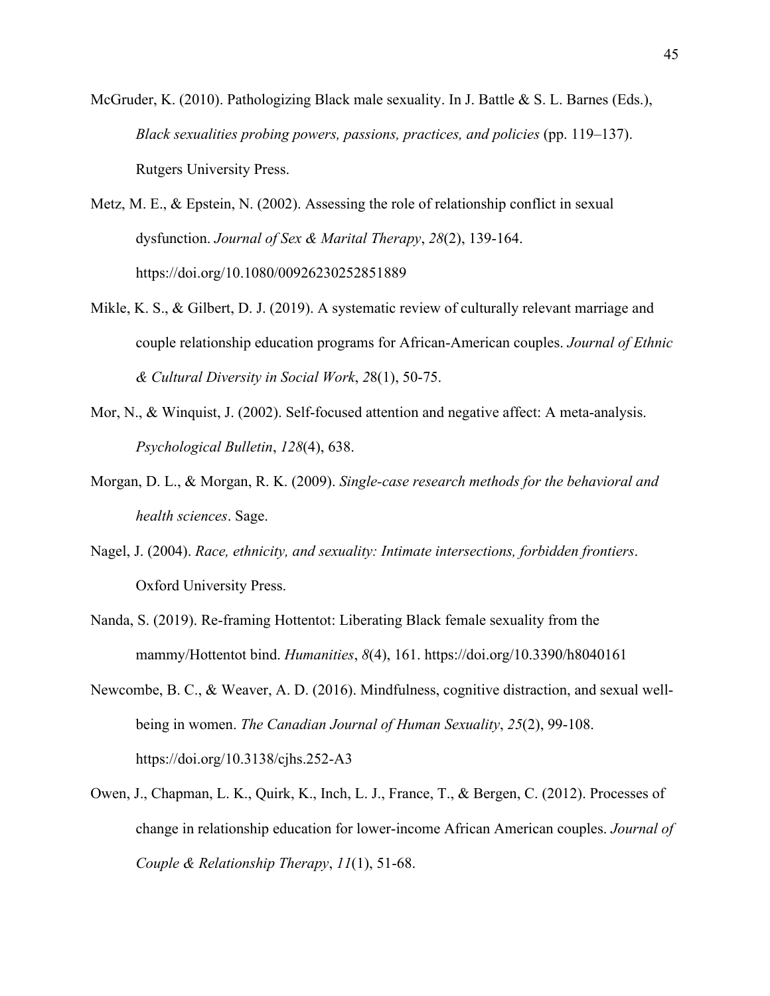McGruder, K. (2010). Pathologizing Black male sexuality. In J. Battle & S. L. Barnes (Eds.), *Black sexualities probing powers, passions, practices, and policies* (pp. 119–137). Rutgers University Press.

Metz, M. E., & Epstein, N. (2002). Assessing the role of relationship conflict in sexual dysfunction. *Journal of Sex & Marital Therapy*, *28*(2), 139-164. <https://doi.org/10.1080/00926230252851889>

- Mikle, K. S., & Gilbert, D. J. (2019). A systematic review of culturally relevant marriage and couple relationship education programs for African-American couples. *Journal of Ethnic & Cultural Diversity in Social Work*, *2*8(1), 50-75.
- Mor, N., & Winquist, J. (2002). Self-focused attention and negative affect: A meta-analysis. *Psychological Bulletin*, *128*(4), 638.
- Morgan, D. L., & Morgan, R. K. (2009). *Single-case research methods for the behavioral and health sciences*. Sage.
- Nagel, J. (2004). *Race, ethnicity, and sexuality: Intimate intersections, forbidden frontiers*. Oxford University Press.
- Nanda, S. (2019). Re-framing Hottentot: Liberating Black female sexuality from the mammy/Hottentot bind. *Humanities*, *8*(4), 161. https://doi.org/10.3390/h8040161
- Newcombe, B. C., & Weaver, A. D. (2016). Mindfulness, cognitive distraction, and sexual wellbeing in women. *The Canadian Journal of Human Sexuality*, *25*(2), 99-108. https://doi.org/10.3138/cjhs.252-A3
- Owen, J., Chapman, L. K., Quirk, K., Inch, L. J., France, T., & Bergen, C. (2012). Processes of change in relationship education for lower-income African American couples. *Journal of Couple & Relationship Therapy*, *11*(1), 51-68.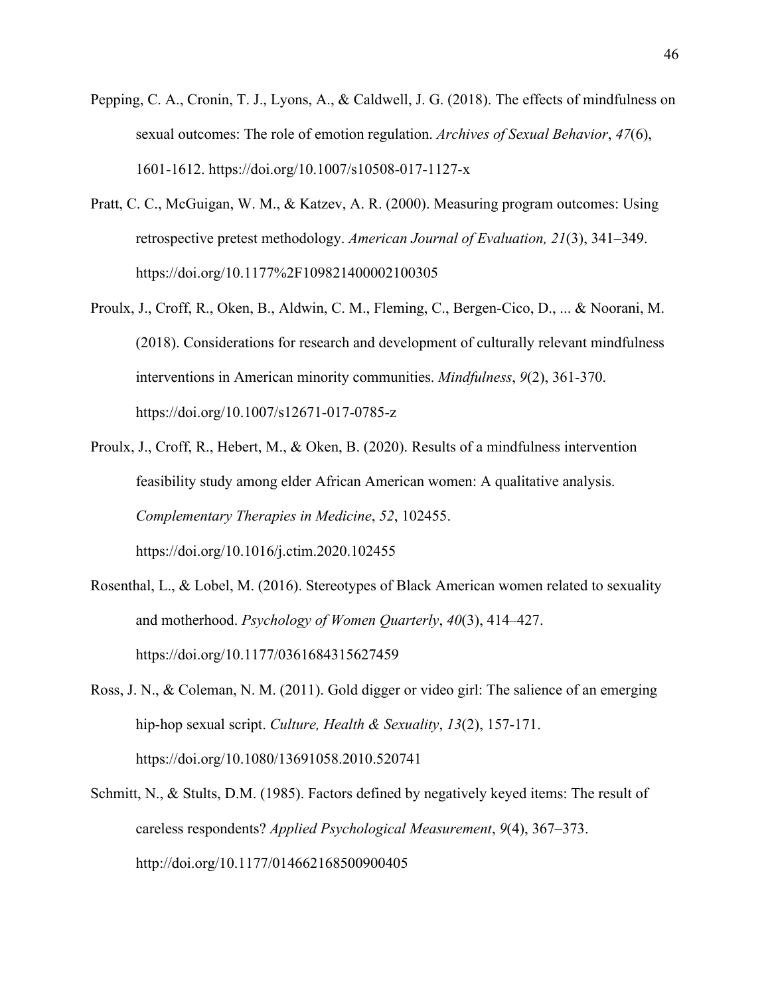- Pepping, C. A., Cronin, T. J., Lyons, A., & Caldwell, J. G. (2018). The effects of mindfulness on sexual outcomes: The role of emotion regulation. *Archives of Sexual Behavior*, *47*(6), 1601-1612. https://doi.org/10.1007/s10508-017-1127-x
- Pratt, C. C., McGuigan, W. M., & Katzev, A. R. (2000). Measuring program outcomes: Using retrospective pretest methodology. *American Journal of Evaluation, 21*(3), 341–349. https://doi.org/10.1177%2F109821400002100305
- Proulx, J., Croff, R., Oken, B., Aldwin, C. M., Fleming, C., Bergen-Cico, D., ... & Noorani, M. (2018). Considerations for research and development of culturally relevant mindfulness interventions in American minority communities. *Mindfulness*, *9*(2), 361-370. https://doi.org/10.1007/s12671-017-0785-z
- Proulx, J., Croff, R., Hebert, M., & Oken, B. (2020). Results of a mindfulness intervention feasibility study among elder African American women: A qualitative analysis. *Complementary Therapies in Medicine*, *52*, 102455. <https://doi.org/10.1016/j.ctim.2020.102455>
- Rosenthal, L., & Lobel, M. (2016). Stereotypes of Black American women related to sexuality and motherhood. *Psychology of Women Quarterly*, *40*(3), 414–427. https://doi.org/10.1177/0361684315627459
- Ross, J. N., & Coleman, N. M. (2011). Gold digger or video girl: The salience of an emerging hip-hop sexual script. *Culture, Health & Sexuality*, *13*(2), 157-171. <https://doi.org/10.1080/13691058.2010.520741>
- Schmitt, N., & Stults, D.M. (1985). Factors defined by negatively keyed items: The result of careless respondents? *Applied Psychological Measurement*, *9*(4), 367–373. http://doi.org/10.1177/014662168500900405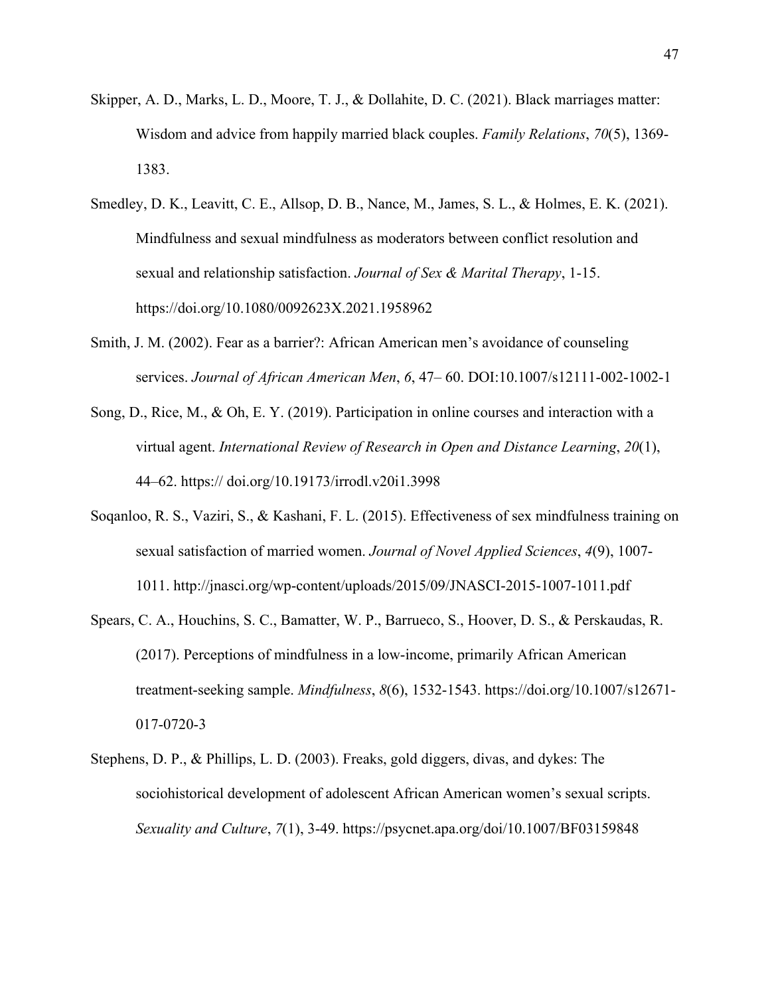- Skipper, A. D., Marks, L. D., Moore, T. J., & Dollahite, D. C. (2021). Black marriages matter: Wisdom and advice from happily married black couples. *Family Relations*, *70*(5), 1369- 1383.
- Smedley, D. K., Leavitt, C. E., Allsop, D. B., Nance, M., James, S. L., & Holmes, E. K. (2021). Mindfulness and sexual mindfulness as moderators between conflict resolution and sexual and relationship satisfaction. *Journal of Sex & Marital Therapy*, 1-15. <https://doi.org/10.1080/0092623X.2021.1958962>
- Smith, J. M. (2002). Fear as a barrier?: African American men's avoidance of counseling services. *Journal of African American Men*, *6*, 47– 60. DOI:10.1007/s12111-002-1002-1
- Song, D., Rice, M., & Oh, E. Y. (2019). Participation in online courses and interaction with a virtual agent. *International Review of Research in Open and Distance Learning*, *20*(1), 44–62. https:// doi.org/10.19173/irrodl.v20i1.3998
- Soqanloo, R. S., Vaziri, S., & Kashani, F. L. (2015). Effectiveness of sex mindfulness training on sexual satisfaction of married women. *Journal of Novel Applied Sciences*, *4*(9), 1007- 1011. http://jnasci.org/wp-content/uploads/2015/09/JNASCI-2015-1007-1011.pdf
- Spears, C. A., Houchins, S. C., Bamatter, W. P., Barrueco, S., Hoover, D. S., & Perskaudas, R. (2017). Perceptions of mindfulness in a low-income, primarily African American treatment-seeking sample. *Mindfulness*, *8*(6), 1532-1543. https://doi.org/10.1007/s12671- 017-0720-3
- Stephens, D. P., & Phillips, L. D. (2003). Freaks, gold diggers, divas, and dykes: The sociohistorical development of adolescent African American women's sexual scripts. *Sexuality and Culture*, *7*(1), 3-49. https://psycnet.apa.org/doi/10.1007/BF03159848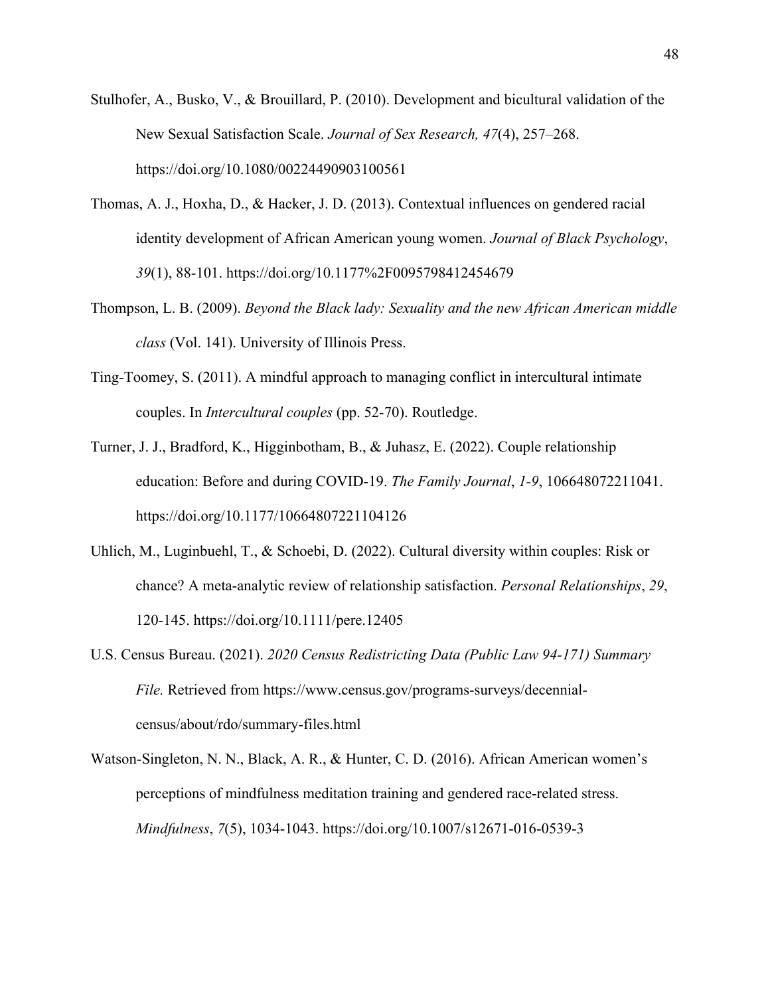- Stulhofer, A., Busko, V., & Brouillard, P. (2010). Development and bicultural validation of the New Sexual Satisfaction Scale. *Journal of Sex Research, 47*(4), 257–268. https://doi.org/10.1080/00224490903100561
- Thomas, A. J., Hoxha, D., & Hacker, J. D. (2013). Contextual influences on gendered racial identity development of African American young women. *Journal of Black Psychology*, *39*(1), 88-101. https://doi.org/10.1177%2F0095798412454679
- Thompson, L. B. (2009). *Beyond the Black lady: Sexuality and the new African American middle class* (Vol. 141). University of Illinois Press.
- Ting-Toomey, S. (2011). A mindful approach to managing conflict in intercultural intimate couples. In *Intercultural couples* (pp. 52-70). Routledge.
- Turner, J. J., Bradford, K., Higginbotham, B., & Juhasz, E. (2022). Couple relationship education: Before and during COVID-19. *The Family Journal*, *1-9*, 106648072211041. https://doi.org/10.1177/10664807221104126
- Uhlich, M., Luginbuehl, T., & Schoebi, D. (2022). Cultural diversity within couples: Risk or chance? A meta‐analytic review of relationship satisfaction. *Personal Relationships*, *29*, 120-145. https://doi.org/10.1111/pere.12405
- U.S. Census Bureau. (2021). *2020 Census Redistricting Data (Public Law 94-171) Summary File.* Retrieved from https://www.census.gov/programs-surveys/decennialcensus/about/rdo/summary-files.html
- Watson-Singleton, N. N., Black, A. R., & Hunter, C. D. (2016). African American women's perceptions of mindfulness meditation training and gendered race-related stress. *Mindfulness*, *7*(5), 1034-1043. https://doi.org/10.1007/s12671-016-0539-3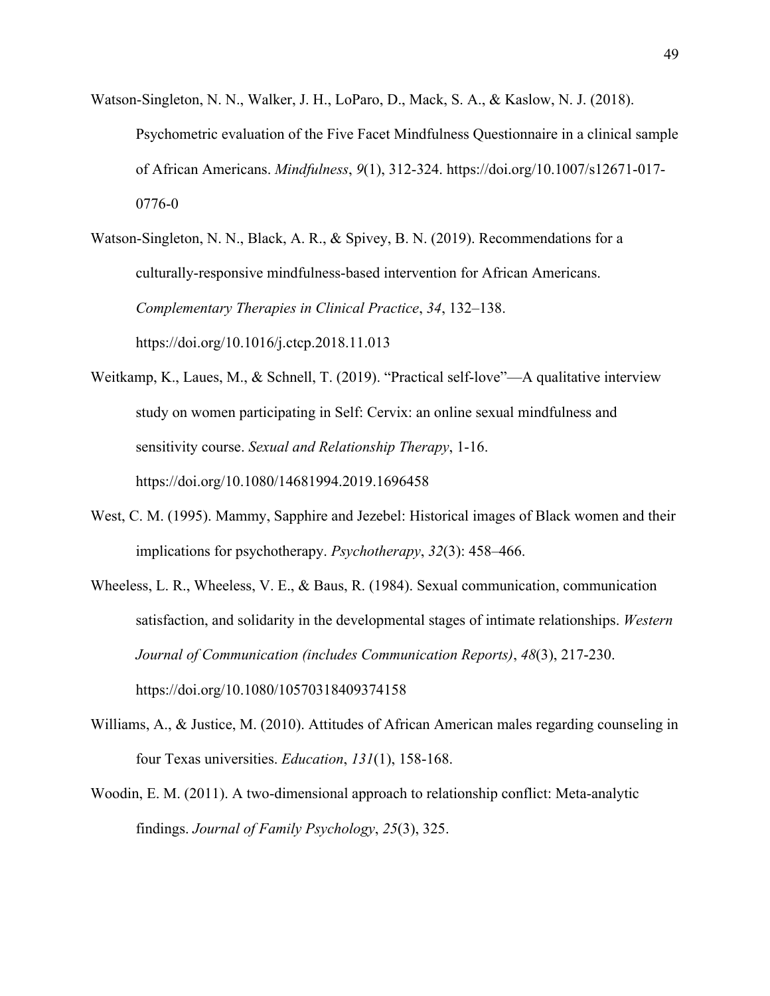Watson-Singleton, N. N., Walker, J. H., LoParo, D., Mack, S. A., & Kaslow, N. J. (2018). Psychometric evaluation of the Five Facet Mindfulness Questionnaire in a clinical sample of African Americans. *Mindfulness*, *9*(1), 312-324. https://doi.org/10.1007/s12671-017- 0776-0

Watson-Singleton, N. N., Black, A. R., & Spivey, B. N. (2019). Recommendations for a culturally-responsive mindfulness-based intervention for African Americans. *Complementary Therapies in Clinical Practice*, *34*, 132–138. https://doi.org/10.1016/j.ctcp.2018.11.013

- Weitkamp, K., Laues, M., & Schnell, T. (2019). "Practical self-love"—A qualitative interview study on women participating in Self: Cervix: an online sexual mindfulness and sensitivity course. *Sexual and Relationship Therapy*, 1-16. https://doi.org/10.1080/14681994.2019.1696458
- West, C. M. (1995). Mammy, Sapphire and Jezebel: Historical images of Black women and their implications for psychotherapy. *Psychotherapy*, *32*(3): 458–466.
- Wheeless, L. R., Wheeless, V. E., & Baus, R. (1984). Sexual communication, communication satisfaction, and solidarity in the developmental stages of intimate relationships. *Western Journal of Communication (includes Communication Reports)*, *48*(3), 217-230. https://doi.org/10.1080/10570318409374158
- Williams, A., & Justice, M. (2010). Attitudes of African American males regarding counseling in four Texas universities. *Education*, *131*(1), 158-168.
- Woodin, E. M. (2011). A two-dimensional approach to relationship conflict: Meta-analytic findings. *Journal of Family Psychology*, *25*(3), 325.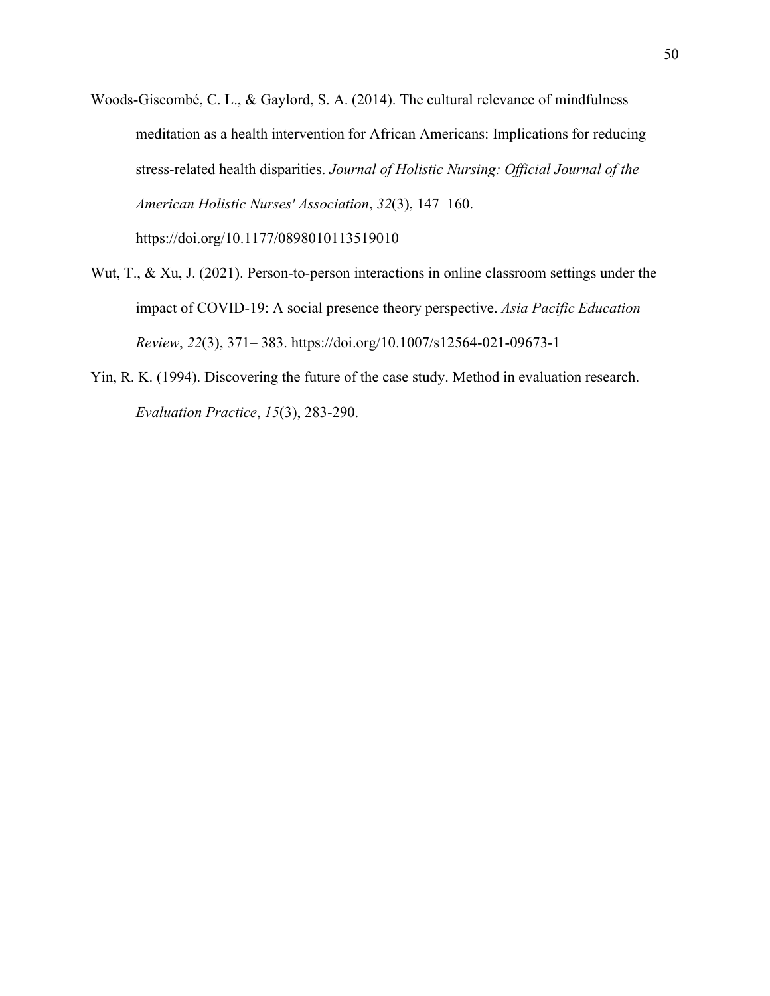- Woods-Giscombé, C. L., & Gaylord, S. A. (2014). The cultural relevance of mindfulness meditation as a health intervention for African Americans: Implications for reducing stress-related health disparities. *Journal of Holistic Nursing: Official Journal of the American Holistic Nurses' Association*, *32*(3), 147–160. https://doi.org/10.1177/0898010113519010
- Wut, T., & Xu, J. (2021). Person-to-person interactions in online classroom settings under the impact of COVID-19: A social presence theory perspective. *Asia Pacific Education Review*, *22*(3), 371– 383. https://doi.org/10.1007/s12564-021-09673-1
- Yin, R. K. (1994). Discovering the future of the case study. Method in evaluation research. *Evaluation Practice*, *15*(3), 283-290.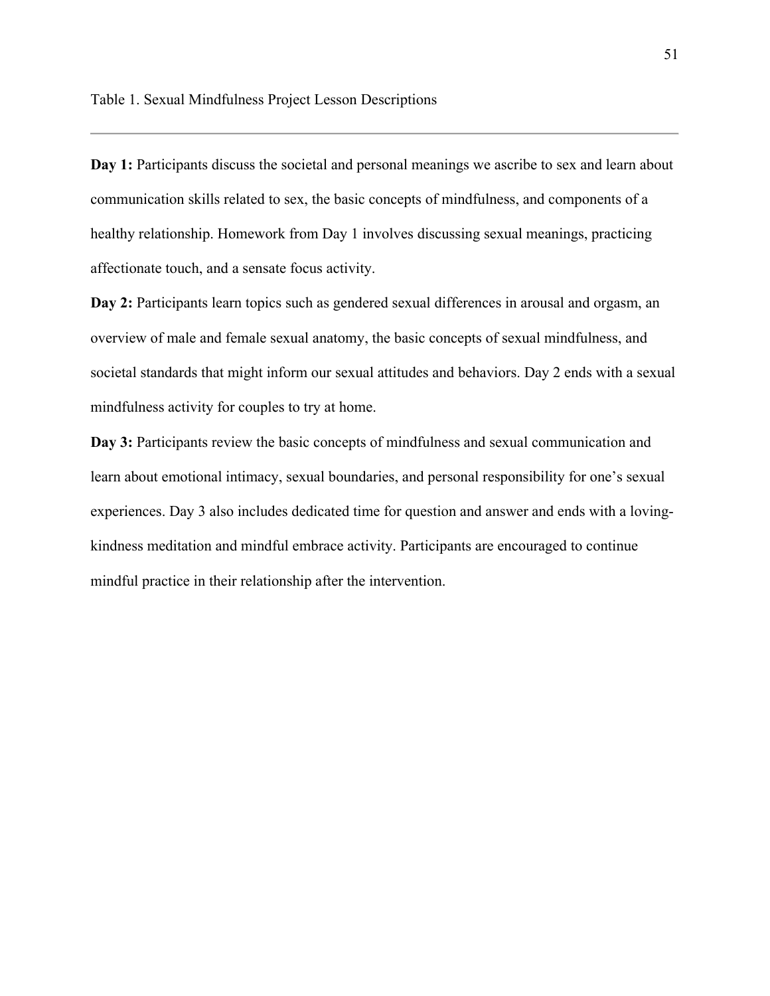<span id="page-60-0"></span>Day 1: Participants discuss the societal and personal meanings we ascribe to sex and learn about communication skills related to sex, the basic concepts of mindfulness, and components of a healthy relationship. Homework from Day 1 involves discussing sexual meanings, practicing affectionate touch, and a sensate focus activity.

Day 2: Participants learn topics such as gendered sexual differences in arousal and orgasm, an overview of male and female sexual anatomy, the basic concepts of sexual mindfulness, and societal standards that might inform our sexual attitudes and behaviors. Day 2 ends with a sexual mindfulness activity for couples to try at home.

Day 3: Participants review the basic concepts of mindfulness and sexual communication and learn about emotional intimacy, sexual boundaries, and personal responsibility for one's sexual experiences. Day 3 also includes dedicated time for question and answer and ends with a lovingkindness meditation and mindful embrace activity. Participants are encouraged to continue mindful practice in their relationship after the intervention.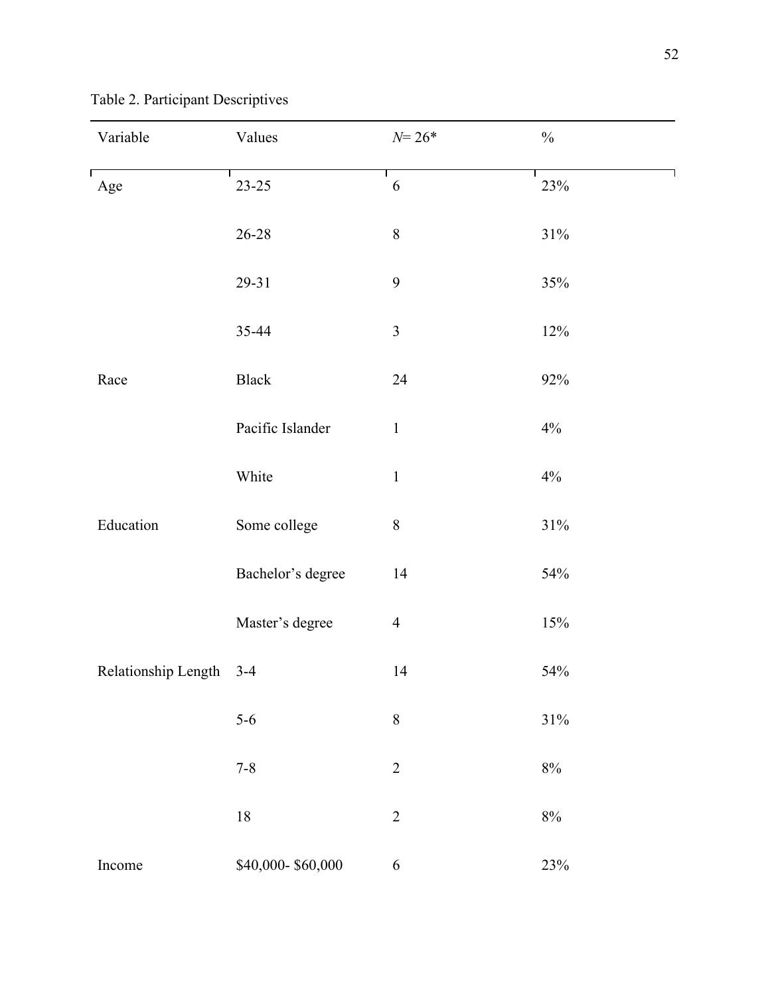| Variable            | Values            | $N = 26*$        | $\frac{0}{0}$ |
|---------------------|-------------------|------------------|---------------|
| Age                 | $23 - 25$         | 6                | 23%           |
|                     | $26 - 28$         | $\, 8$           | $31\%$        |
|                     | 29-31             | $\boldsymbol{9}$ | 35%           |
|                     | 35-44             | 3                | 12%           |
| Race                | <b>Black</b>      | 24               | $92\%$        |
|                     | Pacific Islander  | $\mathbf 1$      | 4%            |
|                     | White             | $\,1\,$          | $4\%$         |
| Education           | Some college      | $8\,$            | $31\%$        |
|                     | Bachelor's degree | 14               | 54%           |
|                     | Master's degree   | $\overline{4}$   | 15%           |
| Relationship Length | $3 - 4$           | 14               | 54%           |
|                     | $5-6$             | $\,8\,$          | $31\%$        |
|                     | $7 - 8$           | $\sqrt{2}$       | $8\%$         |
|                     | $18\,$            | $\overline{2}$   | $8\%$         |
| Income              | \$40,000-\$60,000 | $\sqrt{6}$       | 23%           |

<span id="page-61-0"></span>Table 2. Participant Descriptives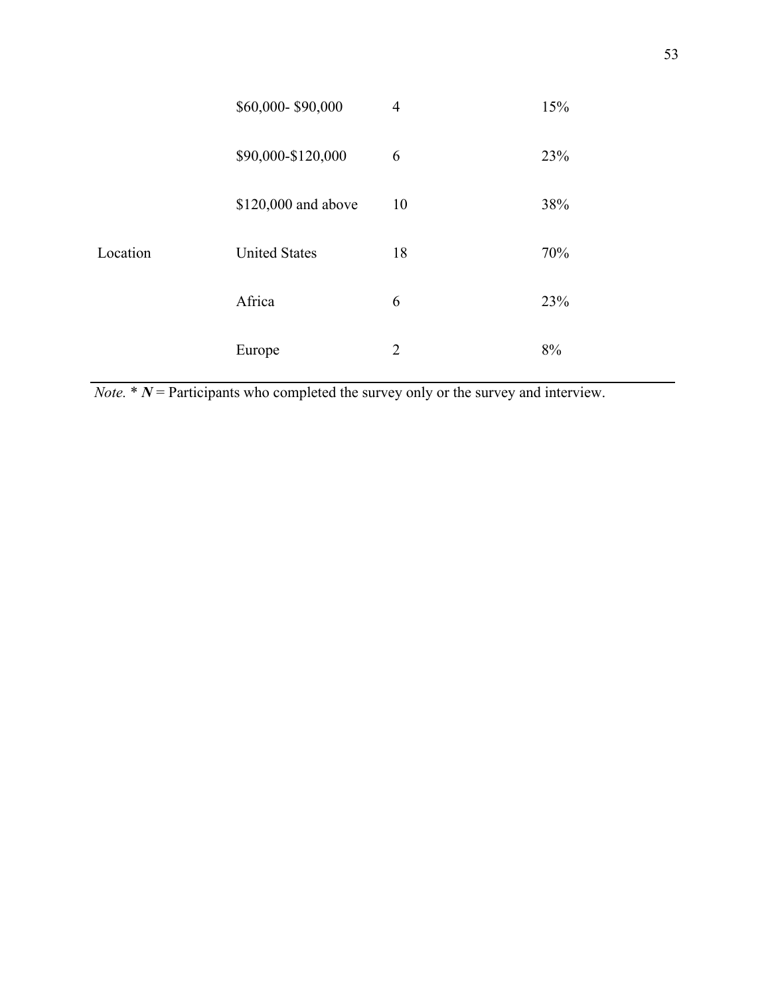|          | \$60,000-\$90,000    | $\overline{4}$ | 15% |
|----------|----------------------|----------------|-----|
|          | \$90,000-\$120,000   | 6              | 23% |
|          | \$120,000 and above  | 10             | 38% |
| Location | <b>United States</b> | 18             | 70% |
|          | Africa               | 6              | 23% |
|          | Europe               | 2              | 8%  |

*Note.*  $* N$  = Participants who completed the survey only or the survey and interview.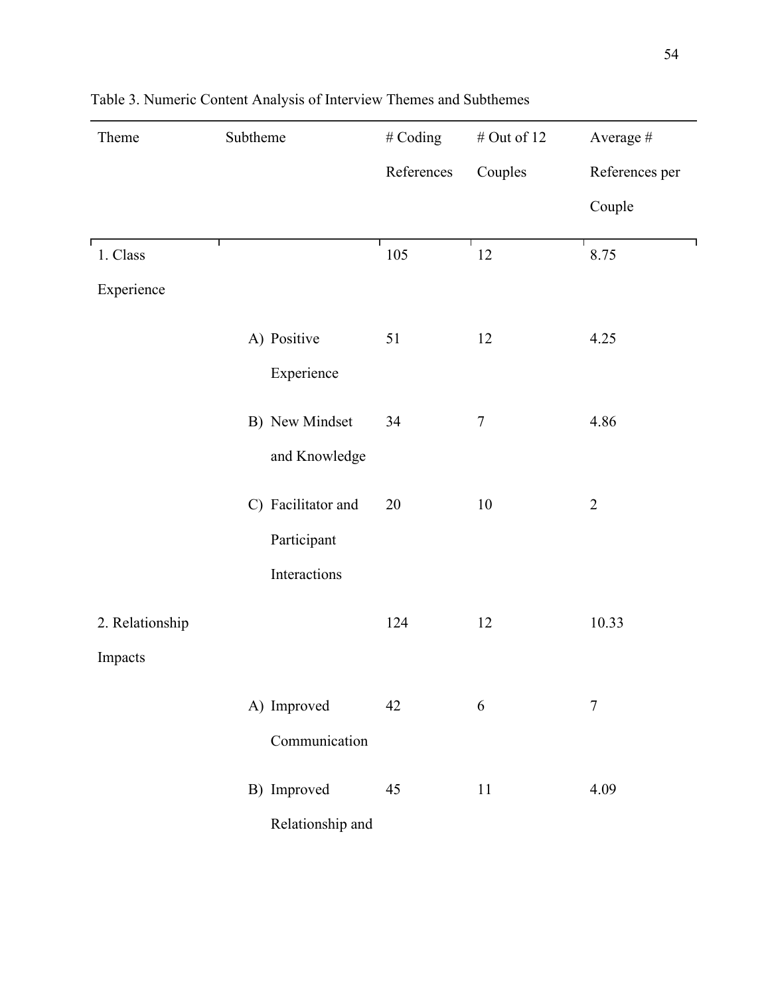| Theme           | Subtheme           | # Coding   | # Out of $12$ | Average #      |
|-----------------|--------------------|------------|---------------|----------------|
|                 |                    | References | Couples       | References per |
|                 |                    |            |               | Couple         |
| 1. Class        |                    | 105        | 12            | 8.75           |
| Experience      |                    |            |               |                |
|                 | A) Positive        | 51         | 12            | 4.25           |
|                 | Experience         |            |               |                |
|                 | B) New Mindset     | 34         | $\tau$        | 4.86           |
|                 | and Knowledge      |            |               |                |
|                 | C) Facilitator and | 20         | 10            | $\overline{2}$ |
|                 | Participant        |            |               |                |
|                 | Interactions       |            |               |                |
| 2. Relationship |                    | 124        | 12            | 10.33          |
| Impacts         |                    |            |               |                |
|                 | A) Improved        | 42         | 6             | $\overline{7}$ |
|                 | Communication      |            |               |                |
|                 | B) Improved        | 45         | 11            | 4.09           |
|                 | Relationship and   |            |               |                |

# <span id="page-63-0"></span>Table 3. Numeric Content Analysis of Interview Themes and Subthemes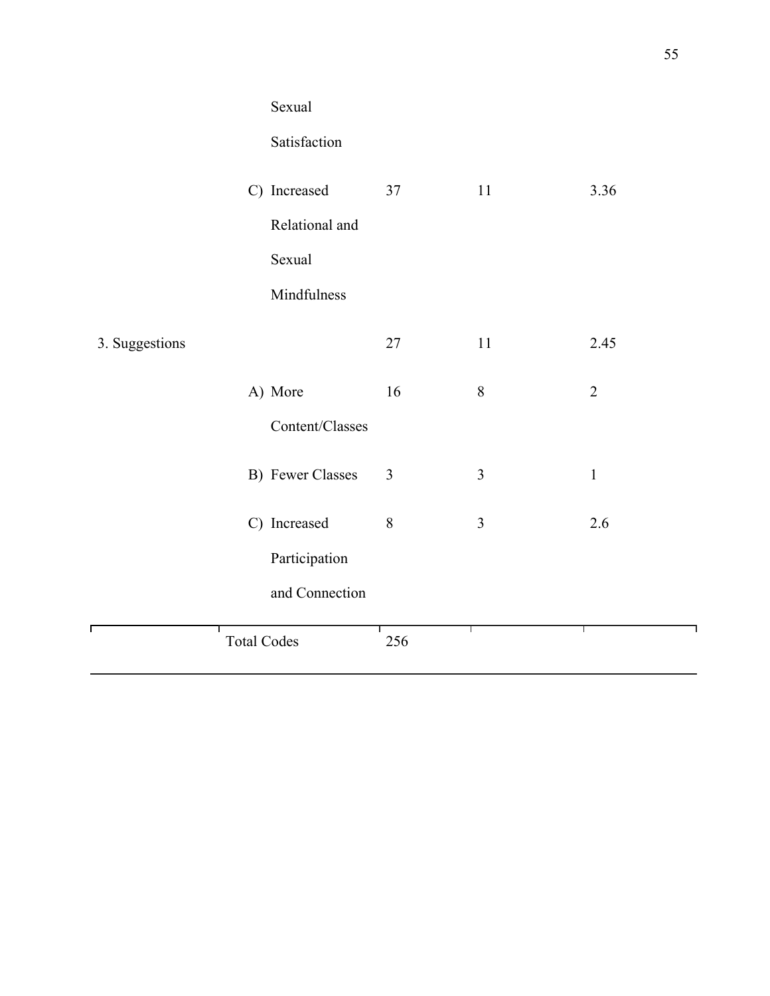|                | Sexual             |                |                |                |  |  |  |
|----------------|--------------------|----------------|----------------|----------------|--|--|--|
|                | Satisfaction       |                |                |                |  |  |  |
|                | C) Increased       | 37             | 11             | 3.36           |  |  |  |
|                | Relational and     |                |                |                |  |  |  |
|                | Sexual             |                |                |                |  |  |  |
|                | Mindfulness        |                |                |                |  |  |  |
| 3. Suggestions |                    | 27             | 11             | 2.45           |  |  |  |
|                | A) More            | 16             | $\,8\,$        | $\overline{2}$ |  |  |  |
|                | Content/Classes    |                |                |                |  |  |  |
|                | B) Fewer Classes   | $\mathfrak{Z}$ | 3              | $\,1\,$        |  |  |  |
|                | C) Increased       | 8              | $\mathfrak{Z}$ | 2.6            |  |  |  |
|                | Participation      |                |                |                |  |  |  |
|                | and Connection     |                |                |                |  |  |  |
|                | <b>Total Codes</b> | 256            |                | ш              |  |  |  |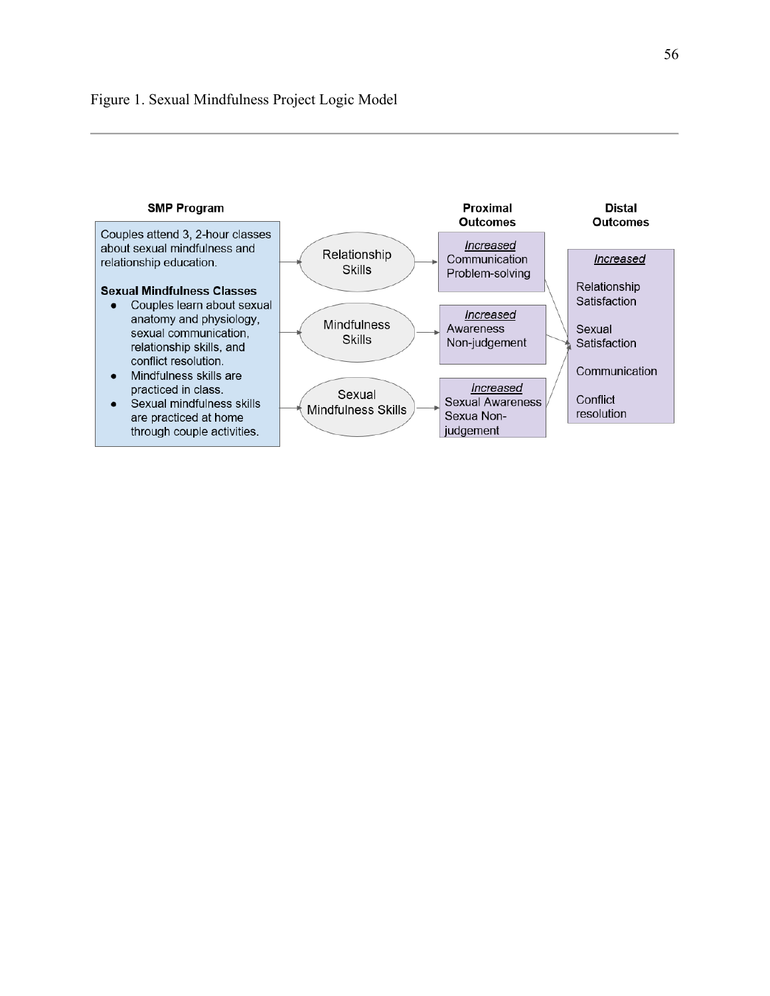<span id="page-65-0"></span>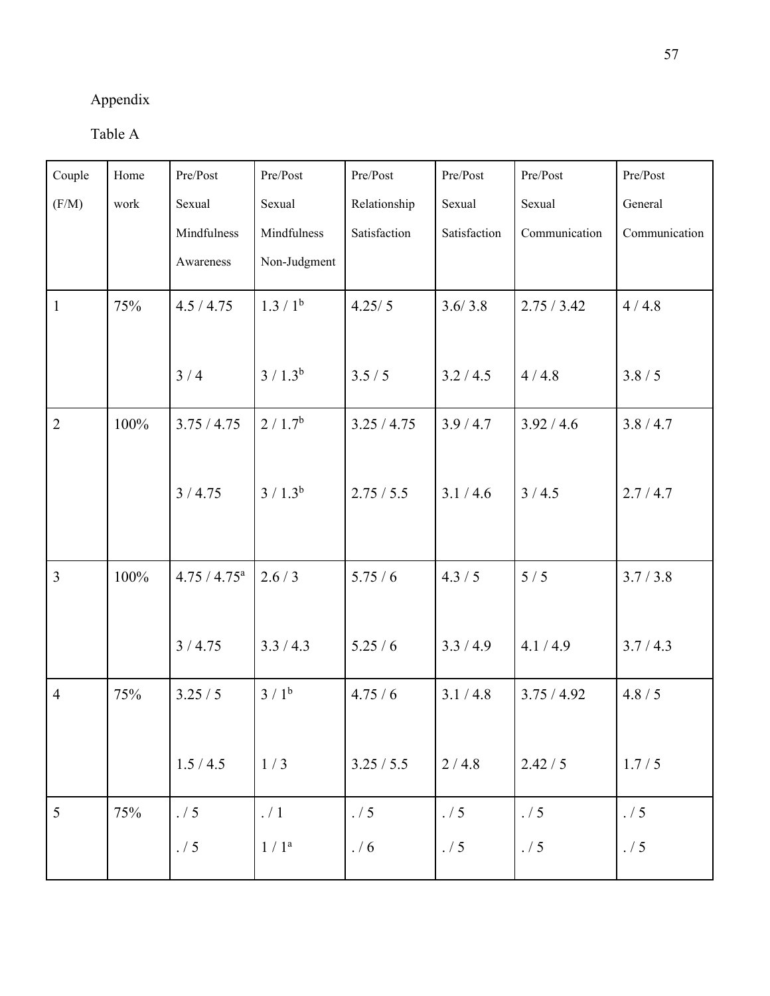## Appendix

Table A

| Couple         | Home | Pre/Post                   | Pre/Post             | Pre/Post     | Pre/Post     | Pre/Post      | Pre/Post      |
|----------------|------|----------------------------|----------------------|--------------|--------------|---------------|---------------|
| (F/M)          | work | Sexual                     | Sexual               | Relationship | Sexual       | Sexual        | General       |
|                |      | Mindfulness                | Mindfulness          | Satisfaction | Satisfaction | Communication | Communication |
|                |      | Awareness                  | Non-Judgment         |              |              |               |               |
| $\mathbf{1}$   | 75%  | 4.5 / 4.75                 | 1.3 / 1 <sup>b</sup> | 4.25/5       | 3.6/3.8      | 2.75 / 3.42   | 4/4.8         |
|                |      |                            |                      |              |              |               |               |
|                |      | 3/4                        | $3 / 1.3^b$          | 3.5/5        | 3.2 / 4.5    | 4/4.8         | 3.8/5         |
| $\overline{2}$ | 100% | 3.75 / 4.75                | 2/1.7 <sup>b</sup>   | 3.25 / 4.75  | 3.9/4.7      | 3.92 / 4.6    | 3.8 / 4.7     |
|                |      |                            |                      |              |              |               |               |
|                |      | 3/4.75                     | $3/1.3^{b}$          | 2.75 / 5.5   | 3.1 / 4.6    | 3/4.5         | 2.7/4.7       |
|                |      |                            |                      |              |              |               |               |
|                |      |                            |                      |              |              |               |               |
| $\overline{3}$ | 100% | $4.75 / 4.75^{\mathrm{a}}$ | 2.6/3                | 5.75/6       | 4.3 / 5      | 5/5           | 3.7 / 3.8     |
|                |      |                            |                      |              |              |               |               |
|                |      | 3/4.75                     | 3.3 / 4.3            | 5.25/6       | 3.3/4.9      | 4.1 / 4.9     | 3.7/4.3       |
|                |      |                            |                      |              |              |               |               |
| $\overline{4}$ | 75%  | 3.25/5                     | 3/1 <sup>b</sup>     | 4.75/6       | 3.1 / 4.8    | 3.75 / 4.92   | 4.8 / 5       |
|                |      |                            |                      |              |              |               |               |
|                |      | 1.5/4.5                    | 1/3                  | 3.25 / 5.5   | 2/4.8        | 2.42 / 5      | 1.7/5         |
| 5              | 75%  | . / 5                      | . / 1                | . / 5        | . / 5        | . / 5         | . / 5         |
|                |      | . / 5                      | 1/1 <sup>a</sup>     | . / 6        | . / 5        | . / 5         | . / 5         |
|                |      |                            |                      |              |              |               |               |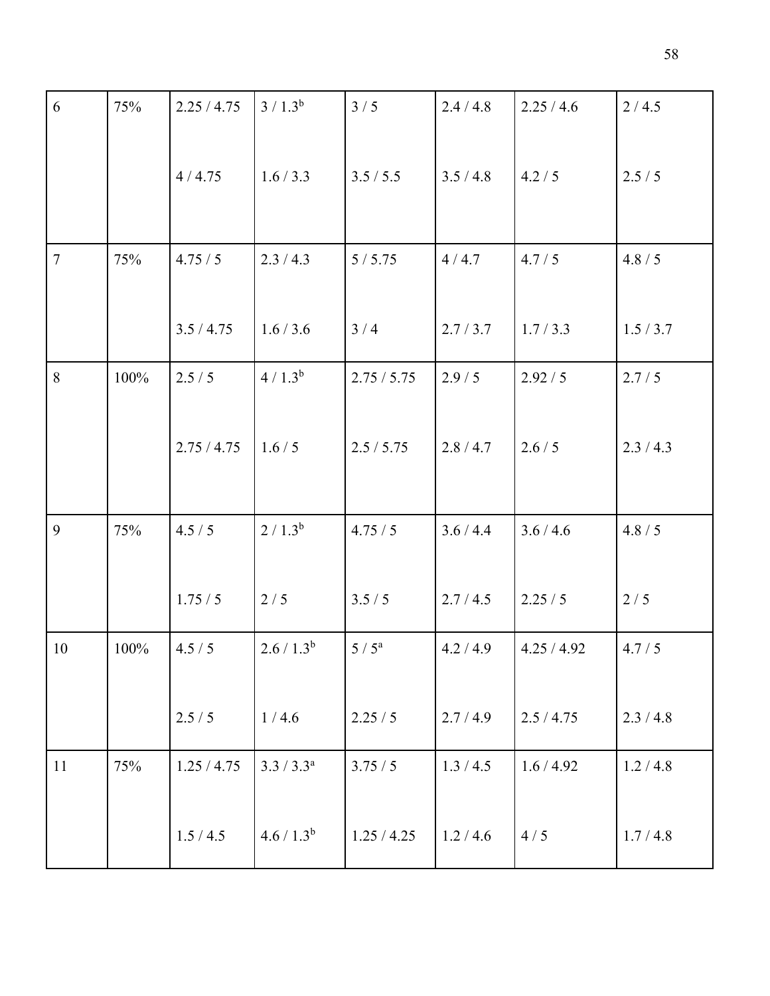| 6              | 75%  | 2.25 / 4.75 | $3/1.3^{b}$   | 3/5           | 2.4 / 4.8 | 2.25/4.6    | 2/4.5     |
|----------------|------|-------------|---------------|---------------|-----------|-------------|-----------|
|                |      | 4/4.75      | 1.6 / 3.3     | 3.5 / 5.5     | 3.5/4.8   | 4.2 / 5     | 2.5/5     |
| $\overline{7}$ | 75%  | 4.75 / 5    | 2.3 / 4.3     | 5/5.75        | 4/4.7     | 4.7 / 5     | 4.8 / 5   |
|                |      | 3.5 / 4.75  | 1.6 / 3.6     | 3/4           | 2.7 / 3.7 | 1.7/3.3     | 1.5/3.7   |
| 8              | 100% | 2.5/5       | $4/1.3^{b}$   | 2.75 / 5.75   | 2.9/5     | 2.92 / 5    | 2.7/5     |
|                |      | 2.75 / 4.75 | 1.6/5         | 2.5 / 5.75    | 2.8/4.7   | 2.6 / 5     | 2.3 / 4.3 |
| 9              | 75%  | 4.5 / 5     | $2/1.3^{b}$   | 4.75/5        | 3.6 / 4.4 | 3.6 / 4.6   | 4.8 / 5   |
|                |      | 1.75/5      | 2/5           | 3.5/5         | 2.7 / 4.5 | 2.25/5      | $2/5$     |
| 10             | 100% | 4.5/5       | $2.6 / 1.3^b$ | $5/5^{\rm a}$ | 4.2 / 4.9 | 4.25 / 4.92 | 4.7 / 5   |
|                |      | 2.5/5       | 1/4.6         | 2.25/5        | 2.7/4.9   | 2.5/4.75    | 2.3/4.8   |
| 11             | 75%  | 1.25 / 4.75 | $3.3 / 3.3^a$ | 3.75/5        | 1.3 / 4.5 | 1.6/4.92    | 1.2 / 4.8 |
|                |      | 1.5/4.5     | $4.6 / 1.3^b$ | 1.25 / 4.25   | 1.2 / 4.6 | 4/5         | 1.7/4.8   |